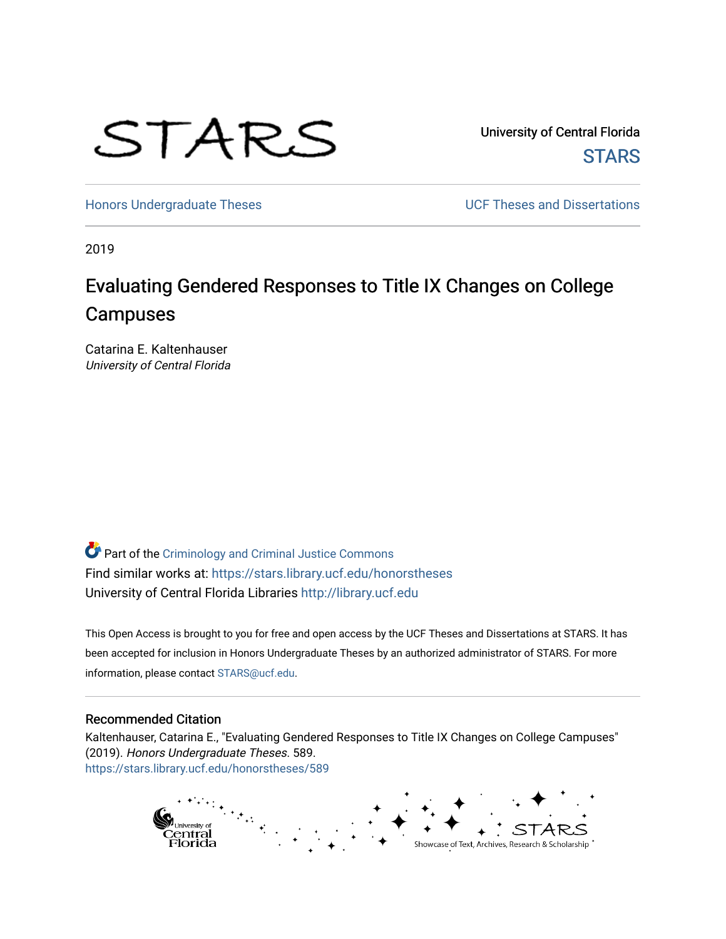

University of Central Florida **STARS** 

[Honors Undergraduate Theses](https://stars.library.ucf.edu/honorstheses) **Exercise 2018** UCF Theses and Dissertations

2019

# Evaluating Gendered Responses to Title IX Changes on College **Campuses**

Catarina E. Kaltenhauser University of Central Florida

Part of the [Criminology and Criminal Justice Commons](http://network.bepress.com/hgg/discipline/367?utm_source=stars.library.ucf.edu%2Fhonorstheses%2F589&utm_medium=PDF&utm_campaign=PDFCoverPages) Find similar works at: <https://stars.library.ucf.edu/honorstheses> University of Central Florida Libraries [http://library.ucf.edu](http://library.ucf.edu/) 

This Open Access is brought to you for free and open access by the UCF Theses and Dissertations at STARS. It has been accepted for inclusion in Honors Undergraduate Theses by an authorized administrator of STARS. For more information, please contact [STARS@ucf.edu.](mailto:STARS@ucf.edu)

#### Recommended Citation

Kaltenhauser, Catarina E., "Evaluating Gendered Responses to Title IX Changes on College Campuses" (2019). Honors Undergraduate Theses. 589. [https://stars.library.ucf.edu/honorstheses/589](https://stars.library.ucf.edu/honorstheses/589?utm_source=stars.library.ucf.edu%2Fhonorstheses%2F589&utm_medium=PDF&utm_campaign=PDFCoverPages) 

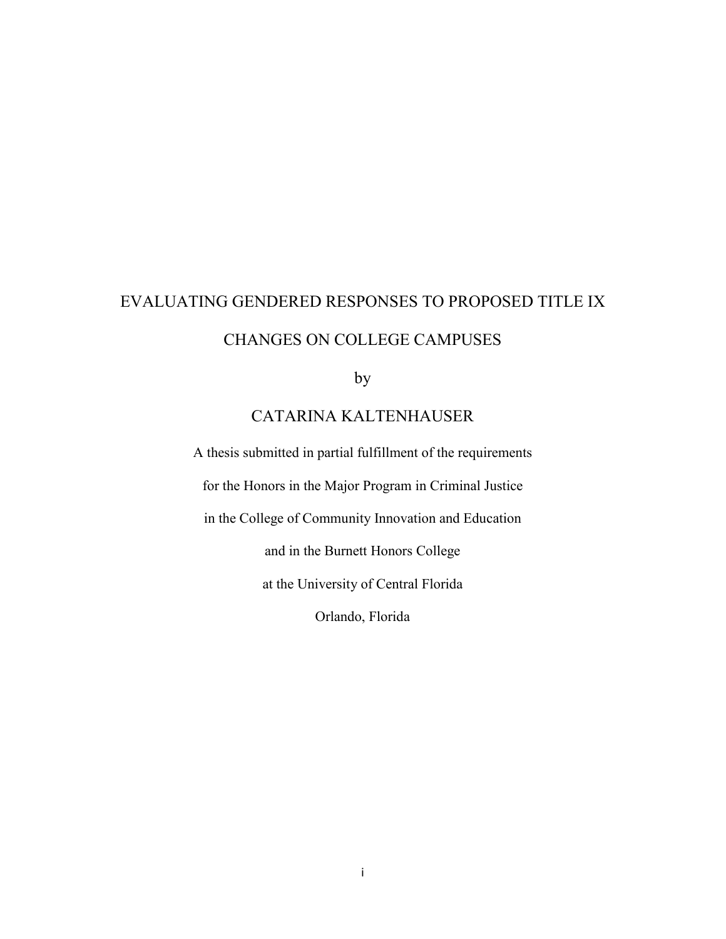# EVALUATING GENDERED RESPONSES TO PROPOSED TITLE IX CHANGES ON COLLEGE CAMPUSES

by

# CATARINA KALTENHAUSER

A thesis submitted in partial fulfillment of the requirements for the Honors in the Major Program in Criminal Justice in the College of Community Innovation and Education and in the Burnett Honors College at the University of Central Florida Orlando, Florida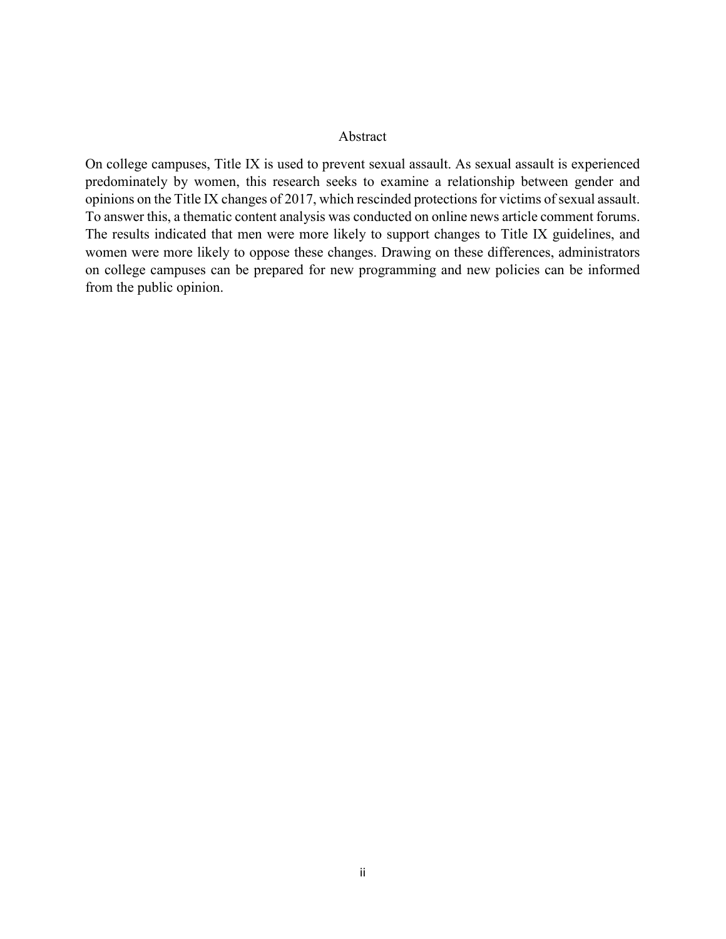#### Abstract

On college campuses, Title IX is used to prevent sexual assault. As sexual assault is experienced predominately by women, this research seeks to examine a relationship between gender and opinions on the Title IX changes of 2017, which rescinded protections for victims of sexual assault. To answer this, a thematic content analysis was conducted on online news article comment forums. The results indicated that men were more likely to support changes to Title IX guidelines, and women were more likely to oppose these changes. Drawing on these differences, administrators on college campuses can be prepared for new programming and new policies can be informed from the public opinion.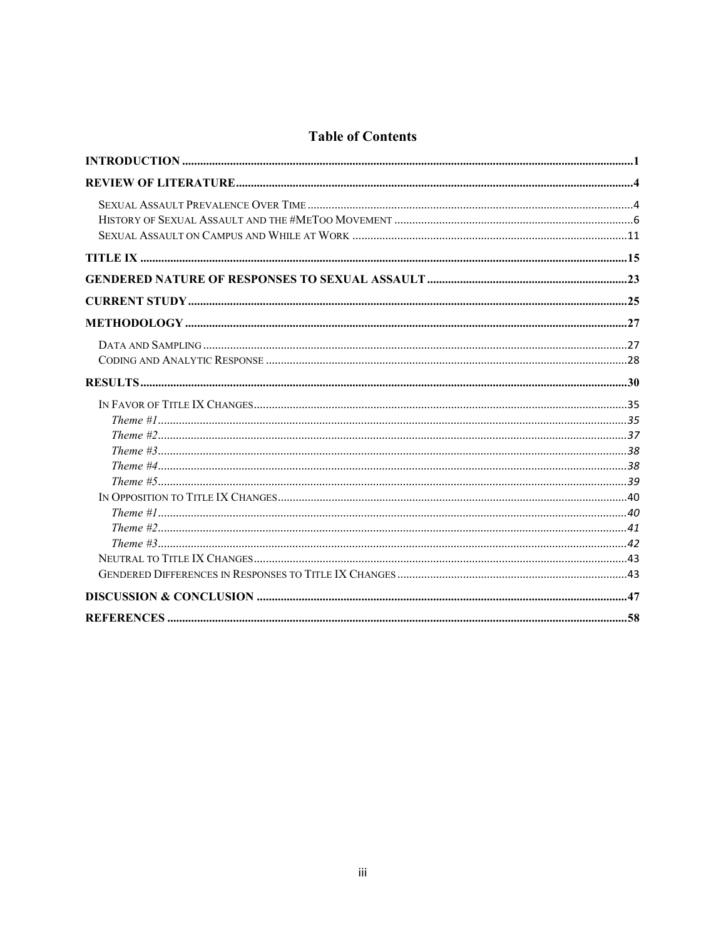# **Table of Contents**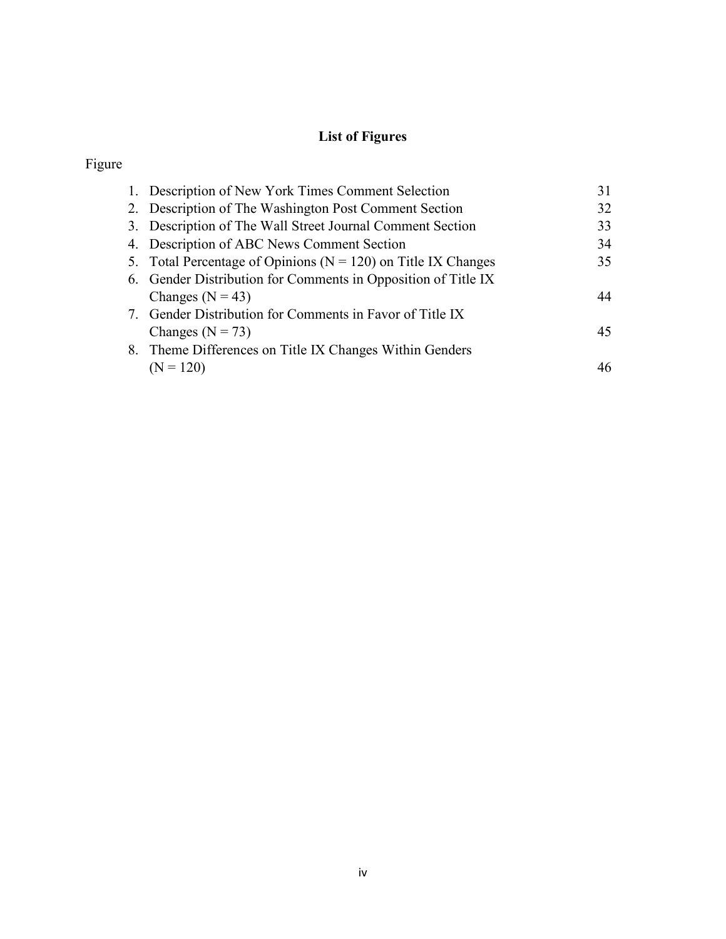# **List of Figures**

# Figure

| 1. Description of New York Times Comment Selection                | 31 |
|-------------------------------------------------------------------|----|
| 2. Description of The Washington Post Comment Section             | 32 |
| 3. Description of The Wall Street Journal Comment Section         | 33 |
| 4. Description of ABC News Comment Section                        | 34 |
| 5. Total Percentage of Opinions ( $N = 120$ ) on Title IX Changes | 35 |
| 6. Gender Distribution for Comments in Opposition of Title IX     |    |
| Changes ( $N = 43$ )                                              | 44 |
| 7. Gender Distribution for Comments in Favor of Title IX          |    |
| Changes ( $N = 73$ )                                              | 45 |
| 8. Theme Differences on Title IX Changes Within Genders           |    |
| $(N = 120)$                                                       | 46 |
|                                                                   |    |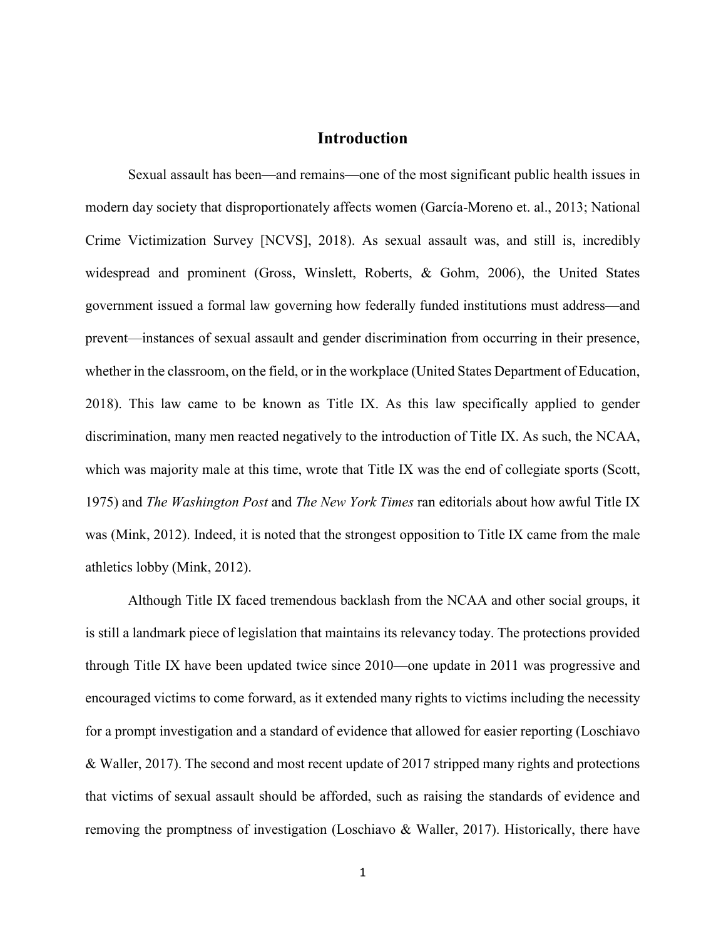## **Introduction**

<span id="page-5-0"></span>Sexual assault has been—and remains—one of the most significant public health issues in modern day society that disproportionately affects women (García-Moreno et. al., 2013; National Crime Victimization Survey [NCVS], 2018). As sexual assault was, and still is, incredibly widespread and prominent (Gross, Winslett, Roberts, & Gohm, 2006), the United States government issued a formal law governing how federally funded institutions must address—and prevent—instances of sexual assault and gender discrimination from occurring in their presence, whether in the classroom, on the field, or in the workplace (United States Department of Education, 2018). This law came to be known as Title IX. As this law specifically applied to gender discrimination, many men reacted negatively to the introduction of Title IX. As such, the NCAA, which was majority male at this time, wrote that Title IX was the end of collegiate sports (Scott, 1975) and *The Washington Post* and *The New York Times* ran editorials about how awful Title IX was (Mink, 2012). Indeed, it is noted that the strongest opposition to Title IX came from the male athletics lobby (Mink, 2012).

Although Title IX faced tremendous backlash from the NCAA and other social groups, it is still a landmark piece of legislation that maintains its relevancy today. The protections provided through Title IX have been updated twice since 2010—one update in 2011 was progressive and encouraged victims to come forward, as it extended many rights to victims including the necessity for a prompt investigation and a standard of evidence that allowed for easier reporting (Loschiavo & Waller, 2017). The second and most recent update of 2017 stripped many rights and protections that victims of sexual assault should be afforded, such as raising the standards of evidence and removing the promptness of investigation (Loschiavo & Waller, 2017). Historically, there have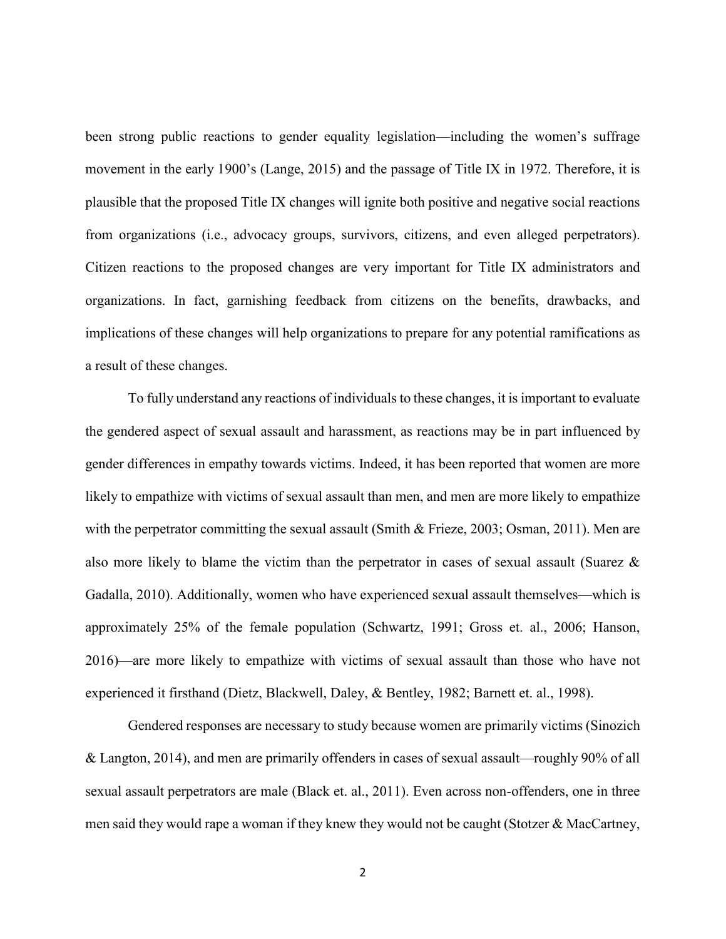been strong public reactions to gender equality legislation—including the women's suffrage movement in the early 1900's (Lange, 2015) and the passage of Title IX in 1972. Therefore, it is plausible that the proposed Title IX changes will ignite both positive and negative social reactions from organizations (i.e., advocacy groups, survivors, citizens, and even alleged perpetrators). Citizen reactions to the proposed changes are very important for Title IX administrators and organizations. In fact, garnishing feedback from citizens on the benefits, drawbacks, and implications of these changes will help organizations to prepare for any potential ramifications as a result of these changes.

To fully understand any reactions of individuals to these changes, it is important to evaluate the gendered aspect of sexual assault and harassment, as reactions may be in part influenced by gender differences in empathy towards victims. Indeed, it has been reported that women are more likely to empathize with victims of sexual assault than men, and men are more likely to empathize with the perpetrator committing the sexual assault (Smith & Frieze, 2003; Osman, 2011). Men are also more likely to blame the victim than the perpetrator in cases of sexual assault (Suarez & Gadalla, 2010). Additionally, women who have experienced sexual assault themselves—which is approximately 25% of the female population (Schwartz, 1991; Gross et. al., 2006; Hanson, 2016)—are more likely to empathize with victims of sexual assault than those who have not experienced it firsthand (Dietz, Blackwell, Daley, & Bentley, 1982; Barnett et. al., 1998).

Gendered responses are necessary to study because women are primarily victims (Sinozich & Langton, 2014), and men are primarily offenders in cases of sexual assault—roughly 90% of all sexual assault perpetrators are male (Black et. al., 2011). Even across non-offenders, one in three men said they would rape a woman if they knew they would not be caught (Stotzer & MacCartney,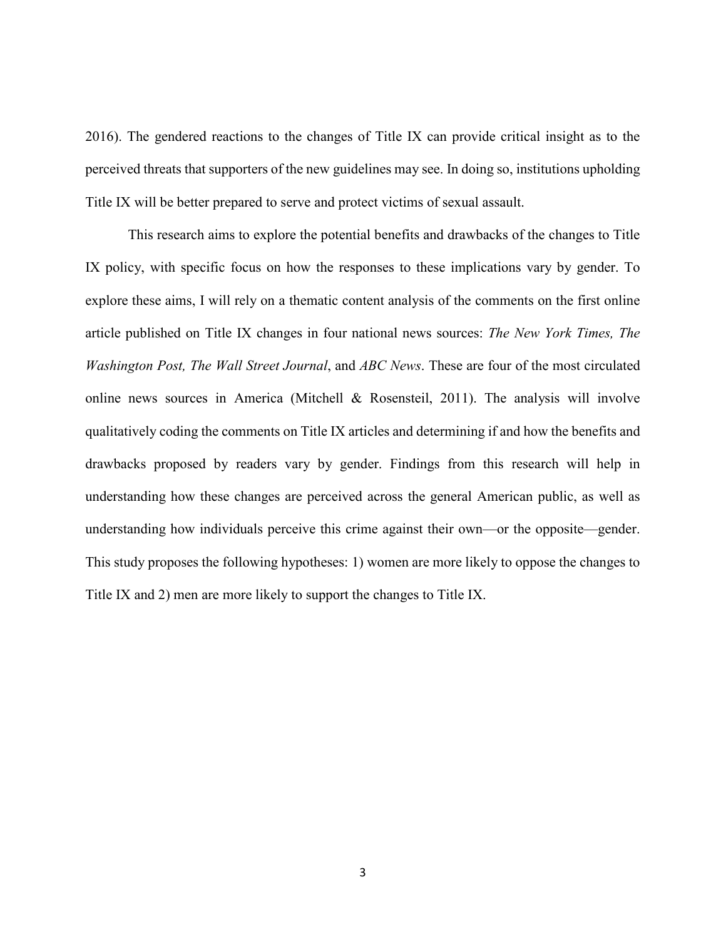2016). The gendered reactions to the changes of Title IX can provide critical insight as to the perceived threats that supporters of the new guidelines may see. In doing so, institutions upholding Title IX will be better prepared to serve and protect victims of sexual assault.

This research aims to explore the potential benefits and drawbacks of the changes to Title IX policy, with specific focus on how the responses to these implications vary by gender. To explore these aims, I will rely on a thematic content analysis of the comments on the first online article published on Title IX changes in four national news sources: *The New York Times, The Washington Post, The Wall Street Journal*, and *ABC News*. These are four of the most circulated online news sources in America (Mitchell & Rosensteil, 2011). The analysis will involve qualitatively coding the comments on Title IX articles and determining if and how the benefits and drawbacks proposed by readers vary by gender. Findings from this research will help in understanding how these changes are perceived across the general American public, as well as understanding how individuals perceive this crime against their own—or the opposite—gender. This study proposes the following hypotheses: 1) women are more likely to oppose the changes to Title IX and 2) men are more likely to support the changes to Title IX.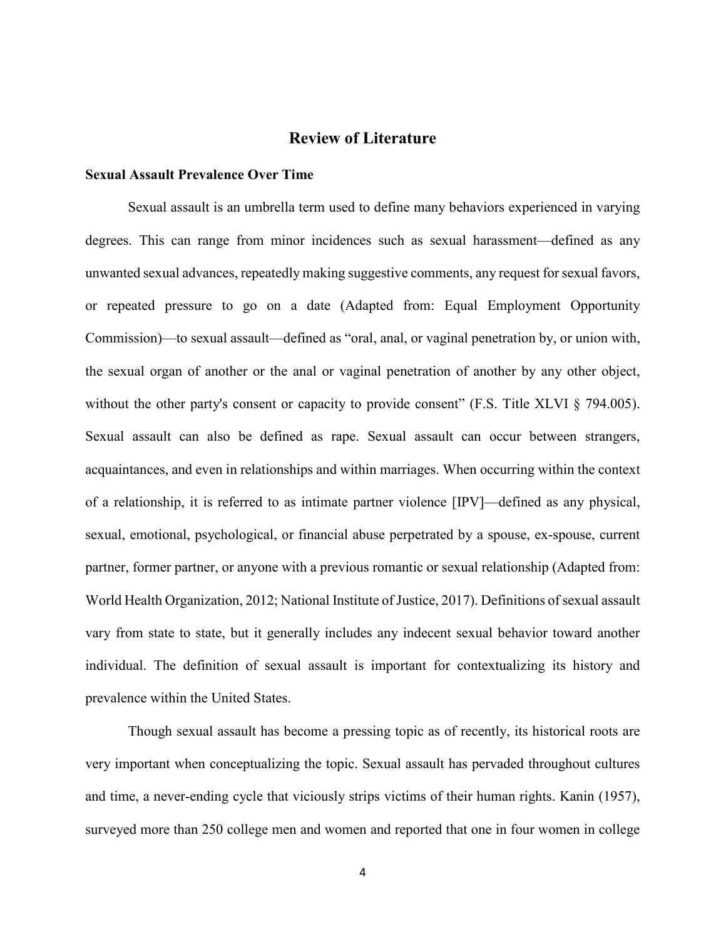# **Review of Literature**

#### <span id="page-8-1"></span><span id="page-8-0"></span>**Sexual Assault Prevalence Over Time**

Sexual assault is an umbrella term used to define many behaviors experienced in varying degrees. This can range from minor incidences such as sexual harassment—defined as any unwanted sexual advances, repeatedly making suggestive comments, any request for sexual favors, or repeated pressure to go on a date (Adapted from: Equal Employment Opportunity Commission)—to sexual assault—defined as "oral, anal, or vaginal penetration by, or union with, the sexual organ of another or the anal or vaginal penetration of another by any other object, without the other party's consent or capacity to provide consent" (F.S. Title XLVI § 794.005). Sexual assault can also be defined as rape. Sexual assault can occur between strangers, acquaintances, and even in relationships and within marriages. When occurring within the context of a relationship, it is referred to as intimate partner violence [IPV]—defined as any physical, sexual, emotional, psychological, or financial abuse perpetrated by a spouse, ex-spouse, current partner, former partner, or anyone with a previous romantic or sexual relationship (Adapted from: World Health Organization, 2012; National Institute of Justice, 2017). Definitions of sexual assault vary from state to state, but it generally includes any indecent sexual behavior toward another individual. The definition of sexual assault is important for contextualizing its history and prevalence within the United States.

Though sexual assault has become a pressing topic as of recently, its historical roots are very important when conceptualizing the topic. Sexual assault has pervaded throughout cultures and time, a never-ending cycle that viciously strips victims of their human rights. Kanin (1957), surveyed more than 250 college men and women and reported that one in four women in college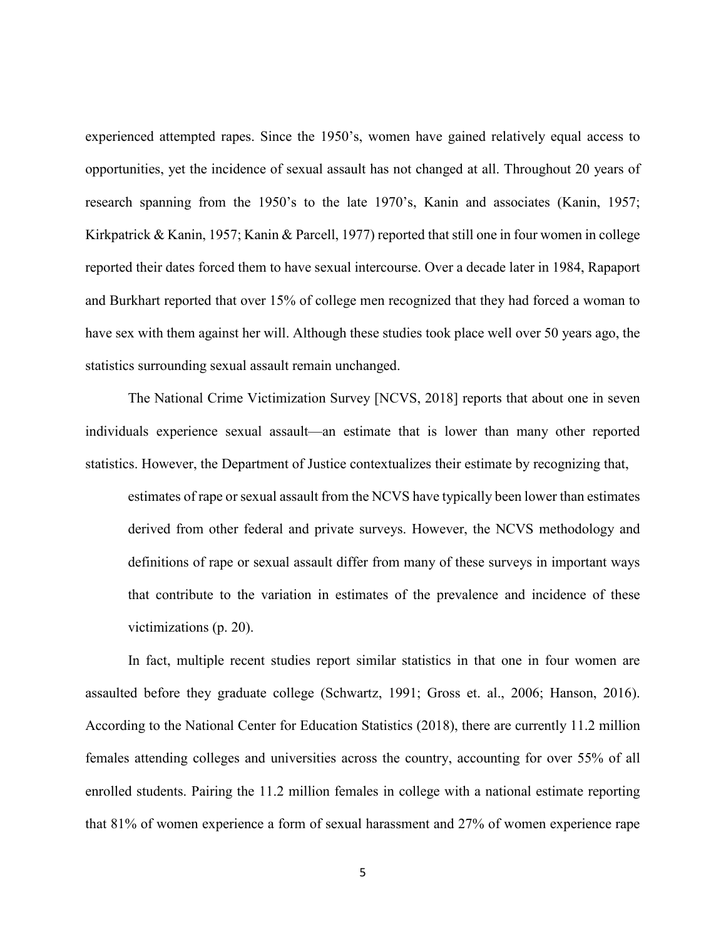experienced attempted rapes. Since the 1950's, women have gained relatively equal access to opportunities, yet the incidence of sexual assault has not changed at all. Throughout 20 years of research spanning from the 1950's to the late 1970's, Kanin and associates (Kanin, 1957; Kirkpatrick & Kanin, 1957; Kanin & Parcell, 1977) reported that still one in four women in college reported their dates forced them to have sexual intercourse. Over a decade later in 1984, Rapaport and Burkhart reported that over 15% of college men recognized that they had forced a woman to have sex with them against her will. Although these studies took place well over 50 years ago, the statistics surrounding sexual assault remain unchanged.

The National Crime Victimization Survey [NCVS, 2018] reports that about one in seven individuals experience sexual assault—an estimate that is lower than many other reported statistics. However, the Department of Justice contextualizes their estimate by recognizing that,

estimates of rape or sexual assault from the NCVS have typically been lower than estimates derived from other federal and private surveys. However, the NCVS methodology and definitions of rape or sexual assault differ from many of these surveys in important ways that contribute to the variation in estimates of the prevalence and incidence of these victimizations (p. 20).

In fact, multiple recent studies report similar statistics in that one in four women are assaulted before they graduate college (Schwartz, 1991; Gross et. al., 2006; Hanson, 2016). According to the National Center for Education Statistics (2018), there are currently 11.2 million females attending colleges and universities across the country, accounting for over 55% of all enrolled students. Pairing the 11.2 million females in college with a national estimate reporting that 81% of women experience a form of sexual harassment and 27% of women experience rape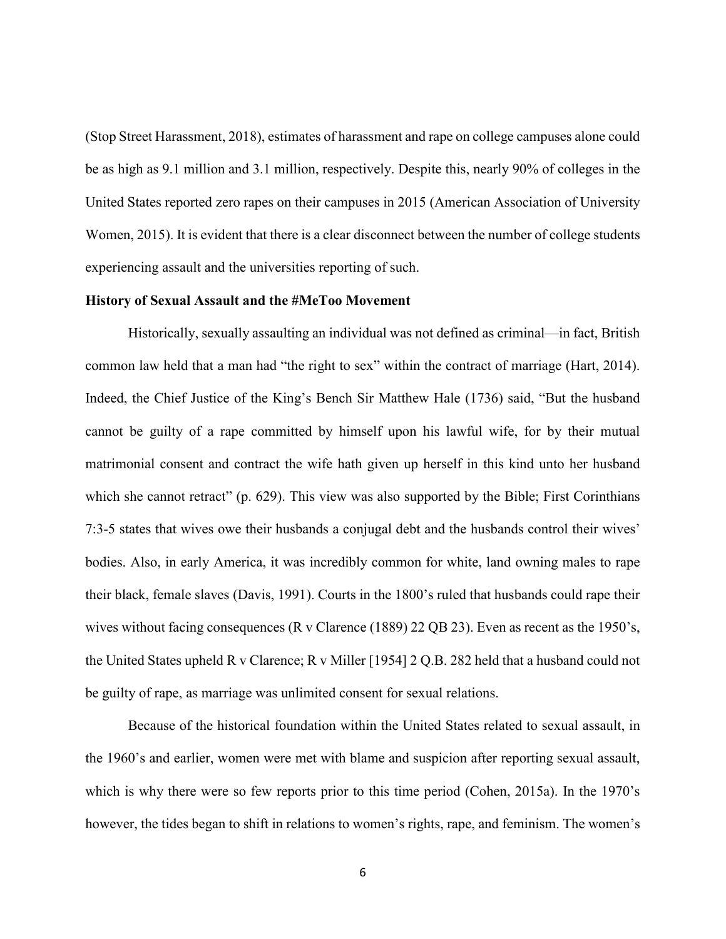(Stop Street Harassment, 2018), estimates of harassment and rape on college campuses alone could be as high as 9.1 million and 3.1 million, respectively. Despite this, nearly 90% of colleges in the United States reported zero rapes on their campuses in 2015 (American Association of University Women, 2015). It is evident that there is a clear disconnect between the number of college students experiencing assault and the universities reporting of such.

#### <span id="page-10-0"></span>**History of Sexual Assault and the #MeToo Movement**

Historically, sexually assaulting an individual was not defined as criminal—in fact, British common law held that a man had "the right to sex" within the contract of marriage (Hart, 2014). Indeed, the Chief Justice of the King's Bench Sir Matthew Hale (1736) said, "But the husband cannot be guilty of a rape committed by himself upon his lawful wife, for by their mutual matrimonial consent and contract the wife hath given up herself in this kind unto her husband which she cannot retract" (p. 629). This view was also supported by the Bible; First Corinthians 7:3-5 states that wives owe their husbands a conjugal debt and the husbands control their wives' bodies. Also, in early America, it was incredibly common for white, land owning males to rape their black, female slaves (Davis, 1991). Courts in the 1800's ruled that husbands could rape their wives without facing consequences (R v Clarence (1889) 22 QB 23). Even as recent as the 1950's, the United States upheld R v Clarence; R v Miller [1954] 2 Q.B. 282 held that a husband could not be guilty of rape, as marriage was unlimited consent for sexual relations.

Because of the historical foundation within the United States related to sexual assault, in the 1960's and earlier, women were met with blame and suspicion after reporting sexual assault, which is why there were so few reports prior to this time period (Cohen, 2015a). In the 1970's however, the tides began to shift in relations to women's rights, rape, and feminism. The women's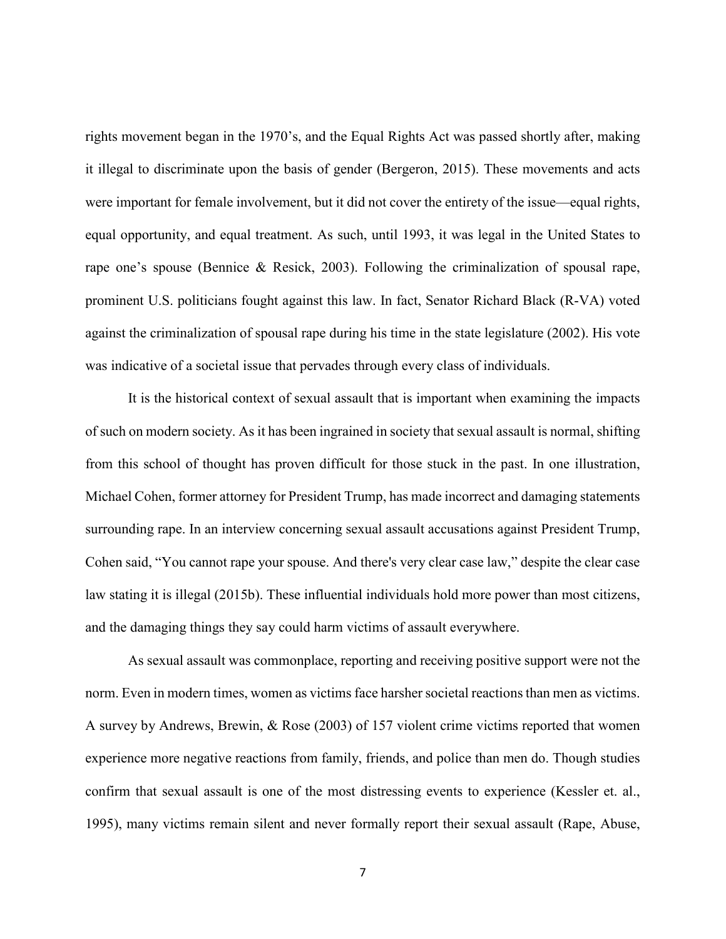rights movement began in the 1970's, and the Equal Rights Act was passed shortly after, making it illegal to discriminate upon the basis of gender (Bergeron, 2015). These movements and acts were important for female involvement, but it did not cover the entirety of the issue—equal rights, equal opportunity, and equal treatment. As such, until 1993, it was legal in the United States to rape one's spouse (Bennice & Resick, 2003). Following the criminalization of spousal rape, prominent U.S. politicians fought against this law. In fact, Senator Richard Black (R-VA) voted against the criminalization of spousal rape during his time in the state legislature (2002). His vote was indicative of a societal issue that pervades through every class of individuals.

It is the historical context of sexual assault that is important when examining the impacts of such on modern society. As it has been ingrained in society that sexual assault is normal, shifting from this school of thought has proven difficult for those stuck in the past. In one illustration, Michael Cohen, former attorney for President Trump, has made incorrect and damaging statements surrounding rape. In an interview concerning sexual assault accusations against President Trump, Cohen said, "You cannot rape your spouse. And there's very clear case law," despite the clear case law stating it is illegal (2015b). These influential individuals hold more power than most citizens, and the damaging things they say could harm victims of assault everywhere.

As sexual assault was commonplace, reporting and receiving positive support were not the norm. Even in modern times, women as victims face harsher societal reactions than men as victims. A survey by Andrews, Brewin, & Rose (2003) of 157 violent crime victims reported that women experience more negative reactions from family, friends, and police than men do. Though studies confirm that sexual assault is one of the most distressing events to experience (Kessler et. al., 1995), many victims remain silent and never formally report their sexual assault (Rape, Abuse,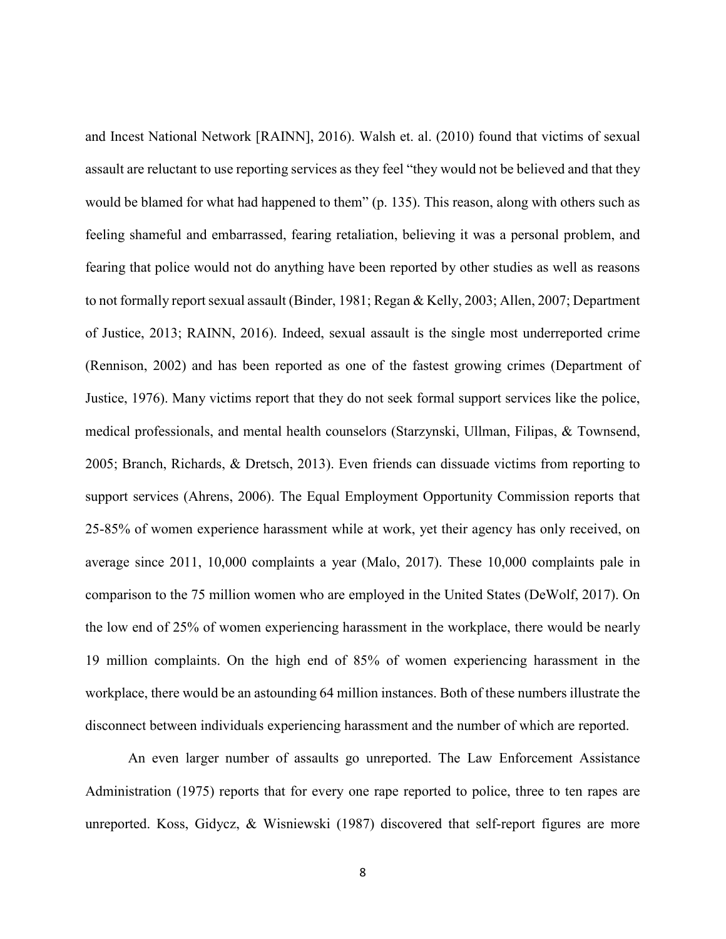and Incest National Network [RAINN], 2016). Walsh et. al. (2010) found that victims of sexual assault are reluctant to use reporting services as they feel "they would not be believed and that they would be blamed for what had happened to them" (p. 135). This reason, along with others such as feeling shameful and embarrassed, fearing retaliation, believing it was a personal problem, and fearing that police would not do anything have been reported by other studies as well as reasons to not formally report sexual assault (Binder, 1981; Regan & Kelly, 2003; Allen, 2007; Department of Justice, 2013; RAINN, 2016). Indeed, sexual assault is the single most underreported crime (Rennison, 2002) and has been reported as one of the fastest growing crimes (Department of Justice, 1976). Many victims report that they do not seek formal support services like the police, medical professionals, and mental health counselors (Starzynski, Ullman, Filipas, & Townsend, 2005; Branch, Richards, & Dretsch, 2013). Even friends can dissuade victims from reporting to support services (Ahrens, 2006). The Equal Employment Opportunity Commission reports that 25-85% of women experience harassment while at work, yet their agency has only received, on average since 2011, 10,000 complaints a year (Malo, 2017). These 10,000 complaints pale in comparison to the 75 million women who are employed in the United States (DeWolf, 2017). On the low end of 25% of women experiencing harassment in the workplace, there would be nearly 19 million complaints. On the high end of 85% of women experiencing harassment in the workplace, there would be an astounding 64 million instances. Both of these numbers illustrate the disconnect between individuals experiencing harassment and the number of which are reported.

An even larger number of assaults go unreported. The Law Enforcement Assistance Administration (1975) reports that for every one rape reported to police, three to ten rapes are unreported. Koss, Gidycz, & Wisniewski (1987) discovered that self-report figures are more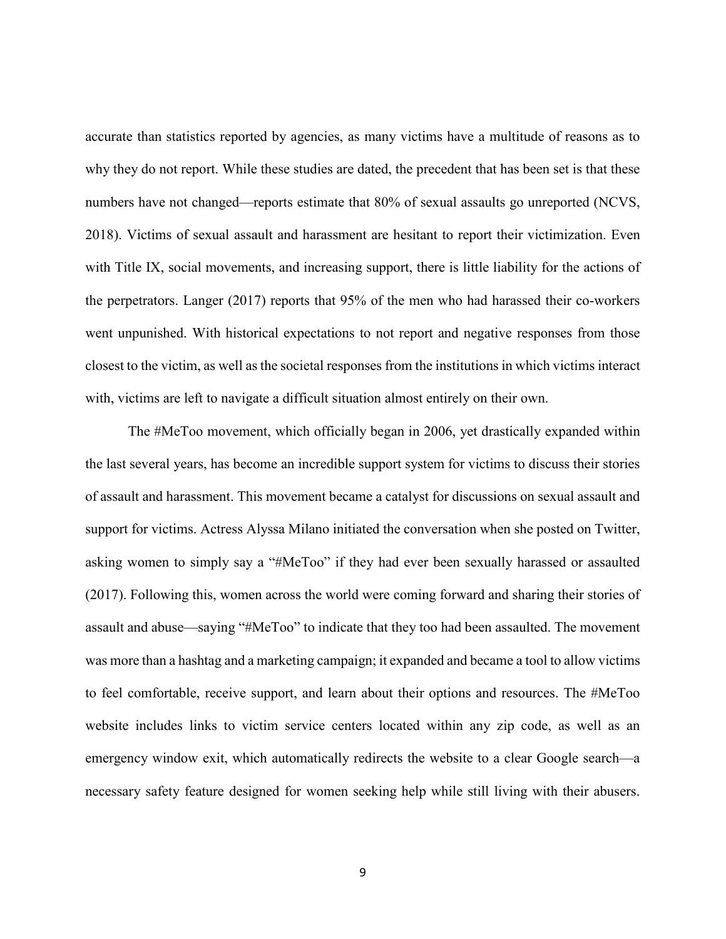accurate than statistics reported by agencies, as many victims have a multitude of reasons as to why they do not report. While these studies are dated, the precedent that has been set is that these numbers have not changed—reports estimate that 80% of sexual assaults go unreported (NCVS, 2018). Victims of sexual assault and harassment are hesitant to report their victimization. Even with Title IX, social movements, and increasing support, there is little liability for the actions of the perpetrators. Langer (2017) reports that 95% of the men who had harassed their co-workers went unpunished. With historical expectations to not report and negative responses from those closest to the victim, as well as the societal responses from the institutions in which victims interact with, victims are left to navigate a difficult situation almost entirely on their own.

The #MeToo movement, which officially began in 2006, yet drastically expanded within the last several years, has become an incredible support system for victims to discuss their stories of assault and harassment. This movement became a catalyst for discussions on sexual assault and support for victims. Actress Alyssa Milano initiated the conversation when she posted on Twitter, asking women to simply say a "#MeToo" if they had ever been sexually harassed or assaulted (2017). Following this, women across the world were coming forward and sharing their stories of assault and abuse—saying "#MeToo" to indicate that they too had been assaulted. The movement was more than a hashtag and a marketing campaign; it expanded and became a tool to allow victims to feel comfortable, receive support, and learn about their options and resources. The #MeToo website includes links to victim service centers located within any zip code, as well as an emergency window exit, which automatically redirects the website to a clear Google search—a necessary safety feature designed for women seeking help while still living with their abusers.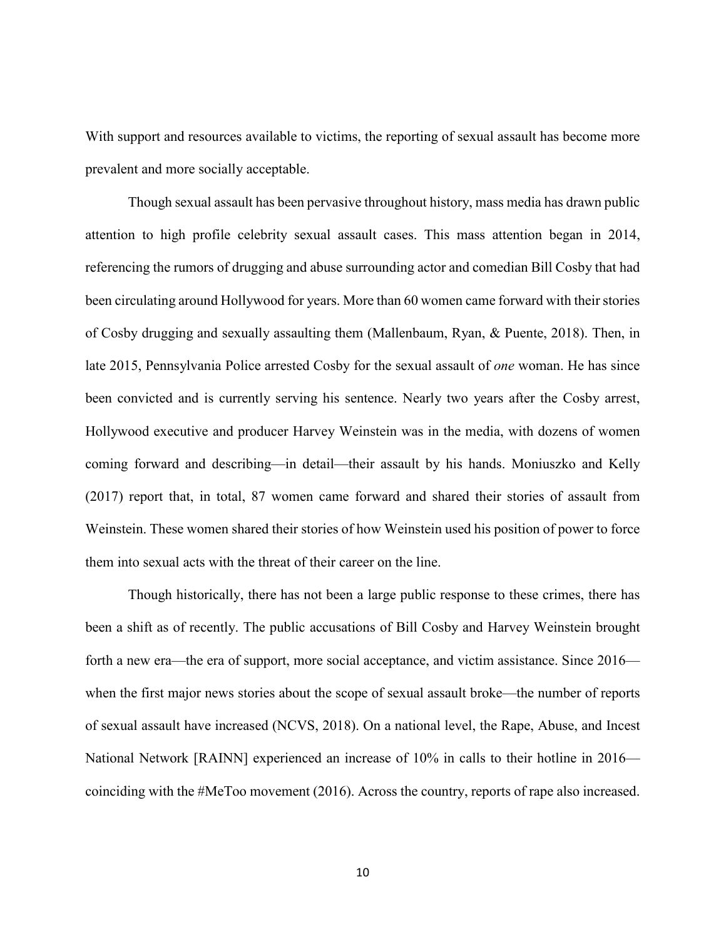With support and resources available to victims, the reporting of sexual assault has become more prevalent and more socially acceptable.

Though sexual assault has been pervasive throughout history, mass media has drawn public attention to high profile celebrity sexual assault cases. This mass attention began in 2014, referencing the rumors of drugging and abuse surrounding actor and comedian Bill Cosby that had been circulating around Hollywood for years. More than 60 women came forward with their stories of Cosby drugging and sexually assaulting them (Mallenbaum, Ryan, & Puente, 2018). Then, in late 2015, Pennsylvania Police arrested Cosby for the sexual assault of *one* woman. He has since been convicted and is currently serving his sentence. Nearly two years after the Cosby arrest, Hollywood executive and producer Harvey Weinstein was in the media, with dozens of women coming forward and describing—in detail—their assault by his hands. Moniuszko and Kelly (2017) report that, in total, 87 women came forward and shared their stories of assault from Weinstein. These women shared their stories of how Weinstein used his position of power to force them into sexual acts with the threat of their career on the line.

Though historically, there has not been a large public response to these crimes, there has been a shift as of recently. The public accusations of Bill Cosby and Harvey Weinstein brought forth a new era—the era of support, more social acceptance, and victim assistance. Since 2016 when the first major news stories about the scope of sexual assault broke—the number of reports of sexual assault have increased (NCVS, 2018). On a national level, the Rape, Abuse, and Incest National Network [RAINN] experienced an increase of 10% in calls to their hotline in 2016 coinciding with the #MeToo movement (2016). Across the country, reports of rape also increased.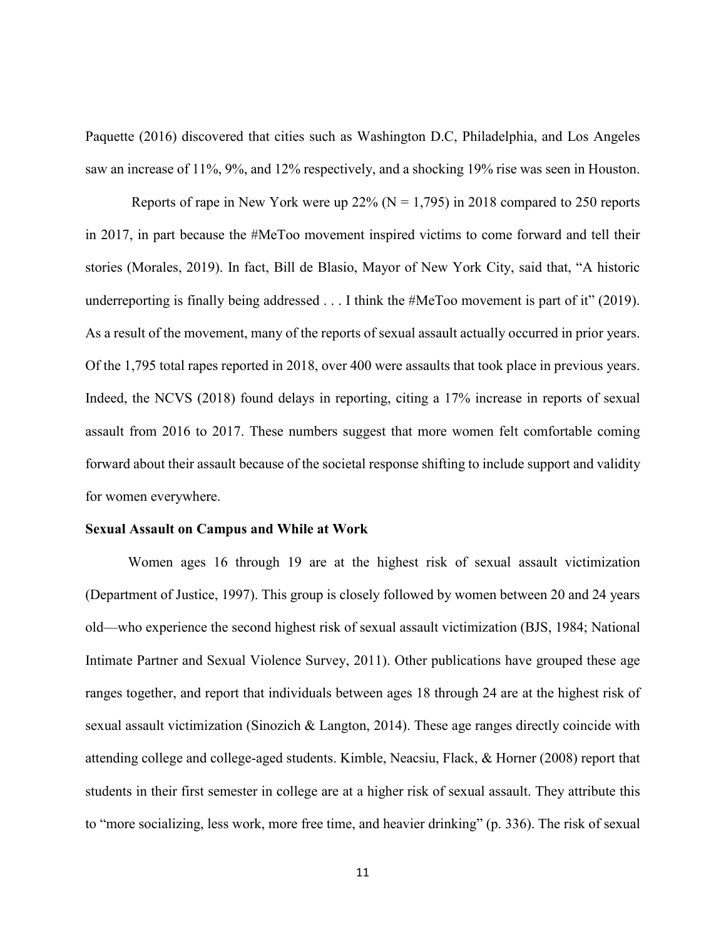Paquette (2016) discovered that cities such as Washington D.C, Philadelphia, and Los Angeles saw an increase of 11%, 9%, and 12% respectively, and a shocking 19% rise was seen in Houston.

Reports of rape in New York were up 22% ( $N = 1,795$ ) in 2018 compared to 250 reports in 2017, in part because the #MeToo movement inspired victims to come forward and tell their stories (Morales, 2019). In fact, Bill de Blasio, Mayor of New York City, said that, "A historic underreporting is finally being addressed . . . I think the #MeToo movement is part of it" (2019). As a result of the movement, many of the reports of sexual assault actually occurred in prior years. Of the 1,795 total rapes reported in 2018, over 400 were assaults that took place in previous years. Indeed, the NCVS (2018) found delays in reporting, citing a 17% increase in reports of sexual assault from 2016 to 2017. These numbers suggest that more women felt comfortable coming forward about their assault because of the societal response shifting to include support and validity for women everywhere.

#### <span id="page-15-0"></span>**Sexual Assault on Campus and While at Work**

Women ages 16 through 19 are at the highest risk of sexual assault victimization (Department of Justice, 1997). This group is closely followed by women between 20 and 24 years old—who experience the second highest risk of sexual assault victimization (BJS, 1984; National Intimate Partner and Sexual Violence Survey, 2011). Other publications have grouped these age ranges together, and report that individuals between ages 18 through 24 are at the highest risk of sexual assault victimization (Sinozich & Langton, 2014). These age ranges directly coincide with attending college and college-aged students. Kimble, Neacsiu, Flack, & Horner (2008) report that students in their first semester in college are at a higher risk of sexual assault. They attribute this to "more socializing, less work, more free time, and heavier drinking" (p. 336). The risk of sexual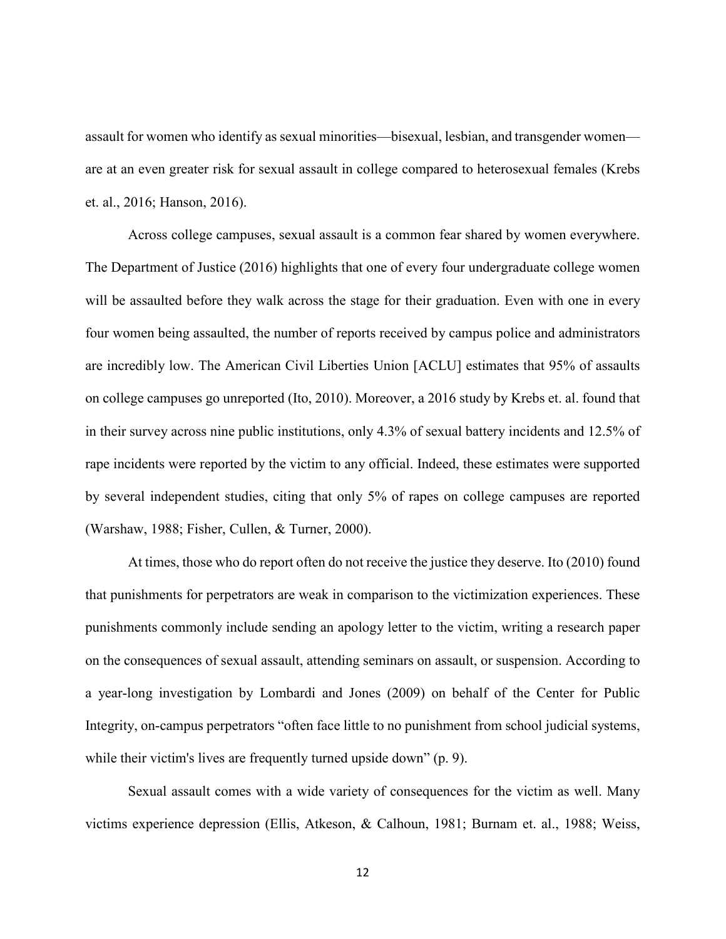assault for women who identify as sexual minorities—bisexual, lesbian, and transgender women are at an even greater risk for sexual assault in college compared to heterosexual females (Krebs et. al., 2016; Hanson, 2016).

Across college campuses, sexual assault is a common fear shared by women everywhere. The Department of Justice (2016) highlights that one of every four undergraduate college women will be assaulted before they walk across the stage for their graduation. Even with one in every four women being assaulted, the number of reports received by campus police and administrators are incredibly low. The American Civil Liberties Union [ACLU] estimates that 95% of assaults on college campuses go unreported (Ito, 2010). Moreover, a 2016 study by Krebs et. al. found that in their survey across nine public institutions, only 4.3% of sexual battery incidents and 12.5% of rape incidents were reported by the victim to any official. Indeed, these estimates were supported by several independent studies, citing that only 5% of rapes on college campuses are reported (Warshaw, 1988; Fisher, Cullen, & Turner, 2000).

At times, those who do report often do not receive the justice they deserve. Ito (2010) found that punishments for perpetrators are weak in comparison to the victimization experiences. These punishments commonly include sending an apology letter to the victim, writing a research paper on the consequences of sexual assault, attending seminars on assault, or suspension. According to a year-long investigation by Lombardi and Jones (2009) on behalf of the Center for Public Integrity, on-campus perpetrators "often face little to no punishment from school judicial systems, while their victim's lives are frequently turned upside down" (p. 9).

Sexual assault comes with a wide variety of consequences for the victim as well. Many victims experience depression (Ellis, Atkeson, & Calhoun, 1981; Burnam et. al., 1988; Weiss,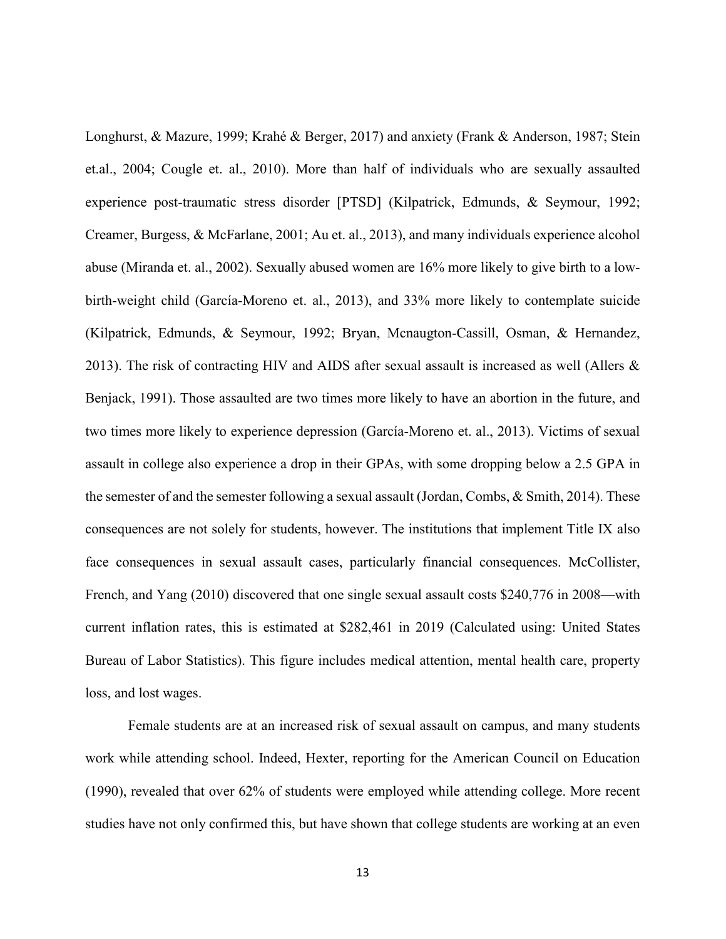Longhurst, & Mazure, 1999; Krahé & Berger, 2017) and anxiety (Frank & Anderson, 1987; Stein et.al., 2004; Cougle et. al., 2010). More than half of individuals who are sexually assaulted experience post-traumatic stress disorder [PTSD] (Kilpatrick, Edmunds, & Seymour, 1992; Creamer, Burgess, & McFarlane, 2001; Au et. al., 2013), and many individuals experience alcohol abuse (Miranda et. al., 2002). Sexually abused women are 16% more likely to give birth to a lowbirth-weight child (García-Moreno et. al., 2013), and 33% more likely to contemplate suicide (Kilpatrick, Edmunds, & Seymour, 1992; Bryan, Mcnaugton-Cassill, Osman, & Hernandez, 2013). The risk of contracting HIV and AIDS after sexual assault is increased as well (Allers & Benjack, 1991). Those assaulted are two times more likely to have an abortion in the future, and two times more likely to experience depression (García-Moreno et. al., 2013). Victims of sexual assault in college also experience a drop in their GPAs, with some dropping below a 2.5 GPA in the semester of and the semester following a sexual assault (Jordan, Combs, & Smith, 2014). These consequences are not solely for students, however. The institutions that implement Title IX also face consequences in sexual assault cases, particularly financial consequences. McCollister, French, and Yang (2010) discovered that one single sexual assault costs \$240,776 in 2008—with current inflation rates, this is estimated at \$282,461 in 2019 (Calculated using: United States Bureau of Labor Statistics). This figure includes medical attention, mental health care, property loss, and lost wages.

Female students are at an increased risk of sexual assault on campus, and many students work while attending school. Indeed, Hexter, reporting for the American Council on Education (1990), revealed that over 62% of students were employed while attending college. More recent studies have not only confirmed this, but have shown that college students are working at an even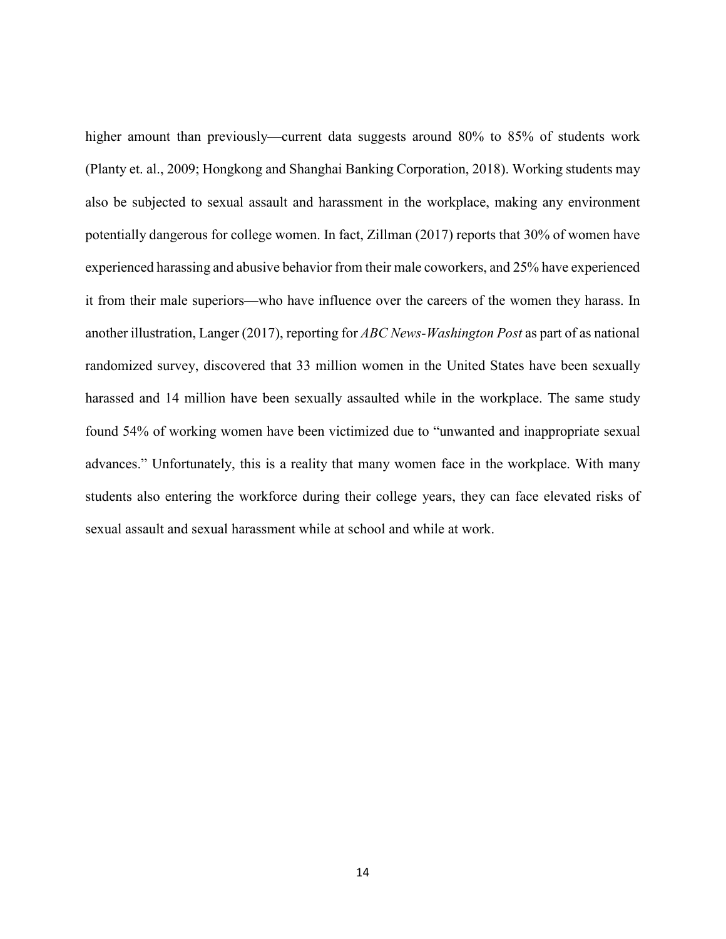higher amount than previously—current data suggests around 80% to 85% of students work (Planty et. al., 2009; Hongkong and Shanghai Banking Corporation, 2018). Working students may also be subjected to sexual assault and harassment in the workplace, making any environment potentially dangerous for college women. In fact, Zillman (2017) reports that 30% of women have experienced harassing and abusive behavior from their male coworkers, and 25% have experienced it from their male superiors—who have influence over the careers of the women they harass. In another illustration, Langer (2017), reporting for *ABC News-Washington Post* as part of as national randomized survey, discovered that 33 million women in the United States have been sexually harassed and 14 million have been sexually assaulted while in the workplace. The same study found 54% of working women have been victimized due to "unwanted and inappropriate sexual advances." Unfortunately, this is a reality that many women face in the workplace. With many students also entering the workforce during their college years, they can face elevated risks of sexual assault and sexual harassment while at school and while at work.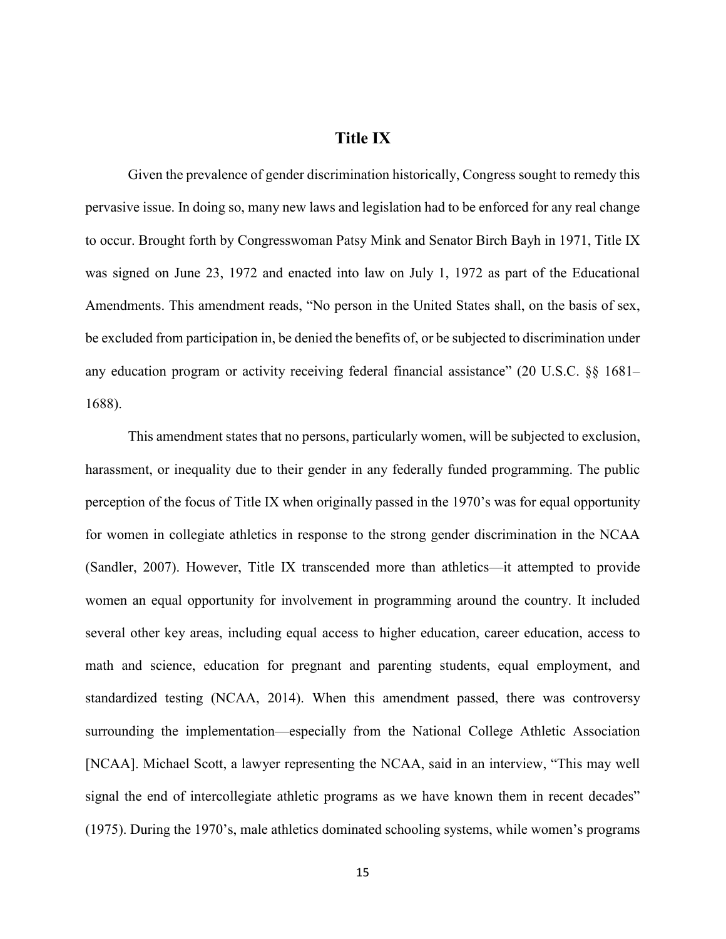## **Title IX**

<span id="page-19-0"></span>Given the prevalence of gender discrimination historically, Congress sought to remedy this pervasive issue. In doing so, many new laws and legislation had to be enforced for any real change to occur. Brought forth by Congresswoman Patsy Mink and Senator Birch Bayh in 1971, Title IX was signed on June 23, 1972 and enacted into law on July 1, 1972 as part of the Educational Amendments. This amendment reads, "No person in the United States shall, on the basis of sex, be excluded from participation in, be denied the benefits of, or be subjected to discrimination under any education program or activity receiving federal financial assistance" (20 U.S.C. §§ 1681– 1688).

This amendment states that no persons, particularly women, will be subjected to exclusion, harassment, or inequality due to their gender in any federally funded programming. The public perception of the focus of Title IX when originally passed in the 1970's was for equal opportunity for women in collegiate athletics in response to the strong gender discrimination in the NCAA (Sandler, 2007). However, Title IX transcended more than athletics—it attempted to provide women an equal opportunity for involvement in programming around the country. It included several other key areas, including equal access to higher education, career education, access to math and science, education for pregnant and parenting students, equal employment, and standardized testing (NCAA, 2014). When this amendment passed, there was controversy surrounding the implementation—especially from the National College Athletic Association [NCAA]. Michael Scott, a lawyer representing the NCAA, said in an interview, "This may well signal the end of intercollegiate athletic programs as we have known them in recent decades" (1975). During the 1970's, male athletics dominated schooling systems, while women's programs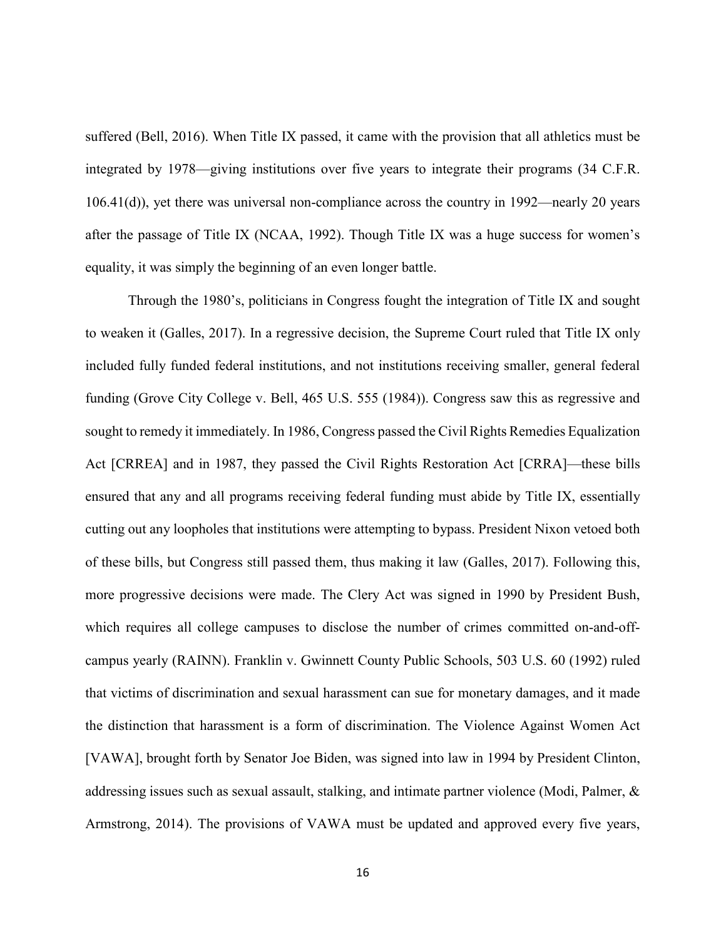suffered (Bell, 2016). When Title IX passed, it came with the provision that all athletics must be integrated by 1978—giving institutions over five years to integrate their programs (34 C.F.R. 106.41(d)), yet there was universal non-compliance across the country in 1992—nearly 20 years after the passage of Title IX (NCAA, 1992). Though Title IX was a huge success for women's equality, it was simply the beginning of an even longer battle.

Through the 1980's, politicians in Congress fought the integration of Title IX and sought to weaken it (Galles, 2017). In a regressive decision, the Supreme Court ruled that Title IX only included fully funded federal institutions, and not institutions receiving smaller, general federal funding (Grove City College v. Bell, 465 U.S. 555 (1984)). Congress saw this as regressive and sought to remedy it immediately. In 1986, Congress passed the Civil Rights Remedies Equalization Act [CRREA] and in 1987, they passed the Civil Rights Restoration Act [CRRA]—these bills ensured that any and all programs receiving federal funding must abide by Title IX, essentially cutting out any loopholes that institutions were attempting to bypass. President Nixon vetoed both of these bills, but Congress still passed them, thus making it law (Galles, 2017). Following this, more progressive decisions were made. The Clery Act was signed in 1990 by President Bush, which requires all college campuses to disclose the number of crimes committed on-and-offcampus yearly (RAINN). Franklin v. Gwinnett County Public Schools, 503 U.S. 60 (1992) ruled that victims of discrimination and sexual harassment can sue for monetary damages, and it made the distinction that harassment is a form of discrimination. The Violence Against Women Act [VAWA], brought forth by Senator Joe Biden, was signed into law in 1994 by President Clinton, addressing issues such as sexual assault, stalking, and intimate partner violence (Modi, Palmer, & Armstrong, 2014). The provisions of VAWA must be updated and approved every five years,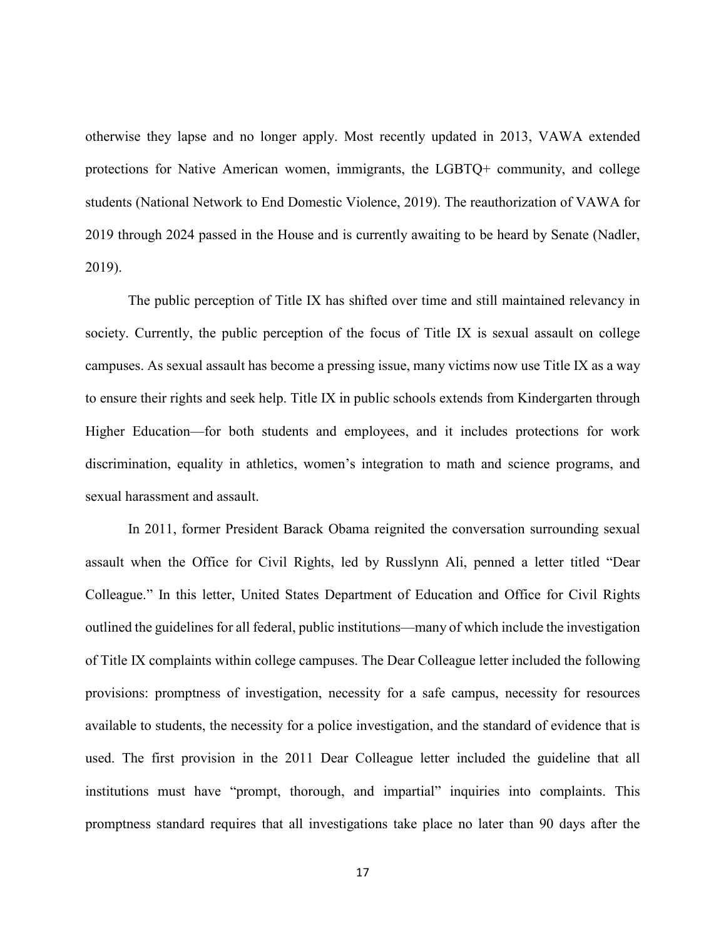otherwise they lapse and no longer apply. Most recently updated in 2013, VAWA extended protections for Native American women, immigrants, the LGBTQ+ community, and college students (National Network to End Domestic Violence, 2019). The reauthorization of VAWA for 2019 through 2024 passed in the House and is currently awaiting to be heard by Senate (Nadler, 2019).

The public perception of Title IX has shifted over time and still maintained relevancy in society. Currently, the public perception of the focus of Title IX is sexual assault on college campuses. As sexual assault has become a pressing issue, many victims now use Title IX as a way to ensure their rights and seek help. Title IX in public schools extends from Kindergarten through Higher Education—for both students and employees, and it includes protections for work discrimination, equality in athletics, women's integration to math and science programs, and sexual harassment and assault.

In 2011, former President Barack Obama reignited the conversation surrounding sexual assault when the Office for Civil Rights, led by Russlynn Ali, penned a letter titled "Dear Colleague." In this letter, United States Department of Education and Office for Civil Rights outlined the guidelines for all federal, public institutions—many of which include the investigation of Title IX complaints within college campuses. The Dear Colleague letter included the following provisions: promptness of investigation, necessity for a safe campus, necessity for resources available to students, the necessity for a police investigation, and the standard of evidence that is used. The first provision in the 2011 Dear Colleague letter included the guideline that all institutions must have "prompt, thorough, and impartial" inquiries into complaints. This promptness standard requires that all investigations take place no later than 90 days after the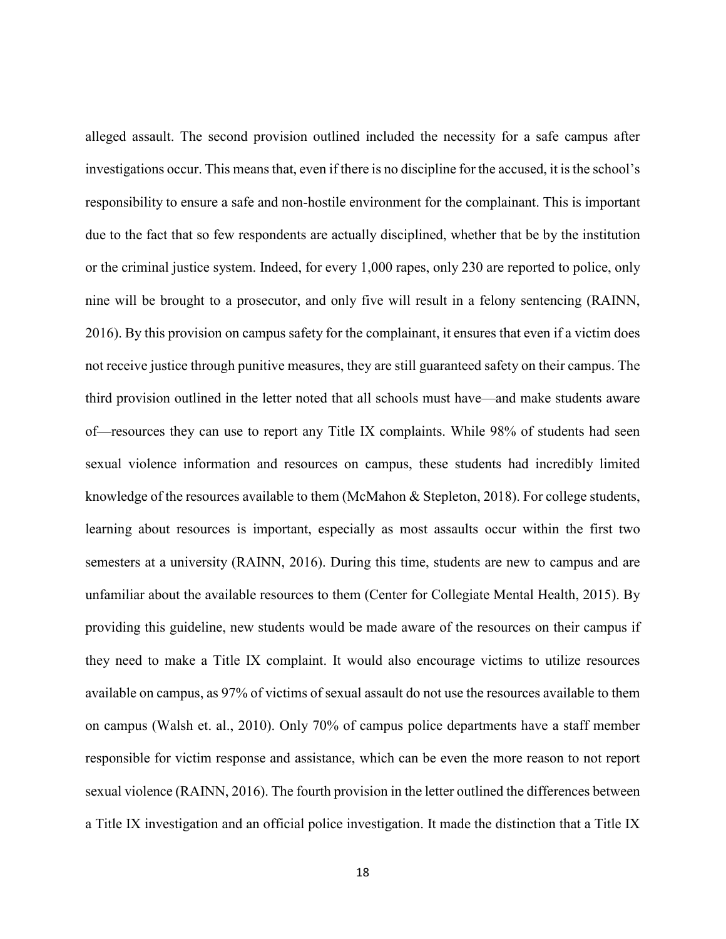alleged assault. The second provision outlined included the necessity for a safe campus after investigations occur. This means that, even if there is no discipline for the accused, it is the school's responsibility to ensure a safe and non-hostile environment for the complainant. This is important due to the fact that so few respondents are actually disciplined, whether that be by the institution or the criminal justice system. Indeed, for every 1,000 rapes, only 230 are reported to police, only nine will be brought to a prosecutor, and only five will result in a felony sentencing (RAINN, 2016). By this provision on campus safety for the complainant, it ensures that even if a victim does not receive justice through punitive measures, they are still guaranteed safety on their campus. The third provision outlined in the letter noted that all schools must have—and make students aware of—resources they can use to report any Title IX complaints. While 98% of students had seen sexual violence information and resources on campus, these students had incredibly limited knowledge of the resources available to them (McMahon & Stepleton, 2018). For college students, learning about resources is important, especially as most assaults occur within the first two semesters at a university (RAINN, 2016). During this time, students are new to campus and are unfamiliar about the available resources to them (Center for Collegiate Mental Health, 2015). By providing this guideline, new students would be made aware of the resources on their campus if they need to make a Title IX complaint. It would also encourage victims to utilize resources available on campus, as 97% of victims of sexual assault do not use the resources available to them on campus (Walsh et. al., 2010). Only 70% of campus police departments have a staff member responsible for victim response and assistance, which can be even the more reason to not report sexual violence (RAINN, 2016). The fourth provision in the letter outlined the differences between a Title IX investigation and an official police investigation. It made the distinction that a Title IX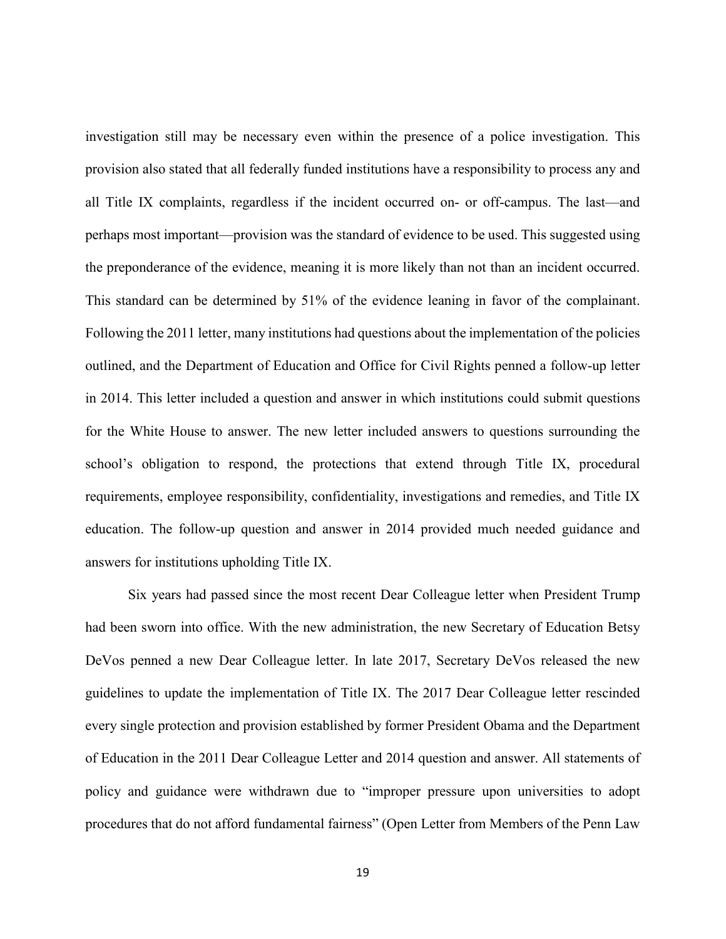investigation still may be necessary even within the presence of a police investigation. This provision also stated that all federally funded institutions have a responsibility to process any and all Title IX complaints, regardless if the incident occurred on- or off-campus. The last—and perhaps most important—provision was the standard of evidence to be used. This suggested using the preponderance of the evidence, meaning it is more likely than not than an incident occurred. This standard can be determined by 51% of the evidence leaning in favor of the complainant. Following the 2011 letter, many institutions had questions about the implementation of the policies outlined, and the Department of Education and Office for Civil Rights penned a follow-up letter in 2014. This letter included a question and answer in which institutions could submit questions for the White House to answer. The new letter included answers to questions surrounding the school's obligation to respond, the protections that extend through Title IX, procedural requirements, employee responsibility, confidentiality, investigations and remedies, and Title IX education. The follow-up question and answer in 2014 provided much needed guidance and answers for institutions upholding Title IX.

Six years had passed since the most recent Dear Colleague letter when President Trump had been sworn into office. With the new administration, the new Secretary of Education Betsy DeVos penned a new Dear Colleague letter. In late 2017, Secretary DeVos released the new guidelines to update the implementation of Title IX. The 2017 Dear Colleague letter rescinded every single protection and provision established by former President Obama and the Department of Education in the 2011 Dear Colleague Letter and 2014 question and answer. All statements of policy and guidance were withdrawn due to "improper pressure upon universities to adopt procedures that do not afford fundamental fairness" (Open Letter from Members of the Penn Law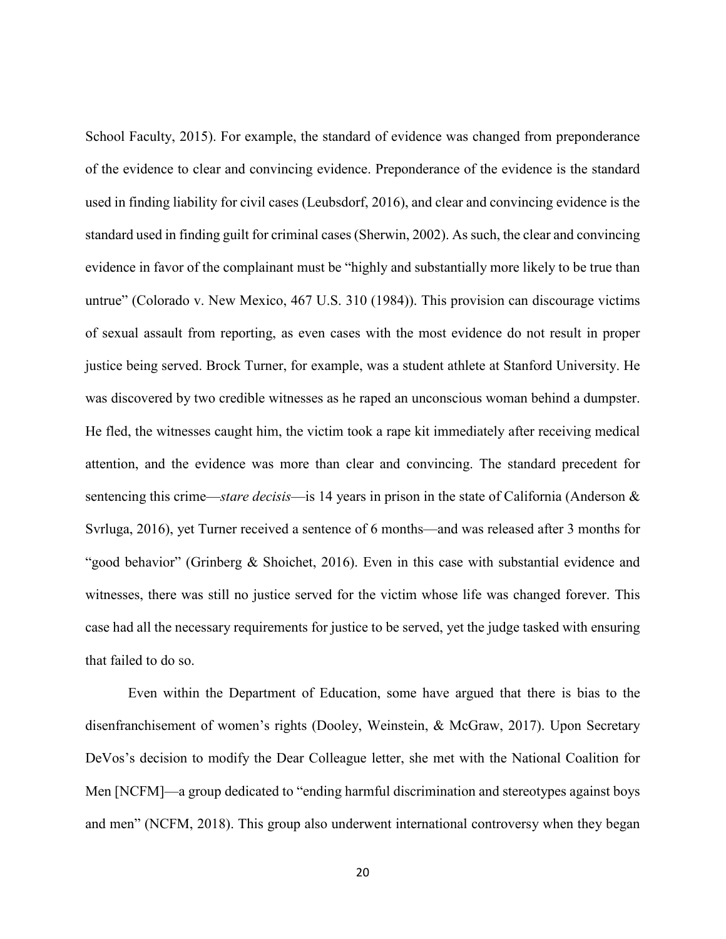School Faculty, 2015). For example, the standard of evidence was changed from preponderance of the evidence to clear and convincing evidence. Preponderance of the evidence is the standard used in finding liability for civil cases (Leubsdorf, 2016), and clear and convincing evidence is the standard used in finding guilt for criminal cases (Sherwin, 2002). As such, the clear and convincing evidence in favor of the complainant must be "highly and substantially more likely to be true than untrue" (Colorado v. New Mexico, 467 U.S. 310 (1984)). This provision can discourage victims of sexual assault from reporting, as even cases with the most evidence do not result in proper justice being served. Brock Turner, for example, was a student athlete at Stanford University. He was discovered by two credible witnesses as he raped an unconscious woman behind a dumpster. He fled, the witnesses caught him, the victim took a rape kit immediately after receiving medical attention, and the evidence was more than clear and convincing. The standard precedent for sentencing this crime—*stare decisis*—is 14 years in prison in the state of California (Anderson & Svrluga, 2016), yet Turner received a sentence of 6 months—and was released after 3 months for "good behavior" (Grinberg & Shoichet, 2016). Even in this case with substantial evidence and witnesses, there was still no justice served for the victim whose life was changed forever. This case had all the necessary requirements for justice to be served, yet the judge tasked with ensuring that failed to do so.

Even within the Department of Education, some have argued that there is bias to the disenfranchisement of women's rights (Dooley, Weinstein, & McGraw, 2017). Upon Secretary DeVos's decision to modify the Dear Colleague letter, she met with the National Coalition for Men [NCFM]—a group dedicated to "ending harmful discrimination and stereotypes against boys and men" (NCFM, 2018). This group also underwent international controversy when they began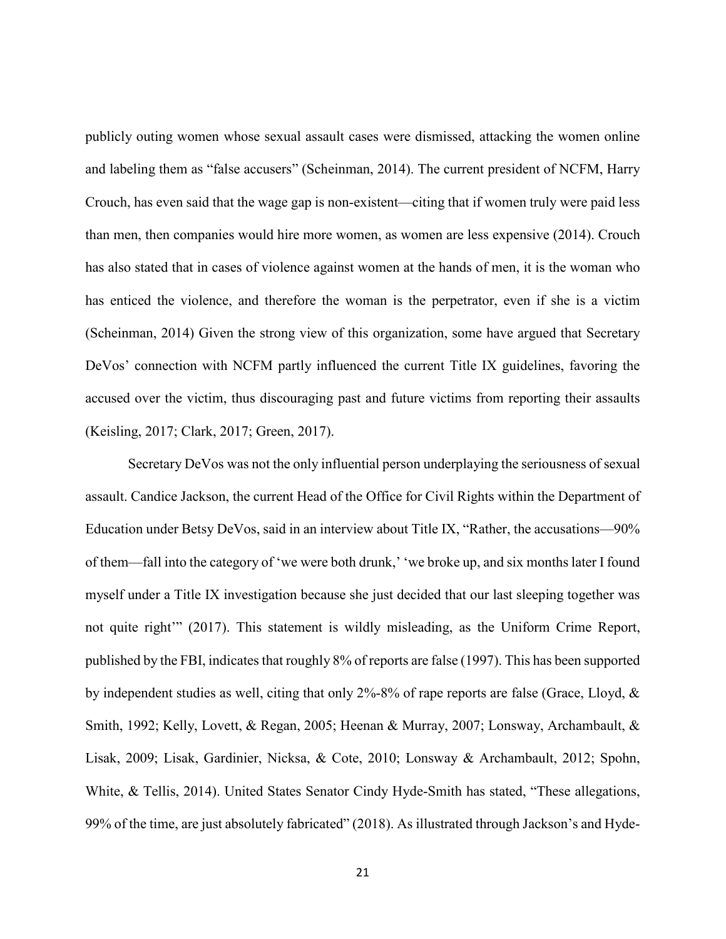publicly outing women whose sexual assault cases were dismissed, attacking the women online and labeling them as "false accusers" (Scheinman, 2014). The current president of NCFM, Harry Crouch, has even said that the wage gap is non-existent—citing that if women truly were paid less than men, then companies would hire more women, as women are less expensive (2014). Crouch has also stated that in cases of violence against women at the hands of men, it is the woman who has enticed the violence, and therefore the woman is the perpetrator, even if she is a victim (Scheinman, 2014) Given the strong view of this organization, some have argued that Secretary DeVos' connection with NCFM partly influenced the current Title IX guidelines, favoring the accused over the victim, thus discouraging past and future victims from reporting their assaults (Keisling, 2017; Clark, 2017; Green, 2017).

Secretary DeVos was not the only influential person underplaying the seriousness of sexual assault. Candice Jackson, the current Head of the Office for Civil Rights within the Department of Education under Betsy DeVos, said in an interview about Title IX, "Rather, the accusations—90% of them—fall into the category of 'we were both drunk,' 'we broke up, and six months later I found myself under a Title IX investigation because she just decided that our last sleeping together was not quite right'" (2017). This statement is wildly misleading, as the Uniform Crime Report, published by the FBI, indicates that roughly 8% of reports are false (1997). This has been supported by independent studies as well, citing that only 2%-8% of rape reports are false (Grace, Lloyd, & Smith, 1992; Kelly, Lovett, & Regan, 2005; Heenan & Murray, 2007; Lonsway, Archambault, & Lisak, 2009; Lisak, Gardinier, Nicksa, & Cote, 2010; Lonsway & Archambault, 2012; Spohn, White, & Tellis, 2014). United States Senator Cindy Hyde-Smith has stated, "These allegations, 99% of the time, are just absolutely fabricated" (2018). As illustrated through Jackson's and Hyde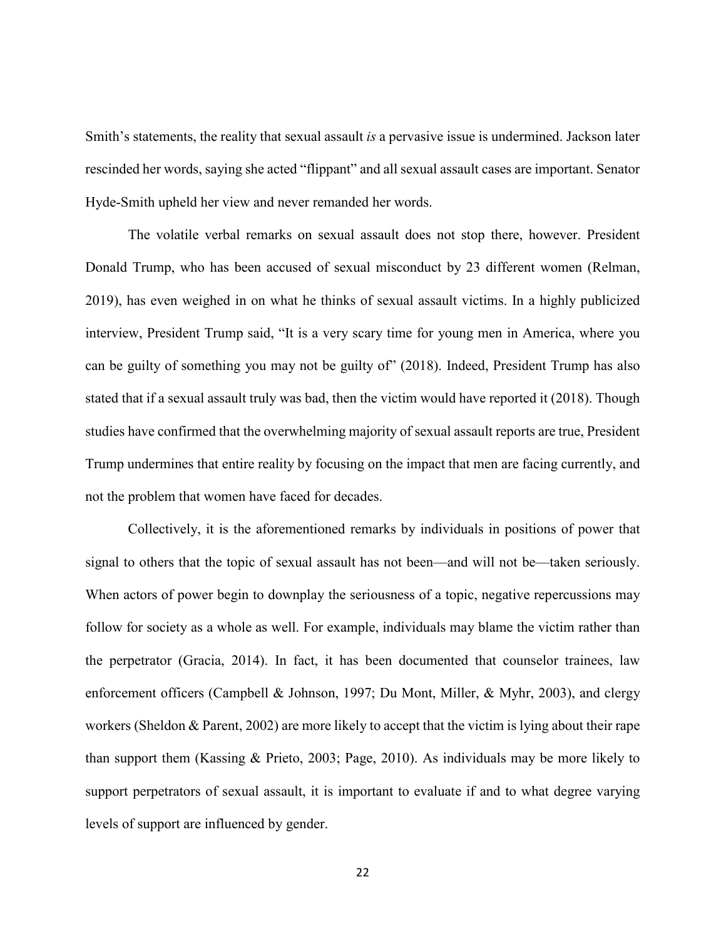Smith's statements, the reality that sexual assault *is* a pervasive issue is undermined. Jackson later rescinded her words, saying she acted "flippant" and all sexual assault cases are important. Senator Hyde-Smith upheld her view and never remanded her words.

The volatile verbal remarks on sexual assault does not stop there, however. President Donald Trump, who has been accused of sexual misconduct by 23 different women (Relman, 2019), has even weighed in on what he thinks of sexual assault victims. In a highly publicized interview, President Trump said, "It is a very scary time for young men in America, where you can be guilty of something you may not be guilty of" (2018). Indeed, President Trump has also stated that if a sexual assault truly was bad, then the victim would have reported it (2018). Though studies have confirmed that the overwhelming majority of sexual assault reports are true, President Trump undermines that entire reality by focusing on the impact that men are facing currently, and not the problem that women have faced for decades.

Collectively, it is the aforementioned remarks by individuals in positions of power that signal to others that the topic of sexual assault has not been—and will not be—taken seriously. When actors of power begin to downplay the seriousness of a topic, negative repercussions may follow for society as a whole as well. For example, individuals may blame the victim rather than the perpetrator (Gracia, 2014). In fact, it has been documented that counselor trainees, law enforcement officers (Campbell & Johnson, 1997; Du Mont, Miller, & Myhr, 2003), and clergy workers (Sheldon & Parent, 2002) are more likely to accept that the victim is lying about their rape than support them (Kassing & Prieto, 2003; Page, 2010). As individuals may be more likely to support perpetrators of sexual assault, it is important to evaluate if and to what degree varying levels of support are influenced by gender.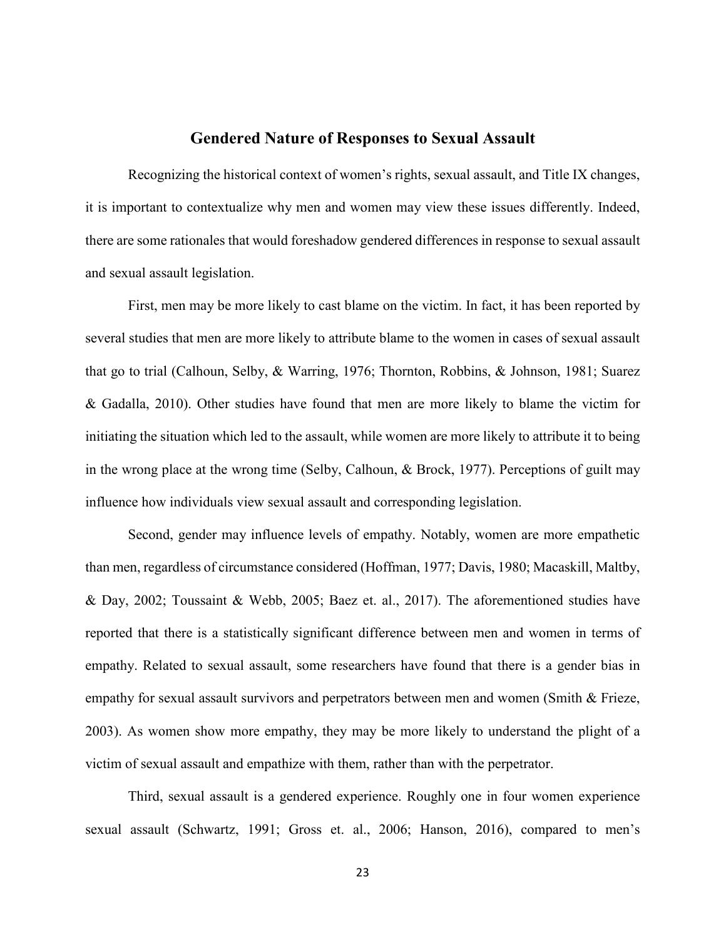#### **Gendered Nature of Responses to Sexual Assault**

<span id="page-27-0"></span>Recognizing the historical context of women's rights, sexual assault, and Title IX changes, it is important to contextualize why men and women may view these issues differently. Indeed, there are some rationales that would foreshadow gendered differences in response to sexual assault and sexual assault legislation.

First, men may be more likely to cast blame on the victim. In fact, it has been reported by several studies that men are more likely to attribute blame to the women in cases of sexual assault that go to trial (Calhoun, Selby, & Warring, 1976; Thornton, Robbins, & Johnson, 1981; Suarez & Gadalla, 2010). Other studies have found that men are more likely to blame the victim for initiating the situation which led to the assault, while women are more likely to attribute it to being in the wrong place at the wrong time (Selby, Calhoun, & Brock, 1977). Perceptions of guilt may influence how individuals view sexual assault and corresponding legislation.

Second, gender may influence levels of empathy. Notably, women are more empathetic than men, regardless of circumstance considered (Hoffman, 1977; Davis, 1980; Macaskill, Maltby, & Day, 2002; Toussaint & Webb, 2005; Baez et. al., 2017). The aforementioned studies have reported that there is a statistically significant difference between men and women in terms of empathy. Related to sexual assault, some researchers have found that there is a gender bias in empathy for sexual assault survivors and perpetrators between men and women (Smith & Frieze, 2003). As women show more empathy, they may be more likely to understand the plight of a victim of sexual assault and empathize with them, rather than with the perpetrator.

Third, sexual assault is a gendered experience. Roughly one in four women experience sexual assault (Schwartz, 1991; Gross et. al., 2006; Hanson, 2016), compared to men's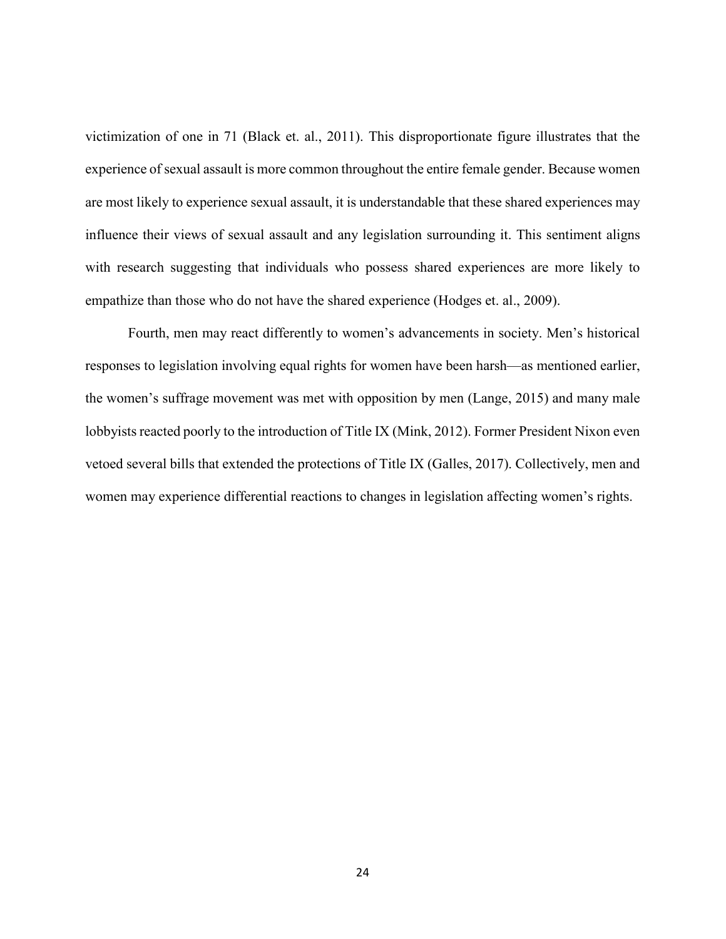victimization of one in 71 (Black et. al., 2011). This disproportionate figure illustrates that the experience of sexual assault is more common throughout the entire female gender. Because women are most likely to experience sexual assault, it is understandable that these shared experiences may influence their views of sexual assault and any legislation surrounding it. This sentiment aligns with research suggesting that individuals who possess shared experiences are more likely to empathize than those who do not have the shared experience (Hodges et. al., 2009).

Fourth, men may react differently to women's advancements in society. Men's historical responses to legislation involving equal rights for women have been harsh—as mentioned earlier, the women's suffrage movement was met with opposition by men (Lange, 2015) and many male lobbyists reacted poorly to the introduction of Title IX (Mink, 2012). Former President Nixon even vetoed several bills that extended the protections of Title IX (Galles, 2017). Collectively, men and women may experience differential reactions to changes in legislation affecting women's rights.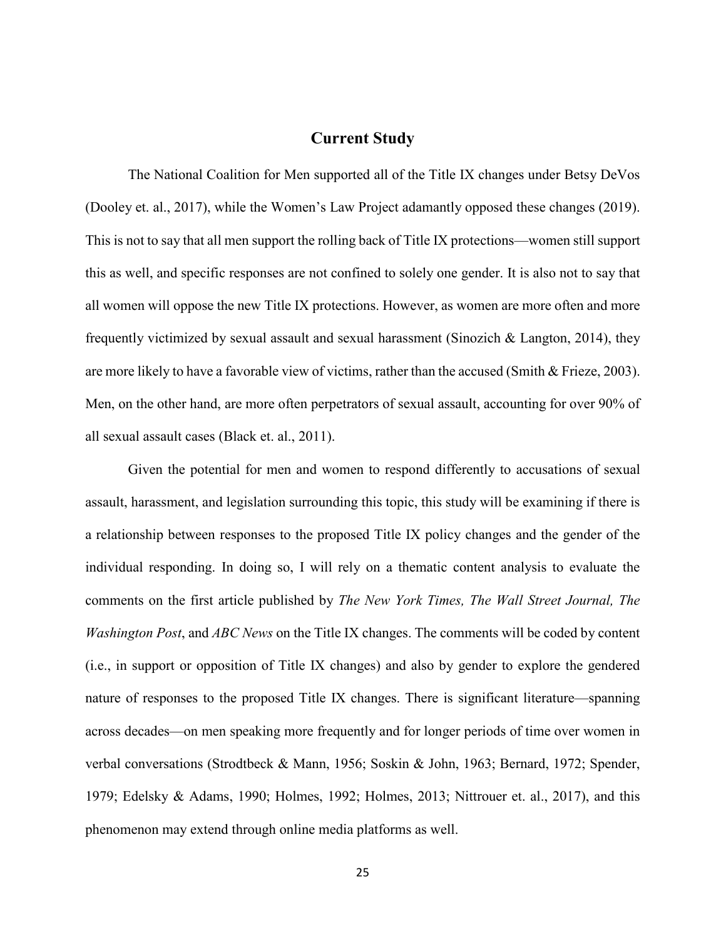### **Current Study**

<span id="page-29-0"></span>The National Coalition for Men supported all of the Title IX changes under Betsy DeVos (Dooley et. al., 2017), while the Women's Law Project adamantly opposed these changes (2019). This is not to say that all men support the rolling back of Title IX protections—women still support this as well, and specific responses are not confined to solely one gender. It is also not to say that all women will oppose the new Title IX protections. However, as women are more often and more frequently victimized by sexual assault and sexual harassment (Sinozich & Langton, 2014), they are more likely to have a favorable view of victims, rather than the accused (Smith & Frieze, 2003). Men, on the other hand, are more often perpetrators of sexual assault, accounting for over 90% of all sexual assault cases (Black et. al., 2011).

Given the potential for men and women to respond differently to accusations of sexual assault, harassment, and legislation surrounding this topic, this study will be examining if there is a relationship between responses to the proposed Title IX policy changes and the gender of the individual responding. In doing so, I will rely on a thematic content analysis to evaluate the comments on the first article published by *The New York Times, The Wall Street Journal, The Washington Post*, and *ABC News* on the Title IX changes. The comments will be coded by content (i.e., in support or opposition of Title IX changes) and also by gender to explore the gendered nature of responses to the proposed Title IX changes. There is significant literature—spanning across decades—on men speaking more frequently and for longer periods of time over women in verbal conversations (Strodtbeck & Mann, 1956; Soskin & John, 1963; Bernard, 1972; Spender, 1979; Edelsky & Adams, 1990; Holmes, 1992; Holmes, 2013; Nittrouer et. al., 2017), and this phenomenon may extend through online media platforms as well.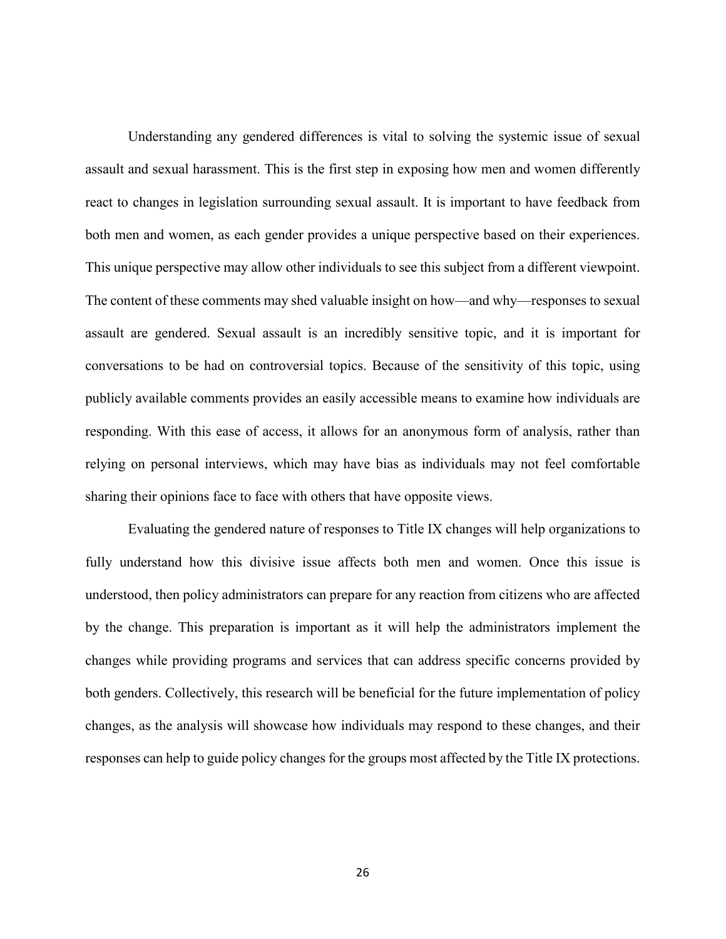Understanding any gendered differences is vital to solving the systemic issue of sexual assault and sexual harassment. This is the first step in exposing how men and women differently react to changes in legislation surrounding sexual assault. It is important to have feedback from both men and women, as each gender provides a unique perspective based on their experiences. This unique perspective may allow other individuals to see this subject from a different viewpoint. The content of these comments may shed valuable insight on how—and why—responses to sexual assault are gendered. Sexual assault is an incredibly sensitive topic, and it is important for conversations to be had on controversial topics. Because of the sensitivity of this topic, using publicly available comments provides an easily accessible means to examine how individuals are responding. With this ease of access, it allows for an anonymous form of analysis, rather than relying on personal interviews, which may have bias as individuals may not feel comfortable sharing their opinions face to face with others that have opposite views.

Evaluating the gendered nature of responses to Title IX changes will help organizations to fully understand how this divisive issue affects both men and women. Once this issue is understood, then policy administrators can prepare for any reaction from citizens who are affected by the change. This preparation is important as it will help the administrators implement the changes while providing programs and services that can address specific concerns provided by both genders. Collectively, this research will be beneficial for the future implementation of policy changes, as the analysis will showcase how individuals may respond to these changes, and their responses can help to guide policy changes for the groups most affected by the Title IX protections.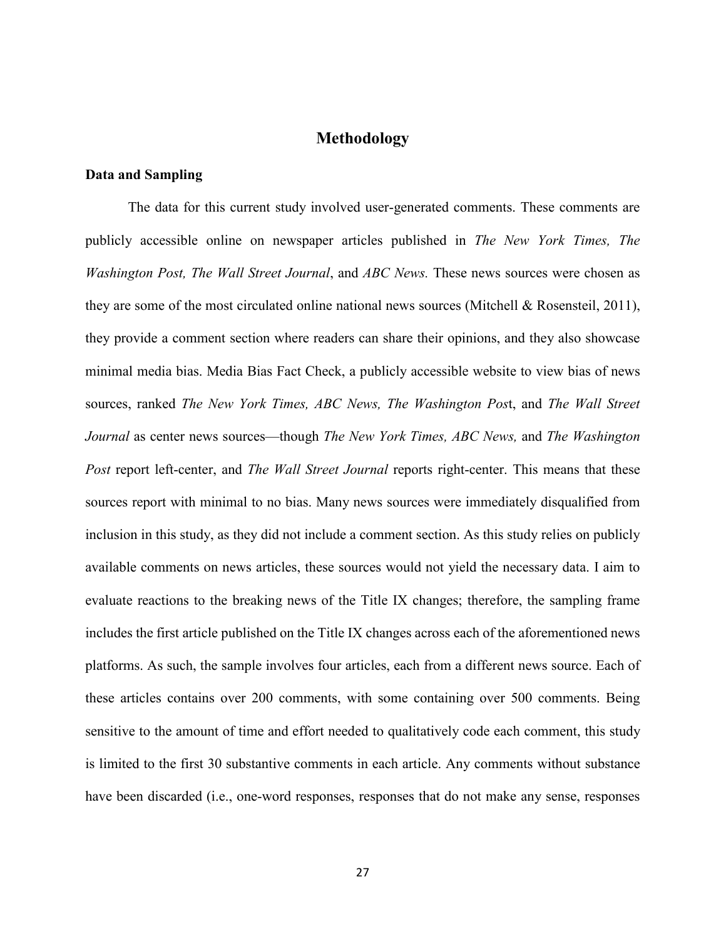### **Methodology**

#### <span id="page-31-1"></span><span id="page-31-0"></span>**Data and Sampling**

The data for this current study involved user-generated comments. These comments are publicly accessible online on newspaper articles published in *The New York Times, The Washington Post, The Wall Street Journal*, and *ABC News.* These news sources were chosen as they are some of the most circulated online national news sources (Mitchell & Rosensteil, 2011), they provide a comment section where readers can share their opinions, and they also showcase minimal media bias. Media Bias Fact Check, a publicly accessible website to view bias of news sources, ranked *The New York Times, ABC News, The Washington Pos*t, and *The Wall Street Journal* as center news sources—though *The New York Times, ABC News,* and *The Washington Post* report left-center, and *The Wall Street Journal* reports right-center. This means that these sources report with minimal to no bias. Many news sources were immediately disqualified from inclusion in this study, as they did not include a comment section. As this study relies on publicly available comments on news articles, these sources would not yield the necessary data. I aim to evaluate reactions to the breaking news of the Title IX changes; therefore, the sampling frame includes the first article published on the Title IX changes across each of the aforementioned news platforms. As such, the sample involves four articles, each from a different news source. Each of these articles contains over 200 comments, with some containing over 500 comments. Being sensitive to the amount of time and effort needed to qualitatively code each comment, this study is limited to the first 30 substantive comments in each article. Any comments without substance have been discarded (i.e., one-word responses, responses that do not make any sense, responses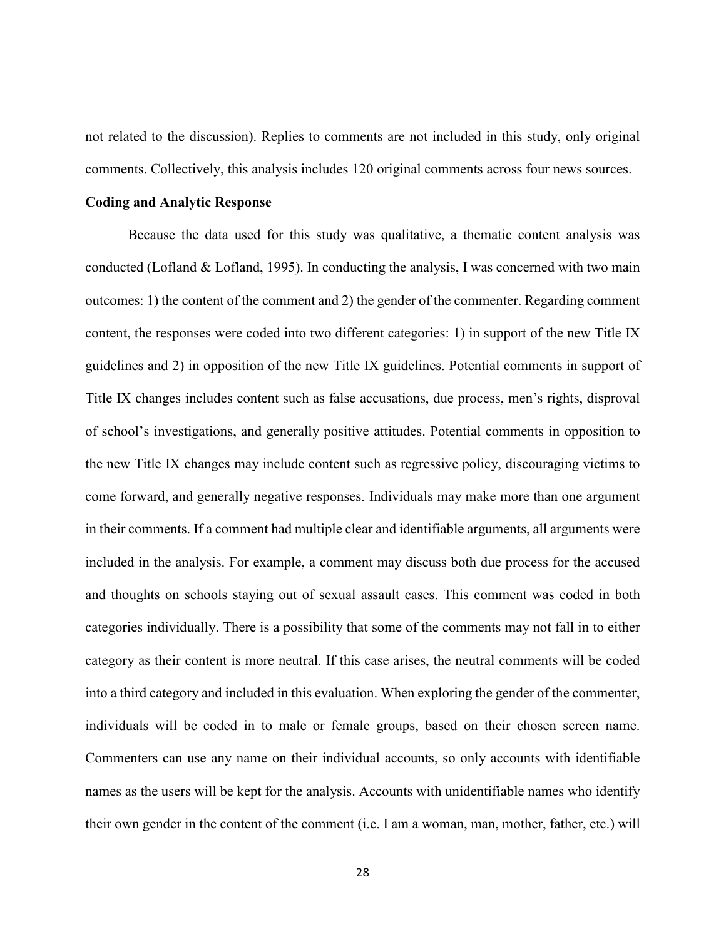not related to the discussion). Replies to comments are not included in this study, only original comments. Collectively, this analysis includes 120 original comments across four news sources.

#### <span id="page-32-0"></span>**Coding and Analytic Response**

Because the data used for this study was qualitative, a thematic content analysis was conducted (Lofland & Lofland, 1995). In conducting the analysis, I was concerned with two main outcomes: 1) the content of the comment and 2) the gender of the commenter. Regarding comment content, the responses were coded into two different categories: 1) in support of the new Title IX guidelines and 2) in opposition of the new Title IX guidelines. Potential comments in support of Title IX changes includes content such as false accusations, due process, men's rights, disproval of school's investigations, and generally positive attitudes. Potential comments in opposition to the new Title IX changes may include content such as regressive policy, discouraging victims to come forward, and generally negative responses. Individuals may make more than one argument in their comments. If a comment had multiple clear and identifiable arguments, all arguments were included in the analysis. For example, a comment may discuss both due process for the accused and thoughts on schools staying out of sexual assault cases. This comment was coded in both categories individually. There is a possibility that some of the comments may not fall in to either category as their content is more neutral. If this case arises, the neutral comments will be coded into a third category and included in this evaluation. When exploring the gender of the commenter, individuals will be coded in to male or female groups, based on their chosen screen name. Commenters can use any name on their individual accounts, so only accounts with identifiable names as the users will be kept for the analysis. Accounts with unidentifiable names who identify their own gender in the content of the comment (i.e. I am a woman, man, mother, father, etc.) will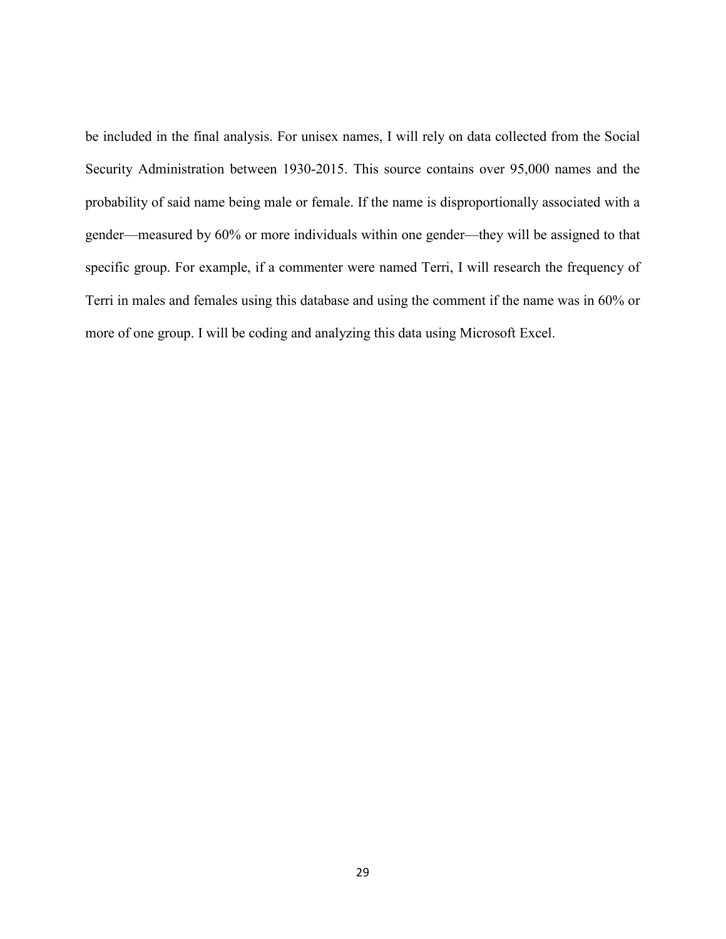be included in the final analysis. For unisex names, I will rely on data collected from the Social Security Administration between 1930-2015. This source contains over 95,000 names and the probability of said name being male or female. If the name is disproportionally associated with a gender—measured by 60% or more individuals within one gender—they will be assigned to that specific group. For example, if a commenter were named Terri, I will research the frequency of Terri in males and females using this database and using the comment if the name was in 60% or more of one group. I will be coding and analyzing this data using Microsoft Excel.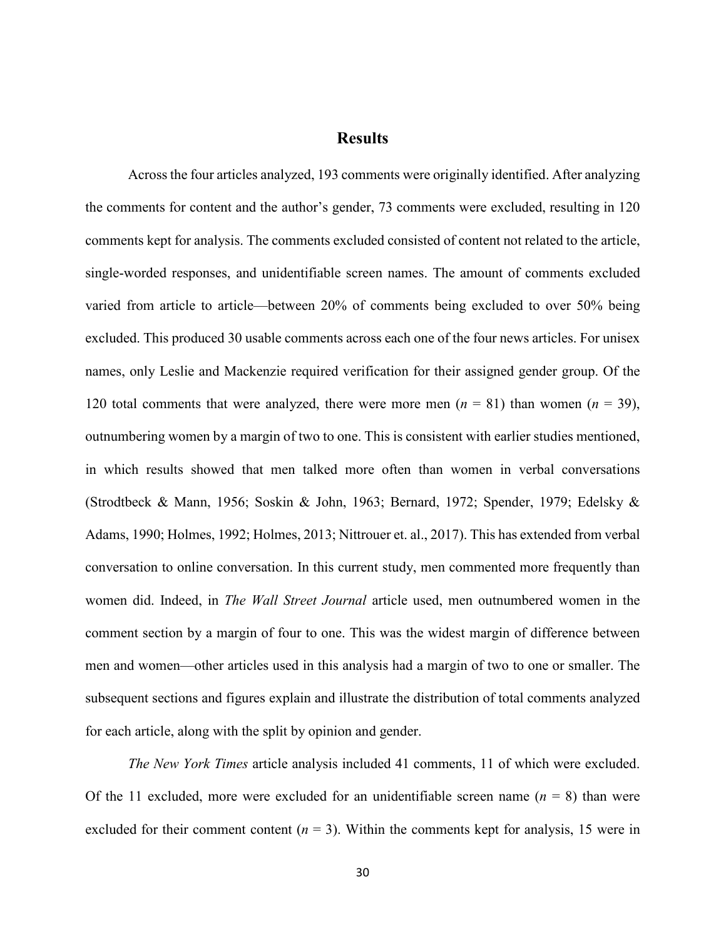## **Results**

<span id="page-34-0"></span>Across the four articles analyzed, 193 comments were originally identified. After analyzing the comments for content and the author's gender, 73 comments were excluded, resulting in 120 comments kept for analysis. The comments excluded consisted of content not related to the article, single-worded responses, and unidentifiable screen names. The amount of comments excluded varied from article to article—between 20% of comments being excluded to over 50% being excluded. This produced 30 usable comments across each one of the four news articles. For unisex names, only Leslie and Mackenzie required verification for their assigned gender group. Of the 120 total comments that were analyzed, there were more men  $(n = 81)$  than women  $(n = 39)$ , outnumbering women by a margin of two to one. This is consistent with earlier studies mentioned, in which results showed that men talked more often than women in verbal conversations (Strodtbeck & Mann, 1956; Soskin & John, 1963; Bernard, 1972; Spender, 1979; Edelsky & Adams, 1990; Holmes, 1992; Holmes, 2013; Nittrouer et. al., 2017). This has extended from verbal conversation to online conversation. In this current study, men commented more frequently than women did. Indeed, in *The Wall Street Journal* article used, men outnumbered women in the comment section by a margin of four to one. This was the widest margin of difference between men and women—other articles used in this analysis had a margin of two to one or smaller. The subsequent sections and figures explain and illustrate the distribution of total comments analyzed for each article, along with the split by opinion and gender.

*The New York Times* article analysis included 41 comments, 11 of which were excluded. Of the 11 excluded, more were excluded for an unidentifiable screen name  $(n = 8)$  than were excluded for their comment content  $(n = 3)$ . Within the comments kept for analysis, 15 were in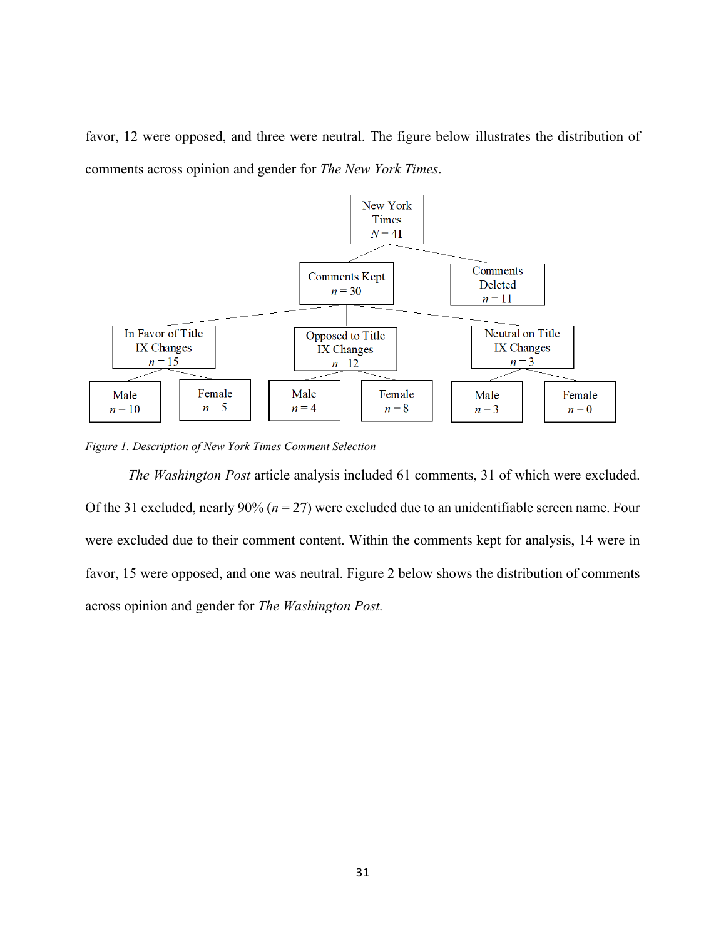favor, 12 were opposed, and three were neutral. The figure below illustrates the distribution of comments across opinion and gender for *The New York Times*.



*Figure 1. Description of New York Times Comment Selection*

*The Washington Post* article analysis included 61 comments, 31 of which were excluded. Of the 31 excluded, nearly  $90\%$  ( $n = 27$ ) were excluded due to an unidentifiable screen name. Four were excluded due to their comment content. Within the comments kept for analysis, 14 were in favor, 15 were opposed, and one was neutral. Figure 2 below shows the distribution of comments across opinion and gender for *The Washington Post.*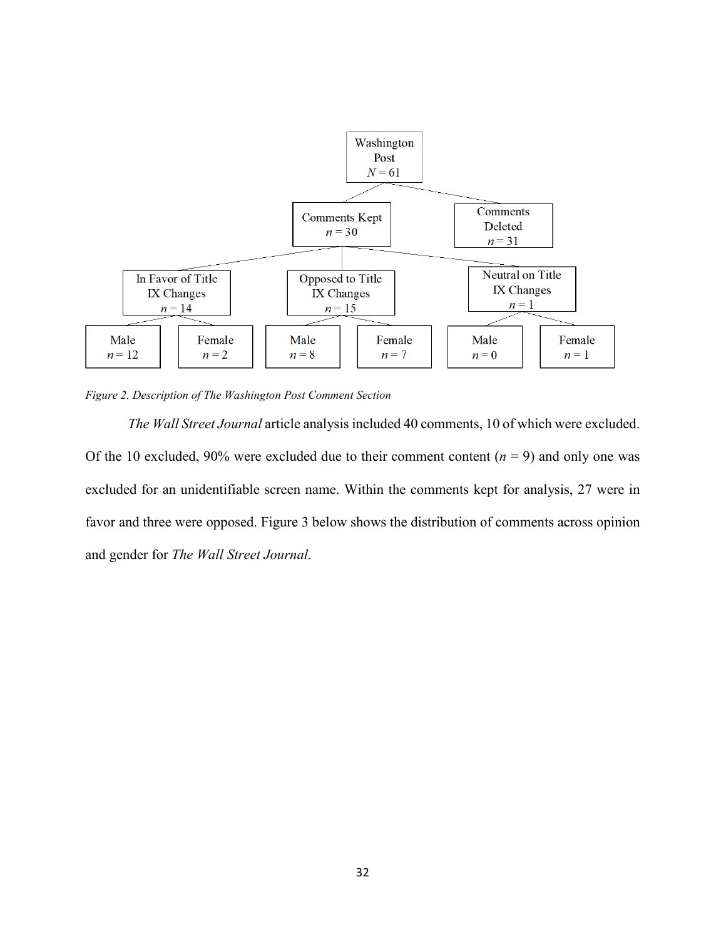

*Figure 2. Description of The Washington Post Comment Section*

*The Wall Street Journal* article analysis included 40 comments, 10 of which were excluded. Of the 10 excluded, 90% were excluded due to their comment content  $(n = 9)$  and only one was excluded for an unidentifiable screen name. Within the comments kept for analysis, 27 were in favor and three were opposed. Figure 3 below shows the distribution of comments across opinion and gender for *The Wall Street Journal.*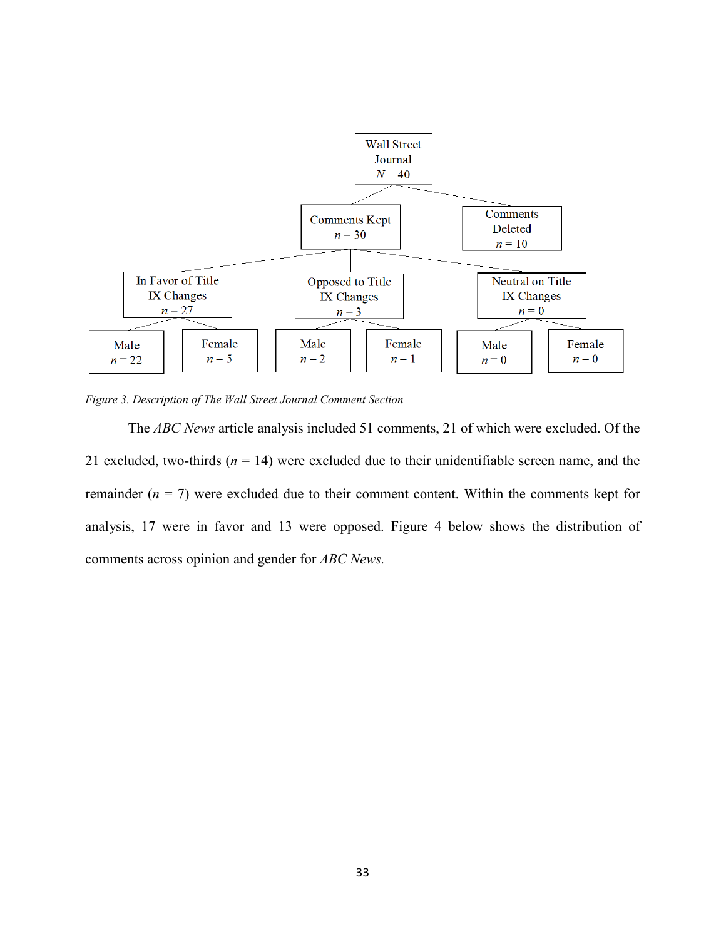

*Figure 3. Description of The Wall Street Journal Comment Section*

The *ABC News* article analysis included 51 comments, 21 of which were excluded. Of the 21 excluded, two-thirds  $(n = 14)$  were excluded due to their unidentifiable screen name, and the remainder  $(n = 7)$  were excluded due to their comment content. Within the comments kept for analysis, 17 were in favor and 13 were opposed. Figure 4 below shows the distribution of comments across opinion and gender for *ABC News.*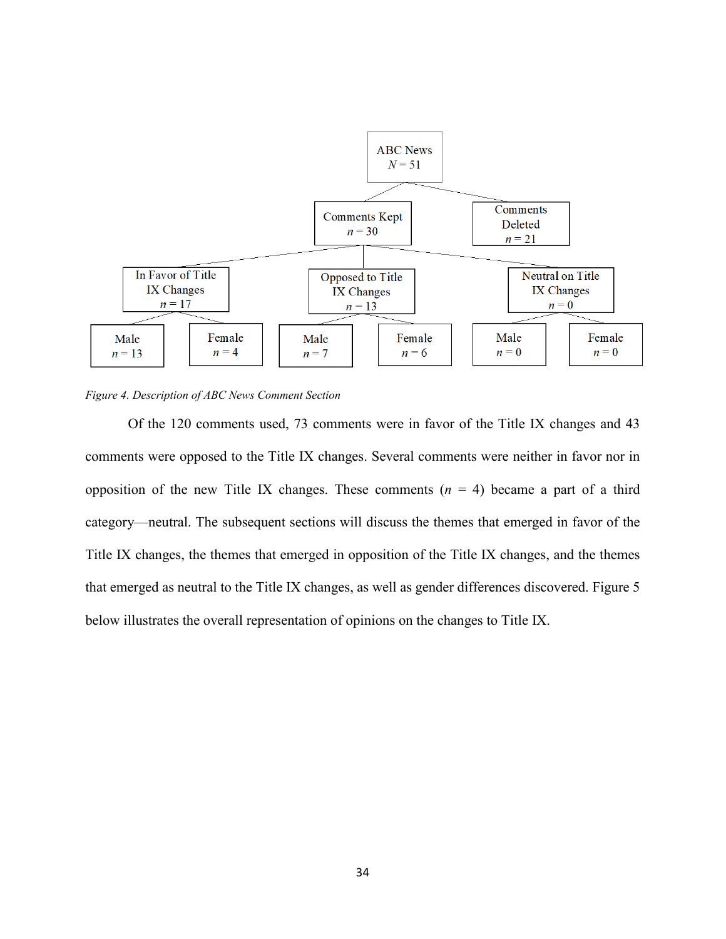

*Figure 4. Description of ABC News Comment Section*

Of the 120 comments used, 73 comments were in favor of the Title IX changes and 43 comments were opposed to the Title IX changes. Several comments were neither in favor nor in opposition of the new Title IX changes. These comments  $(n = 4)$  became a part of a third category—neutral. The subsequent sections will discuss the themes that emerged in favor of the Title IX changes, the themes that emerged in opposition of the Title IX changes, and the themes that emerged as neutral to the Title IX changes, as well as gender differences discovered. Figure 5 below illustrates the overall representation of opinions on the changes to Title IX.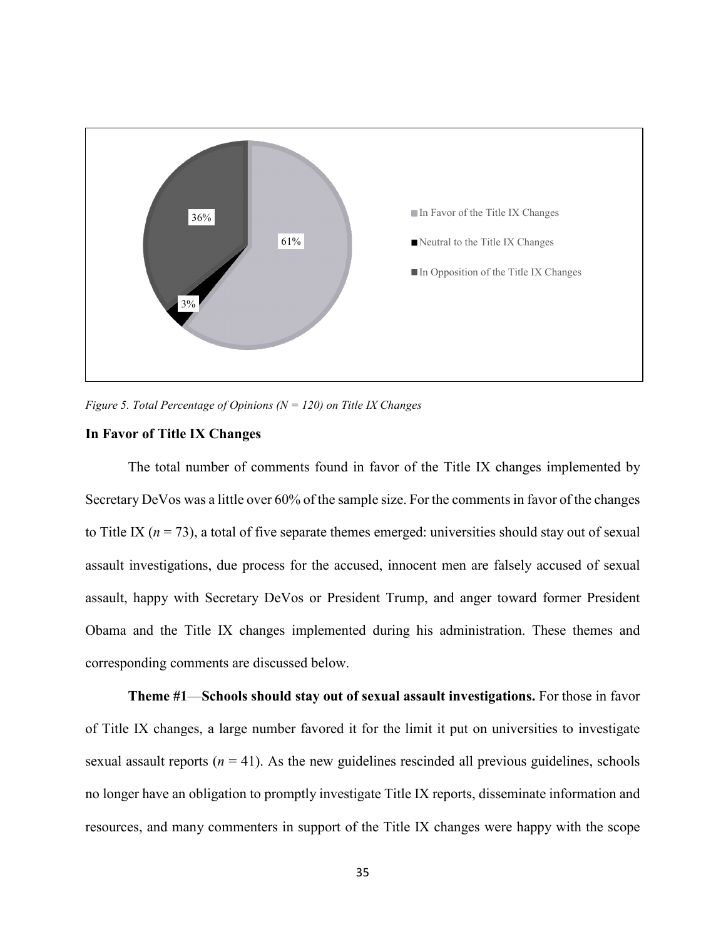

*Figure 5. Total Percentage of Opinions (N = 120) on Title IX Changes*

### **In Favor of Title IX Changes**

The total number of comments found in favor of the Title IX changes implemented by Secretary DeVos was a little over 60% of the sample size. For the comments in favor of the changes to Title IX ( $n = 73$ ), a total of five separate themes emerged: universities should stay out of sexual assault investigations, due process for the accused, innocent men are falsely accused of sexual assault, happy with Secretary DeVos or President Trump, and anger toward former President Obama and the Title IX changes implemented during his administration. These themes and corresponding comments are discussed below.

**Theme #1**—**Schools should stay out of sexual assault investigations.** For those in favor of Title IX changes, a large number favored it for the limit it put on universities to investigate sexual assault reports  $(n = 41)$ . As the new guidelines rescinded all previous guidelines, schools no longer have an obligation to promptly investigate Title IX reports, disseminate information and resources, and many commenters in support of the Title IX changes were happy with the scope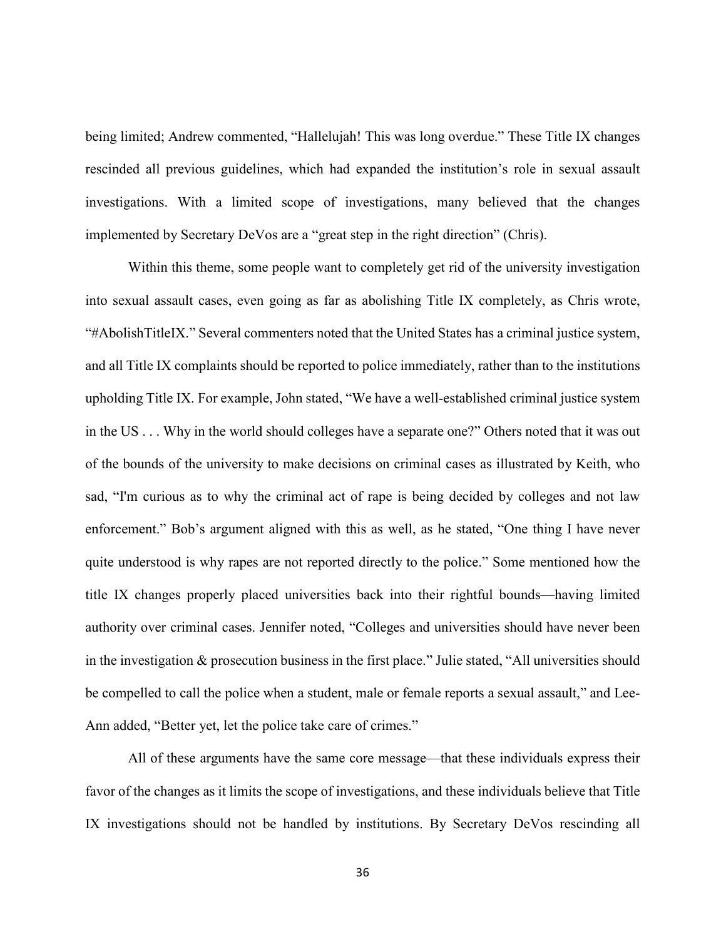being limited; Andrew commented, "Hallelujah! This was long overdue." These Title IX changes rescinded all previous guidelines, which had expanded the institution's role in sexual assault investigations. With a limited scope of investigations, many believed that the changes implemented by Secretary DeVos are a "great step in the right direction" (Chris).

Within this theme, some people want to completely get rid of the university investigation into sexual assault cases, even going as far as abolishing Title IX completely, as Chris wrote, "#AbolishTitleIX." Several commenters noted that the United States has a criminal justice system, and all Title IX complaints should be reported to police immediately, rather than to the institutions upholding Title IX. For example, John stated, "We have a well-established criminal justice system in the US . . . Why in the world should colleges have a separate one?" Others noted that it was out of the bounds of the university to make decisions on criminal cases as illustrated by Keith, who sad, "I'm curious as to why the criminal act of rape is being decided by colleges and not law enforcement." Bob's argument aligned with this as well, as he stated, "One thing I have never quite understood is why rapes are not reported directly to the police." Some mentioned how the title IX changes properly placed universities back into their rightful bounds—having limited authority over criminal cases. Jennifer noted, "Colleges and universities should have never been in the investigation & prosecution business in the first place." Julie stated, "All universities should be compelled to call the police when a student, male or female reports a sexual assault," and Lee-Ann added, "Better yet, let the police take care of crimes."

All of these arguments have the same core message—that these individuals express their favor of the changes as it limits the scope of investigations, and these individuals believe that Title IX investigations should not be handled by institutions. By Secretary DeVos rescinding all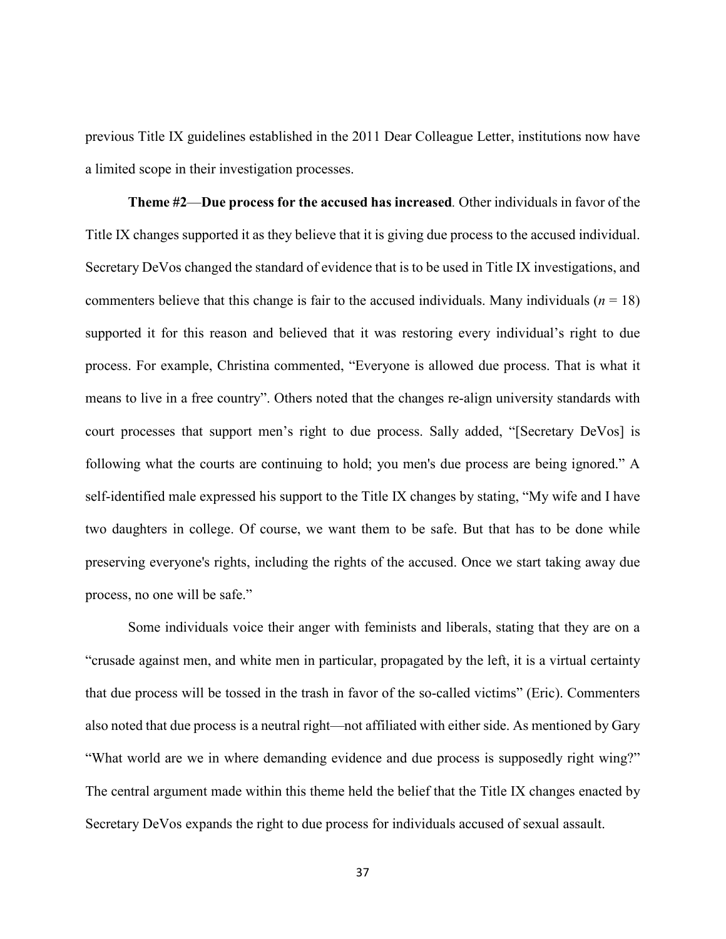previous Title IX guidelines established in the 2011 Dear Colleague Letter, institutions now have a limited scope in their investigation processes.

**Theme #2**—**Due process for the accused has increased***.* Other individuals in favor of the Title IX changes supported it as they believe that it is giving due process to the accused individual. Secretary DeVos changed the standard of evidence that is to be used in Title IX investigations, and commenters believe that this change is fair to the accused individuals. Many individuals  $(n = 18)$ supported it for this reason and believed that it was restoring every individual's right to due process. For example, Christina commented, "Everyone is allowed due process. That is what it means to live in a free country". Others noted that the changes re-align university standards with court processes that support men's right to due process. Sally added, "[Secretary DeVos] is following what the courts are continuing to hold; you men's due process are being ignored." A self-identified male expressed his support to the Title IX changes by stating, "My wife and I have two daughters in college. Of course, we want them to be safe. But that has to be done while preserving everyone's rights, including the rights of the accused. Once we start taking away due process, no one will be safe."

Some individuals voice their anger with feminists and liberals, stating that they are on a "crusade against men, and white men in particular, propagated by the left, it is a virtual certainty that due process will be tossed in the trash in favor of the so-called victims" (Eric). Commenters also noted that due process is a neutral right—not affiliated with either side. As mentioned by Gary "What world are we in where demanding evidence and due process is supposedly right wing?" The central argument made within this theme held the belief that the Title IX changes enacted by Secretary DeVos expands the right to due process for individuals accused of sexual assault.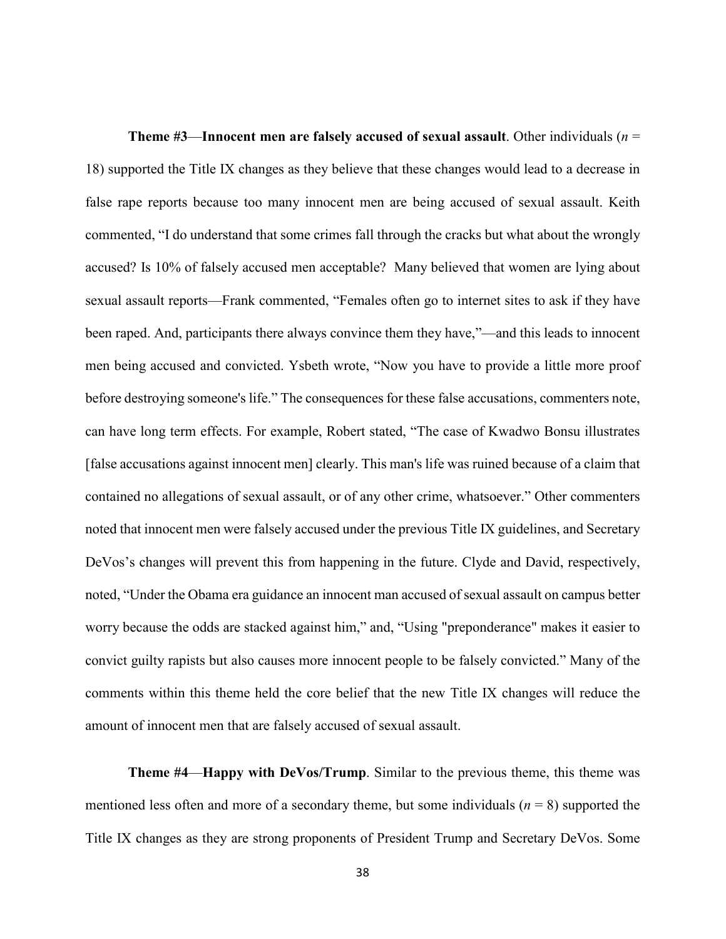**Theme #3**—**Innocent men are falsely accused of sexual assault**. Other individuals (*n* = 18) supported the Title IX changes as they believe that these changes would lead to a decrease in false rape reports because too many innocent men are being accused of sexual assault. Keith commented, "I do understand that some crimes fall through the cracks but what about the wrongly accused? Is 10% of falsely accused men acceptable? Many believed that women are lying about sexual assault reports—Frank commented, "Females often go to internet sites to ask if they have been raped. And, participants there always convince them they have,"—and this leads to innocent men being accused and convicted. Ysbeth wrote, "Now you have to provide a little more proof before destroying someone's life." The consequences for these false accusations, commenters note, can have long term effects. For example, Robert stated, "The case of Kwadwo Bonsu illustrates [false accusations against innocent men] clearly. This man's life was ruined because of a claim that contained no allegations of sexual assault, or of any other crime, whatsoever." Other commenters noted that innocent men were falsely accused under the previous Title IX guidelines, and Secretary DeVos's changes will prevent this from happening in the future. Clyde and David, respectively, noted, "Under the Obama era guidance an innocent man accused of sexual assault on campus better worry because the odds are stacked against him," and, "Using "preponderance" makes it easier to convict guilty rapists but also causes more innocent people to be falsely convicted." Many of the comments within this theme held the core belief that the new Title IX changes will reduce the amount of innocent men that are falsely accused of sexual assault.

**Theme #4**—**Happy with DeVos/Trump**. Similar to the previous theme, this theme was mentioned less often and more of a secondary theme, but some individuals (*n* = 8) supported the Title IX changes as they are strong proponents of President Trump and Secretary DeVos. Some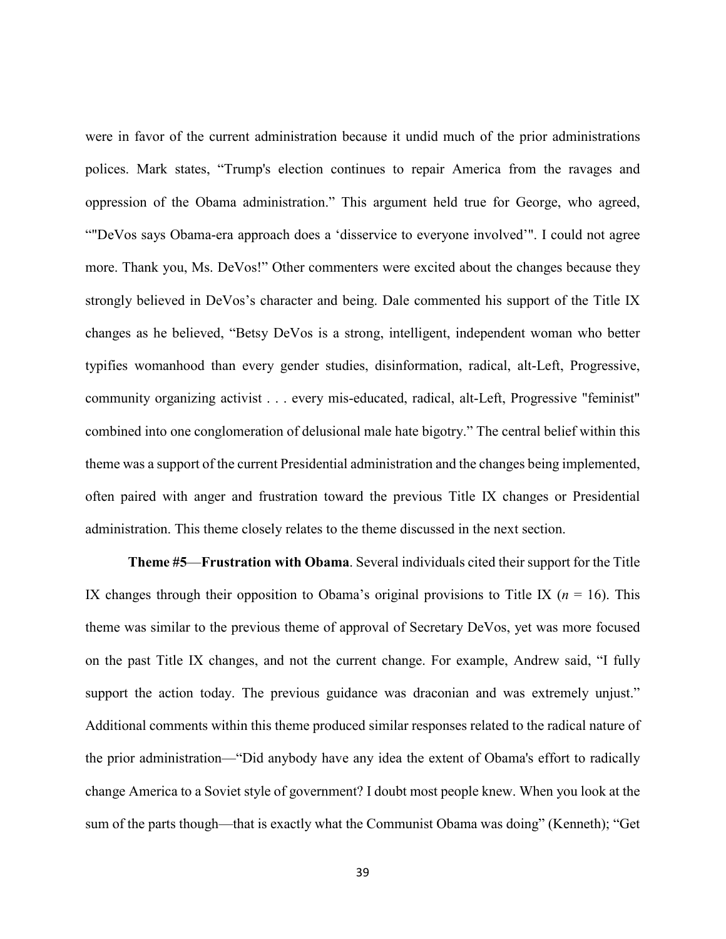were in favor of the current administration because it undid much of the prior administrations polices. Mark states, "Trump's election continues to repair America from the ravages and oppression of the Obama administration." This argument held true for George, who agreed, ""DeVos says Obama-era approach does a 'disservice to everyone involved'". I could not agree more. Thank you, Ms. DeVos!" Other commenters were excited about the changes because they strongly believed in DeVos's character and being. Dale commented his support of the Title IX changes as he believed, "Betsy DeVos is a strong, intelligent, independent woman who better typifies womanhood than every gender studies, disinformation, radical, alt-Left, Progressive, community organizing activist . . . every mis-educated, radical, alt-Left, Progressive "feminist" combined into one conglomeration of delusional male hate bigotry." The central belief within this theme was a support of the current Presidential administration and the changes being implemented, often paired with anger and frustration toward the previous Title IX changes or Presidential administration. This theme closely relates to the theme discussed in the next section.

**Theme #5**—**Frustration with Obama**. Several individuals cited their support for the Title IX changes through their opposition to Obama's original provisions to Title IX ( $n = 16$ ). This theme was similar to the previous theme of approval of Secretary DeVos, yet was more focused on the past Title IX changes, and not the current change. For example, Andrew said, "I fully support the action today. The previous guidance was draconian and was extremely unjust." Additional comments within this theme produced similar responses related to the radical nature of the prior administration—"Did anybody have any idea the extent of Obama's effort to radically change America to a Soviet style of government? I doubt most people knew. When you look at the sum of the parts though—that is exactly what the Communist Obama was doing" (Kenneth); "Get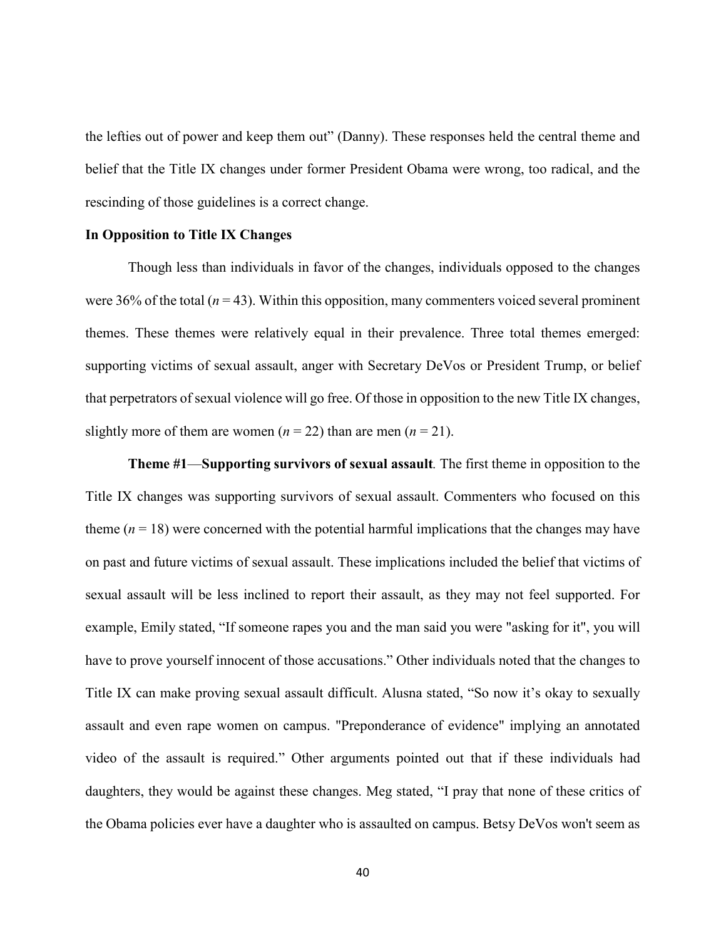the lefties out of power and keep them out" (Danny). These responses held the central theme and belief that the Title IX changes under former President Obama were wrong, too radical, and the rescinding of those guidelines is a correct change.

#### **In Opposition to Title IX Changes**

Though less than individuals in favor of the changes, individuals opposed to the changes were 36% of the total  $(n = 43)$ . Within this opposition, many commenters voiced several prominent themes. These themes were relatively equal in their prevalence. Three total themes emerged: supporting victims of sexual assault, anger with Secretary DeVos or President Trump, or belief that perpetrators of sexual violence will go free. Of those in opposition to the new Title IX changes, slightly more of them are women  $(n = 22)$  than are men  $(n = 21)$ .

**Theme #1**—**Supporting survivors of sexual assault***.* The first theme in opposition to the Title IX changes was supporting survivors of sexual assault. Commenters who focused on this theme  $(n = 18)$  were concerned with the potential harmful implications that the changes may have on past and future victims of sexual assault. These implications included the belief that victims of sexual assault will be less inclined to report their assault, as they may not feel supported. For example, Emily stated, "If someone rapes you and the man said you were "asking for it", you will have to prove yourself innocent of those accusations." Other individuals noted that the changes to Title IX can make proving sexual assault difficult. Alusna stated, "So now it's okay to sexually assault and even rape women on campus. "Preponderance of evidence" implying an annotated video of the assault is required." Other arguments pointed out that if these individuals had daughters, they would be against these changes. Meg stated, "I pray that none of these critics of the Obama policies ever have a daughter who is assaulted on campus. Betsy DeVos won't seem as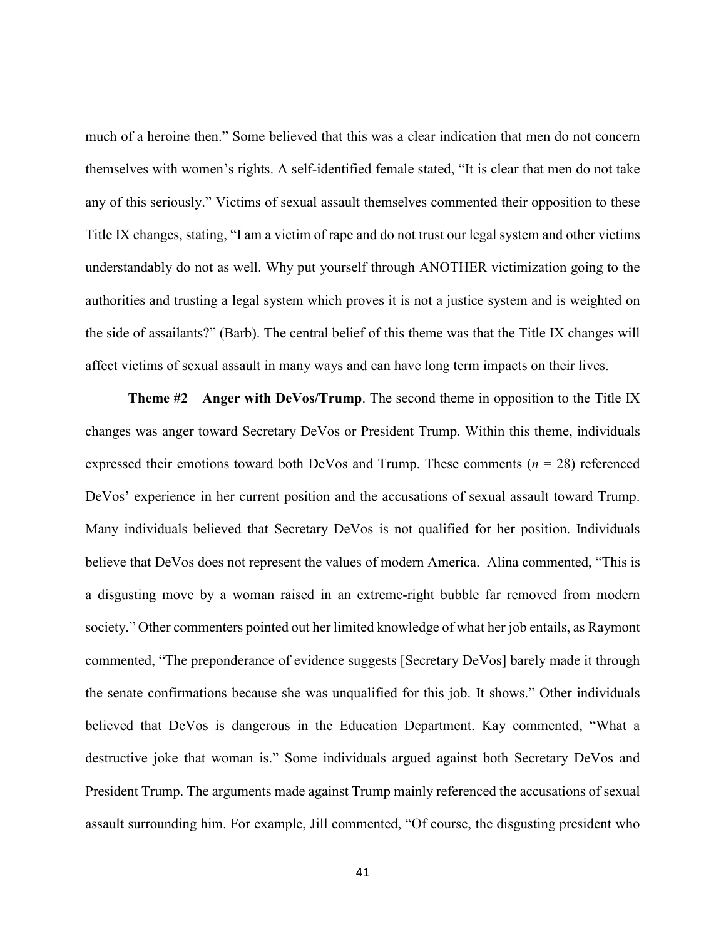much of a heroine then." Some believed that this was a clear indication that men do not concern themselves with women's rights. A self-identified female stated, "It is clear that men do not take any of this seriously." Victims of sexual assault themselves commented their opposition to these Title IX changes, stating, "I am a victim of rape and do not trust our legal system and other victims understandably do not as well. Why put yourself through ANOTHER victimization going to the authorities and trusting a legal system which proves it is not a justice system and is weighted on the side of assailants?" (Barb). The central belief of this theme was that the Title IX changes will affect victims of sexual assault in many ways and can have long term impacts on their lives.

**Theme #2**—**Anger with DeVos/Trump**. The second theme in opposition to the Title IX changes was anger toward Secretary DeVos or President Trump. Within this theme, individuals expressed their emotions toward both DeVos and Trump. These comments  $(n = 28)$  referenced DeVos' experience in her current position and the accusations of sexual assault toward Trump. Many individuals believed that Secretary DeVos is not qualified for her position. Individuals believe that DeVos does not represent the values of modern America. Alina commented, "This is a disgusting move by a woman raised in an extreme-right bubble far removed from modern society." Other commenters pointed out her limited knowledge of what her job entails, as Raymont commented, "The preponderance of evidence suggests [Secretary DeVos] barely made it through the senate confirmations because she was unqualified for this job. It shows." Other individuals believed that DeVos is dangerous in the Education Department. Kay commented, "What a destructive joke that woman is." Some individuals argued against both Secretary DeVos and President Trump. The arguments made against Trump mainly referenced the accusations of sexual assault surrounding him. For example, Jill commented, "Of course, the disgusting president who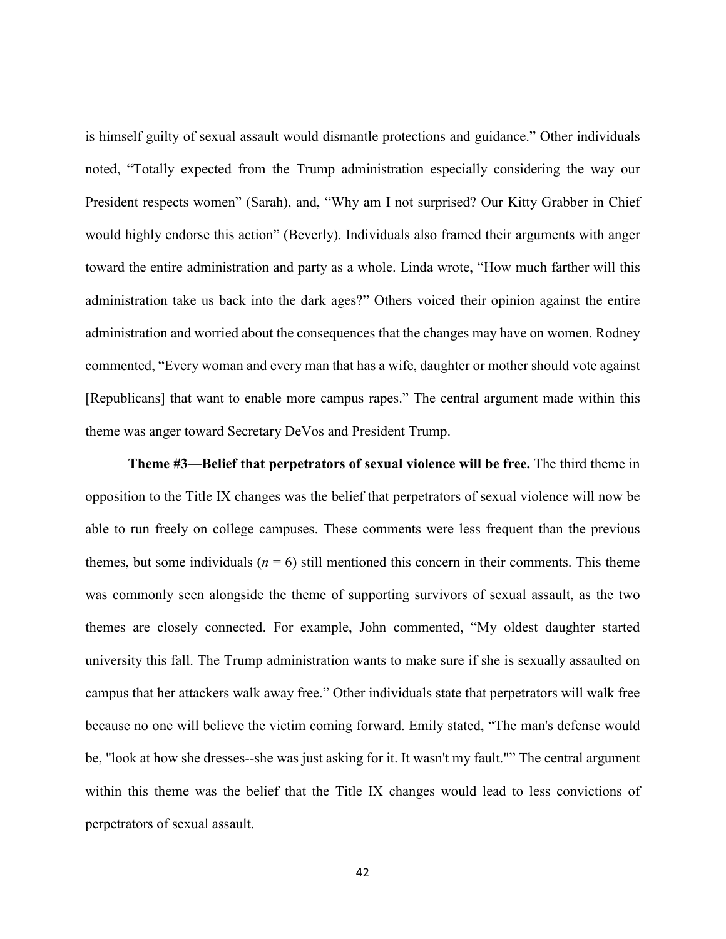is himself guilty of sexual assault would dismantle protections and guidance." Other individuals noted, "Totally expected from the Trump administration especially considering the way our President respects women" (Sarah), and, "Why am I not surprised? Our Kitty Grabber in Chief would highly endorse this action" (Beverly). Individuals also framed their arguments with anger toward the entire administration and party as a whole. Linda wrote, "How much farther will this administration take us back into the dark ages?" Others voiced their opinion against the entire administration and worried about the consequences that the changes may have on women. Rodney commented, "Every woman and every man that has a wife, daughter or mother should vote against [Republicans] that want to enable more campus rapes." The central argument made within this theme was anger toward Secretary DeVos and President Trump.

**Theme #3**—**Belief that perpetrators of sexual violence will be free.** The third theme in opposition to the Title IX changes was the belief that perpetrators of sexual violence will now be able to run freely on college campuses. These comments were less frequent than the previous themes, but some individuals  $(n = 6)$  still mentioned this concern in their comments. This theme was commonly seen alongside the theme of supporting survivors of sexual assault, as the two themes are closely connected. For example, John commented, "My oldest daughter started university this fall. The Trump administration wants to make sure if she is sexually assaulted on campus that her attackers walk away free." Other individuals state that perpetrators will walk free because no one will believe the victim coming forward. Emily stated, "The man's defense would be, "look at how she dresses--she was just asking for it. It wasn't my fault."" The central argument within this theme was the belief that the Title IX changes would lead to less convictions of perpetrators of sexual assault.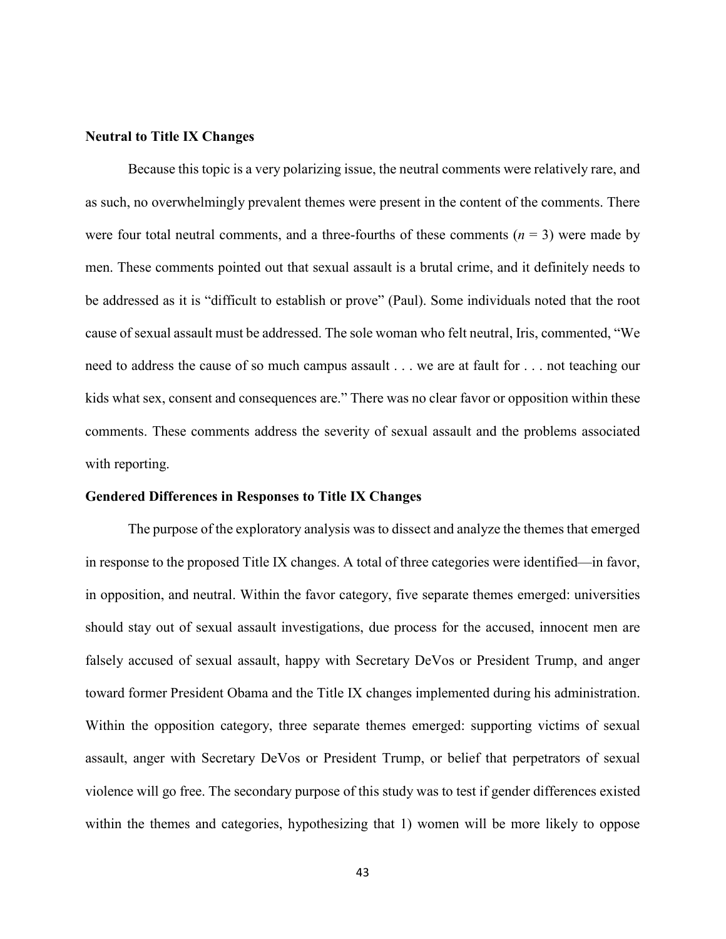#### **Neutral to Title IX Changes**

Because this topic is a very polarizing issue, the neutral comments were relatively rare, and as such, no overwhelmingly prevalent themes were present in the content of the comments. There were four total neutral comments, and a three-fourths of these comments  $(n = 3)$  were made by men. These comments pointed out that sexual assault is a brutal crime, and it definitely needs to be addressed as it is "difficult to establish or prove" (Paul). Some individuals noted that the root cause of sexual assault must be addressed. The sole woman who felt neutral, Iris, commented, "We need to address the cause of so much campus assault . . . we are at fault for . . . not teaching our kids what sex, consent and consequences are." There was no clear favor or opposition within these comments. These comments address the severity of sexual assault and the problems associated with reporting.

#### **Gendered Differences in Responses to Title IX Changes**

The purpose of the exploratory analysis was to dissect and analyze the themes that emerged in response to the proposed Title IX changes. A total of three categories were identified—in favor, in opposition, and neutral. Within the favor category, five separate themes emerged: universities should stay out of sexual assault investigations, due process for the accused, innocent men are falsely accused of sexual assault, happy with Secretary DeVos or President Trump, and anger toward former President Obama and the Title IX changes implemented during his administration. Within the opposition category, three separate themes emerged: supporting victims of sexual assault, anger with Secretary DeVos or President Trump, or belief that perpetrators of sexual violence will go free. The secondary purpose of this study was to test if gender differences existed within the themes and categories, hypothesizing that 1) women will be more likely to oppose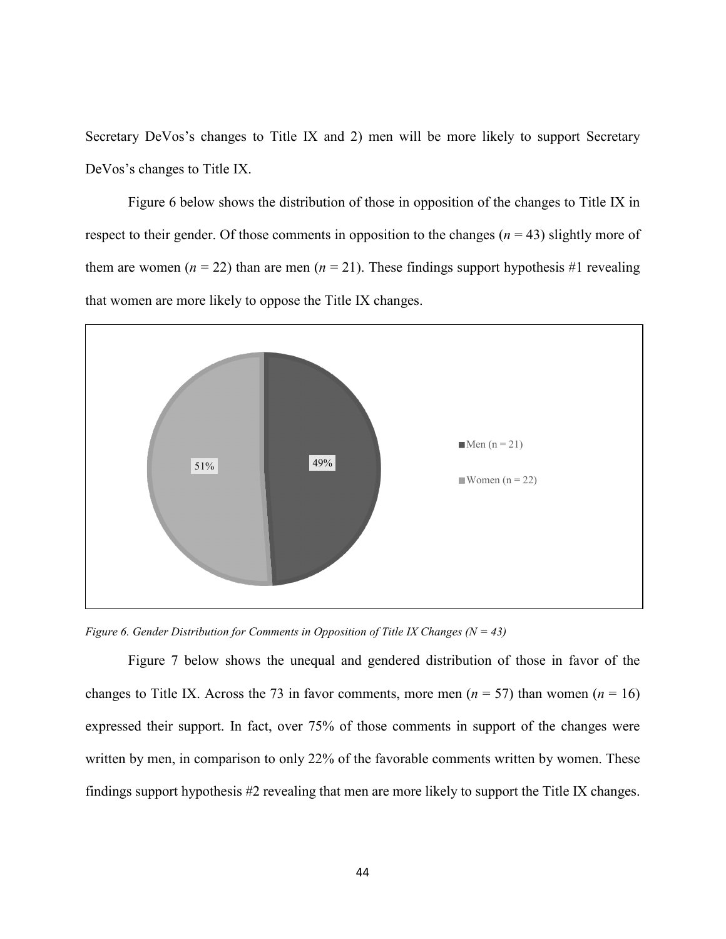Secretary DeVos's changes to Title IX and 2) men will be more likely to support Secretary DeVos's changes to Title IX.

Figure 6 below shows the distribution of those in opposition of the changes to Title IX in respect to their gender. Of those comments in opposition to the changes  $(n = 43)$  slightly more of them are women ( $n = 22$ ) than are men ( $n = 21$ ). These findings support hypothesis #1 revealing that women are more likely to oppose the Title IX changes.



*Figure 6. Gender Distribution for Comments in Opposition of Title IX Changes (N = 43)* 

Figure 7 below shows the unequal and gendered distribution of those in favor of the changes to Title IX. Across the 73 in favor comments, more men ( $n = 57$ ) than women ( $n = 16$ ) expressed their support. In fact, over 75% of those comments in support of the changes were written by men, in comparison to only 22% of the favorable comments written by women. These findings support hypothesis #2 revealing that men are more likely to support the Title IX changes.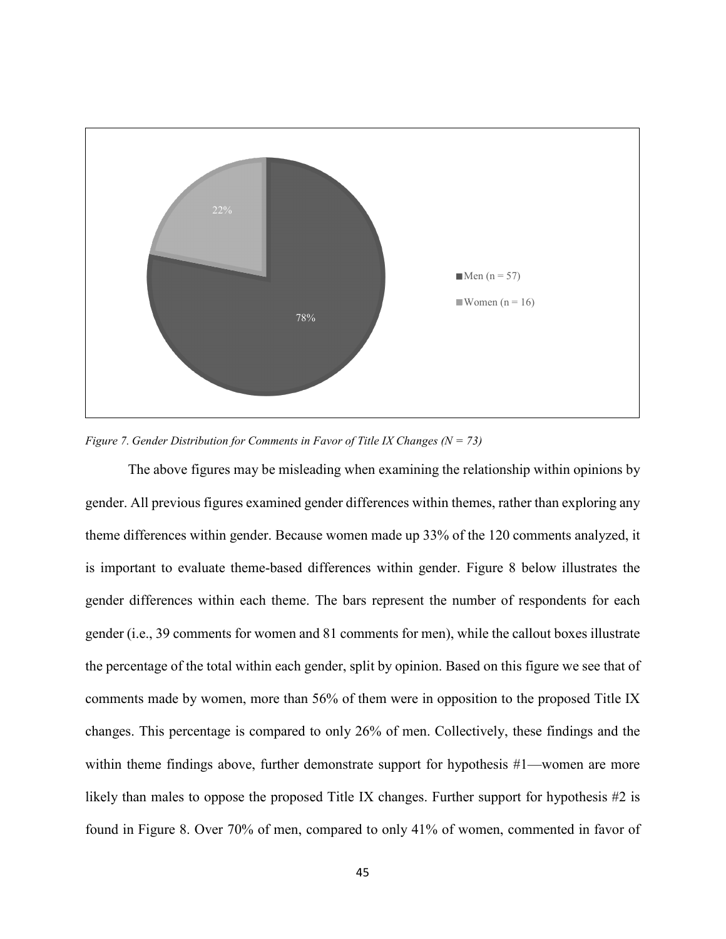

*Figure 7. Gender Distribution for Comments in Favor of Title IX Changes (N = 73)* 

The above figures may be misleading when examining the relationship within opinions by gender. All previous figures examined gender differences within themes, rather than exploring any theme differences within gender. Because women made up 33% of the 120 comments analyzed, it is important to evaluate theme-based differences within gender. Figure 8 below illustrates the gender differences within each theme. The bars represent the number of respondents for each gender (i.e., 39 comments for women and 81 comments for men), while the callout boxes illustrate the percentage of the total within each gender, split by opinion. Based on this figure we see that of comments made by women, more than 56% of them were in opposition to the proposed Title IX changes. This percentage is compared to only 26% of men. Collectively, these findings and the within theme findings above, further demonstrate support for hypothesis #1—women are more likely than males to oppose the proposed Title IX changes. Further support for hypothesis #2 is found in Figure 8. Over 70% of men, compared to only 41% of women, commented in favor of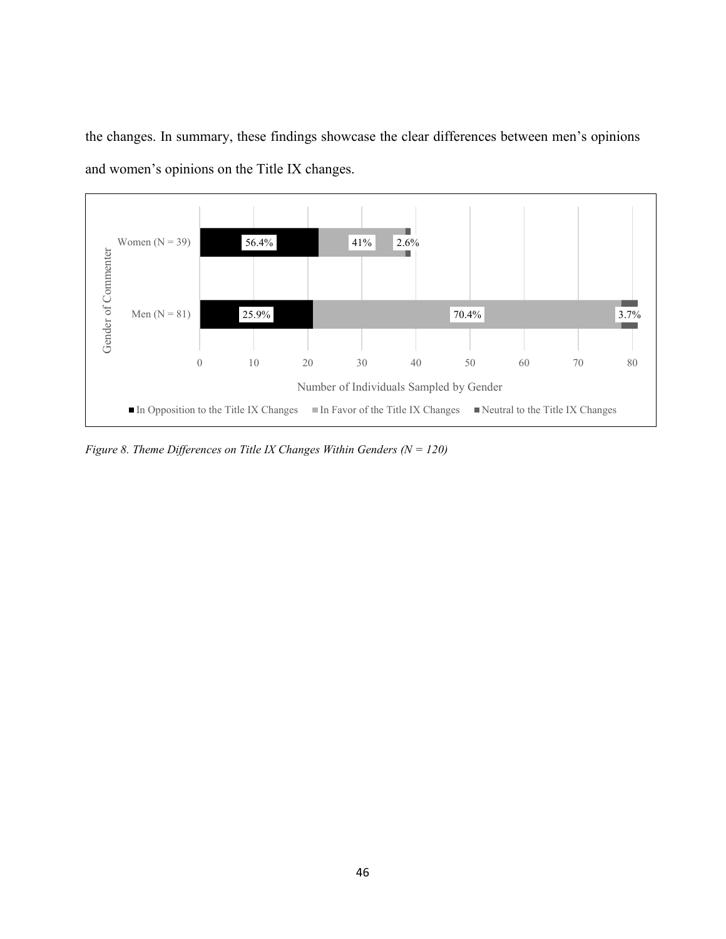the changes. In summary, these findings showcase the clear differences between men's opinions and women's opinions on the Title IX changes.



*Figure 8. Theme Differences on Title IX Changes Within Genders (N = 120)*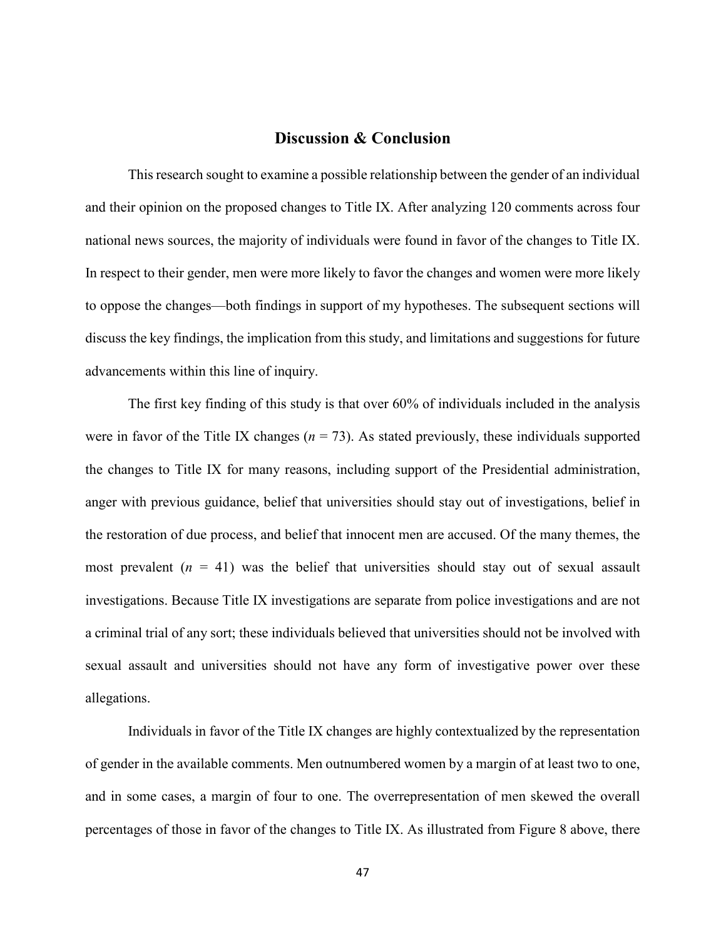# **Discussion & Conclusion**

This research sought to examine a possible relationship between the gender of an individual and their opinion on the proposed changes to Title IX. After analyzing 120 comments across four national news sources, the majority of individuals were found in favor of the changes to Title IX. In respect to their gender, men were more likely to favor the changes and women were more likely to oppose the changes—both findings in support of my hypotheses. The subsequent sections will discuss the key findings, the implication from this study, and limitations and suggestions for future advancements within this line of inquiry.

The first key finding of this study is that over 60% of individuals included in the analysis were in favor of the Title IX changes ( $n = 73$ ). As stated previously, these individuals supported the changes to Title IX for many reasons, including support of the Presidential administration, anger with previous guidance, belief that universities should stay out of investigations, belief in the restoration of due process, and belief that innocent men are accused. Of the many themes, the most prevalent  $(n = 41)$  was the belief that universities should stay out of sexual assault investigations. Because Title IX investigations are separate from police investigations and are not a criminal trial of any sort; these individuals believed that universities should not be involved with sexual assault and universities should not have any form of investigative power over these allegations.

Individuals in favor of the Title IX changes are highly contextualized by the representation of gender in the available comments. Men outnumbered women by a margin of at least two to one, and in some cases, a margin of four to one. The overrepresentation of men skewed the overall percentages of those in favor of the changes to Title IX. As illustrated from Figure 8 above, there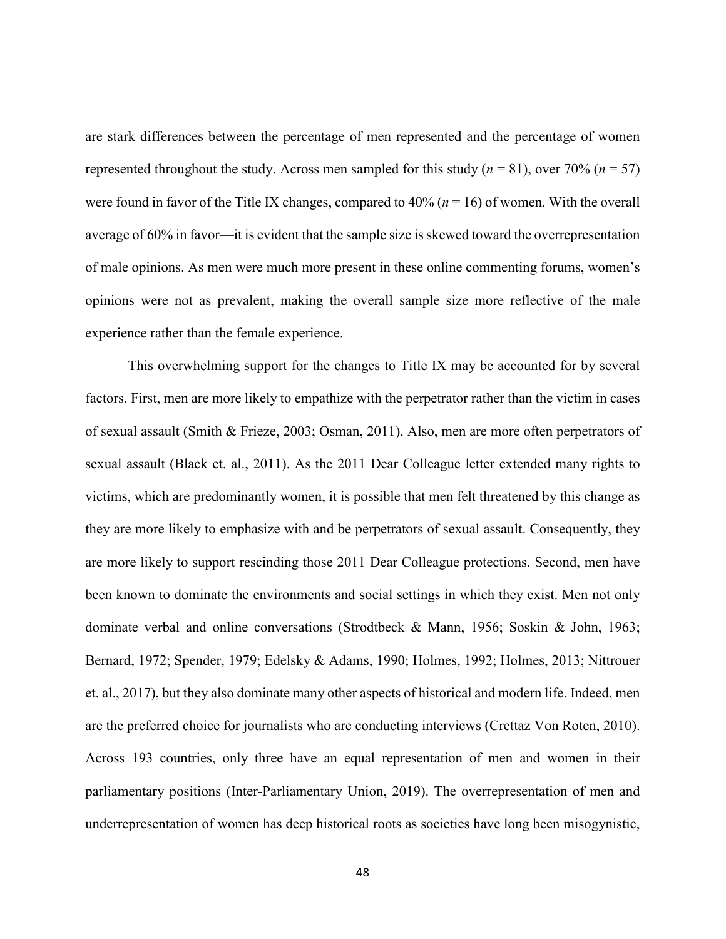are stark differences between the percentage of men represented and the percentage of women represented throughout the study. Across men sampled for this study (*n* = 81), over 70% (*n* = 57) were found in favor of the Title IX changes, compared to  $40\%$  ( $n = 16$ ) of women. With the overall average of 60% in favor—it is evident that the sample size is skewed toward the overrepresentation of male opinions. As men were much more present in these online commenting forums, women's opinions were not as prevalent, making the overall sample size more reflective of the male experience rather than the female experience.

This overwhelming support for the changes to Title IX may be accounted for by several factors. First, men are more likely to empathize with the perpetrator rather than the victim in cases of sexual assault (Smith & Frieze, 2003; Osman, 2011). Also, men are more often perpetrators of sexual assault (Black et. al., 2011). As the 2011 Dear Colleague letter extended many rights to victims, which are predominantly women, it is possible that men felt threatened by this change as they are more likely to emphasize with and be perpetrators of sexual assault. Consequently, they are more likely to support rescinding those 2011 Dear Colleague protections. Second, men have been known to dominate the environments and social settings in which they exist. Men not only dominate verbal and online conversations (Strodtbeck & Mann, 1956; Soskin & John, 1963; Bernard, 1972; Spender, 1979; Edelsky & Adams, 1990; Holmes, 1992; Holmes, 2013; Nittrouer et. al., 2017), but they also dominate many other aspects of historical and modern life. Indeed, men are the preferred choice for journalists who are conducting interviews (Crettaz Von Roten, 2010). Across 193 countries, only three have an equal representation of men and women in their parliamentary positions (Inter-Parliamentary Union, 2019). The overrepresentation of men and underrepresentation of women has deep historical roots as societies have long been misogynistic,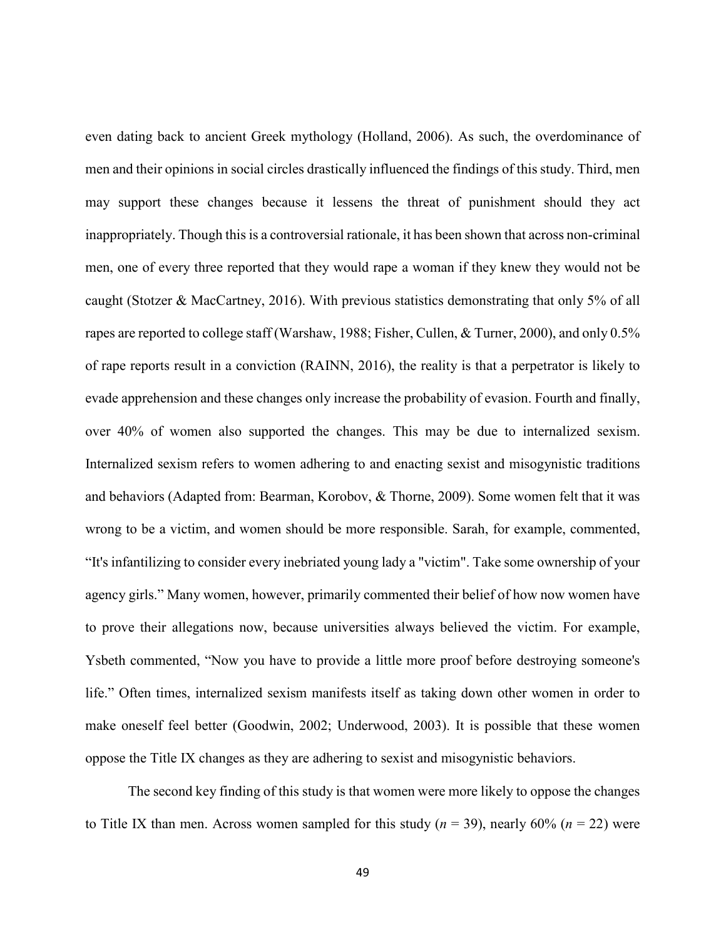even dating back to ancient Greek mythology (Holland, 2006). As such, the overdominance of men and their opinions in social circles drastically influenced the findings of this study. Third, men may support these changes because it lessens the threat of punishment should they act inappropriately. Though this is a controversial rationale, it has been shown that across non-criminal men, one of every three reported that they would rape a woman if they knew they would not be caught (Stotzer & MacCartney, 2016). With previous statistics demonstrating that only 5% of all rapes are reported to college staff (Warshaw, 1988; Fisher, Cullen, & Turner, 2000), and only 0.5% of rape reports result in a conviction (RAINN, 2016), the reality is that a perpetrator is likely to evade apprehension and these changes only increase the probability of evasion. Fourth and finally, over 40% of women also supported the changes. This may be due to internalized sexism. Internalized sexism refers to women adhering to and enacting sexist and misogynistic traditions and behaviors (Adapted from: Bearman, Korobov, & Thorne, 2009). Some women felt that it was wrong to be a victim, and women should be more responsible. Sarah, for example, commented, "It's infantilizing to consider every inebriated young lady a "victim". Take some ownership of your agency girls." Many women, however, primarily commented their belief of how now women have to prove their allegations now, because universities always believed the victim. For example, Ysbeth commented, "Now you have to provide a little more proof before destroying someone's life." Often times, internalized sexism manifests itself as taking down other women in order to make oneself feel better (Goodwin, 2002; Underwood, 2003). It is possible that these women oppose the Title IX changes as they are adhering to sexist and misogynistic behaviors.

The second key finding of this study is that women were more likely to oppose the changes to Title IX than men. Across women sampled for this study (*n* = 39), nearly 60% (*n* = 22) were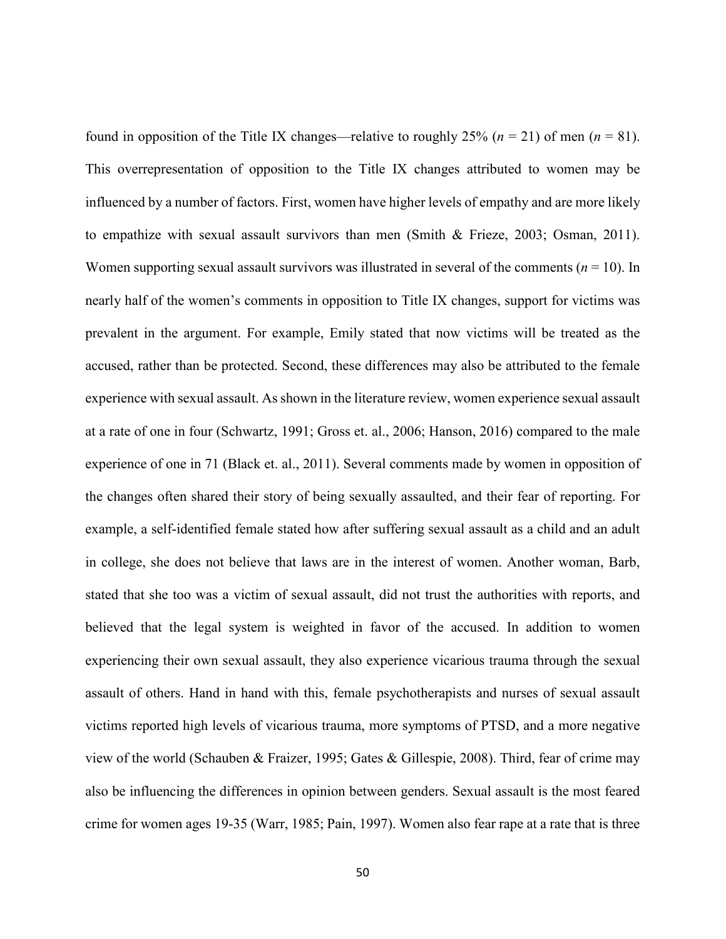found in opposition of the Title IX changes—relative to roughly 25% ( $n = 21$ ) of men ( $n = 81$ ). This overrepresentation of opposition to the Title IX changes attributed to women may be influenced by a number of factors. First, women have higher levels of empathy and are more likely to empathize with sexual assault survivors than men (Smith & Frieze, 2003; Osman, 2011). Women supporting sexual assault survivors was illustrated in several of the comments ( $n = 10$ ). In nearly half of the women's comments in opposition to Title IX changes, support for victims was prevalent in the argument. For example, Emily stated that now victims will be treated as the accused, rather than be protected. Second, these differences may also be attributed to the female experience with sexual assault. As shown in the literature review, women experience sexual assault at a rate of one in four (Schwartz, 1991; Gross et. al., 2006; Hanson, 2016) compared to the male experience of one in 71 (Black et. al., 2011). Several comments made by women in opposition of the changes often shared their story of being sexually assaulted, and their fear of reporting. For example, a self-identified female stated how after suffering sexual assault as a child and an adult in college, she does not believe that laws are in the interest of women. Another woman, Barb, stated that she too was a victim of sexual assault, did not trust the authorities with reports, and believed that the legal system is weighted in favor of the accused. In addition to women experiencing their own sexual assault, they also experience vicarious trauma through the sexual assault of others. Hand in hand with this, female psychotherapists and nurses of sexual assault victims reported high levels of vicarious trauma, more symptoms of PTSD, and a more negative view of the world (Schauben & Fraizer, 1995; Gates & Gillespie, 2008). Third, fear of crime may also be influencing the differences in opinion between genders. Sexual assault is the most feared crime for women ages 19-35 (Warr, 1985; Pain, 1997). Women also fear rape at a rate that is three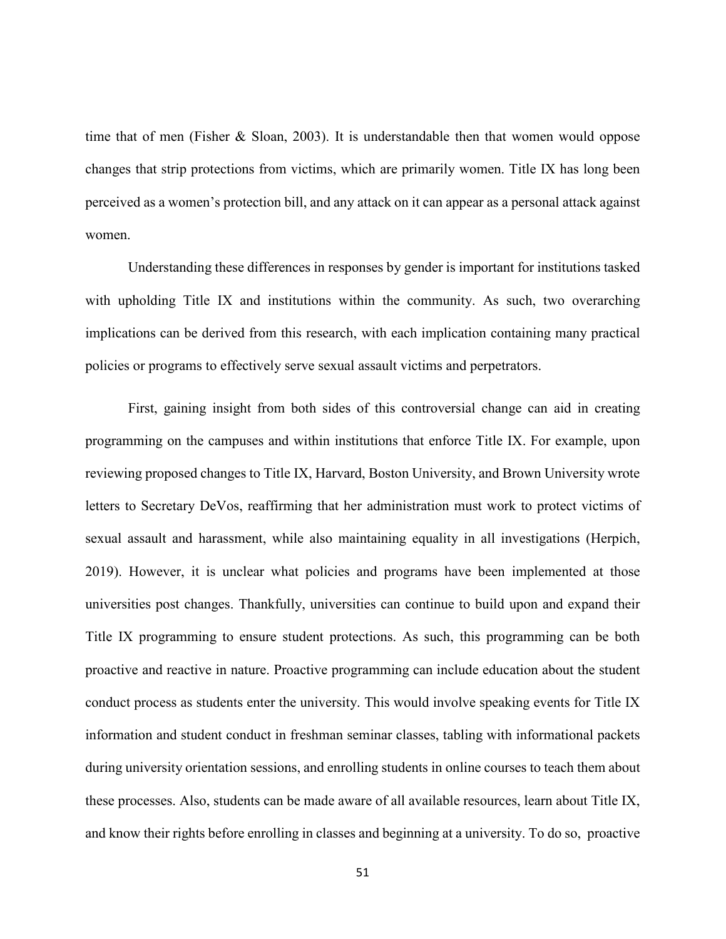time that of men (Fisher & Sloan, 2003). It is understandable then that women would oppose changes that strip protections from victims, which are primarily women. Title IX has long been perceived as a women's protection bill, and any attack on it can appear as a personal attack against women.

Understanding these differences in responses by gender is important for institutions tasked with upholding Title IX and institutions within the community. As such, two overarching implications can be derived from this research, with each implication containing many practical policies or programs to effectively serve sexual assault victims and perpetrators.

First, gaining insight from both sides of this controversial change can aid in creating programming on the campuses and within institutions that enforce Title IX. For example, upon reviewing proposed changes to Title IX, Harvard, Boston University, and Brown University wrote letters to Secretary DeVos, reaffirming that her administration must work to protect victims of sexual assault and harassment, while also maintaining equality in all investigations (Herpich, 2019). However, it is unclear what policies and programs have been implemented at those universities post changes. Thankfully, universities can continue to build upon and expand their Title IX programming to ensure student protections. As such, this programming can be both proactive and reactive in nature. Proactive programming can include education about the student conduct process as students enter the university. This would involve speaking events for Title IX information and student conduct in freshman seminar classes, tabling with informational packets during university orientation sessions, and enrolling students in online courses to teach them about these processes. Also, students can be made aware of all available resources, learn about Title IX, and know their rights before enrolling in classes and beginning at a university. To do so, proactive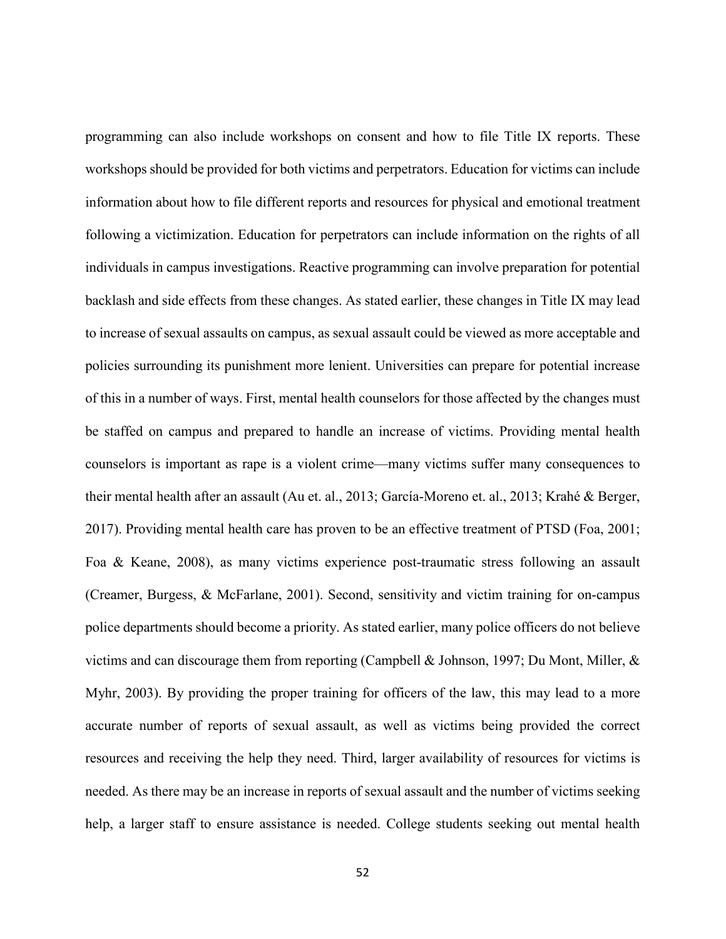programming can also include workshops on consent and how to file Title IX reports. These workshops should be provided for both victims and perpetrators. Education for victims can include information about how to file different reports and resources for physical and emotional treatment following a victimization. Education for perpetrators can include information on the rights of all individuals in campus investigations. Reactive programming can involve preparation for potential backlash and side effects from these changes. As stated earlier, these changes in Title IX may lead to increase of sexual assaults on campus, as sexual assault could be viewed as more acceptable and policies surrounding its punishment more lenient. Universities can prepare for potential increase of this in a number of ways. First, mental health counselors for those affected by the changes must be staffed on campus and prepared to handle an increase of victims. Providing mental health counselors is important as rape is a violent crime—many victims suffer many consequences to their mental health after an assault (Au et. al., 2013; García-Moreno et. al., 2013; Krahé & Berger, 2017). Providing mental health care has proven to be an effective treatment of PTSD (Foa, 2001; Foa & Keane, 2008), as many victims experience post-traumatic stress following an assault (Creamer, Burgess, & McFarlane, 2001). Second, sensitivity and victim training for on-campus police departments should become a priority. As stated earlier, many police officers do not believe victims and can discourage them from reporting (Campbell & Johnson, 1997; Du Mont, Miller, & Myhr, 2003). By providing the proper training for officers of the law, this may lead to a more accurate number of reports of sexual assault, as well as victims being provided the correct resources and receiving the help they need. Third, larger availability of resources for victims is needed. As there may be an increase in reports of sexual assault and the number of victims seeking help, a larger staff to ensure assistance is needed. College students seeking out mental health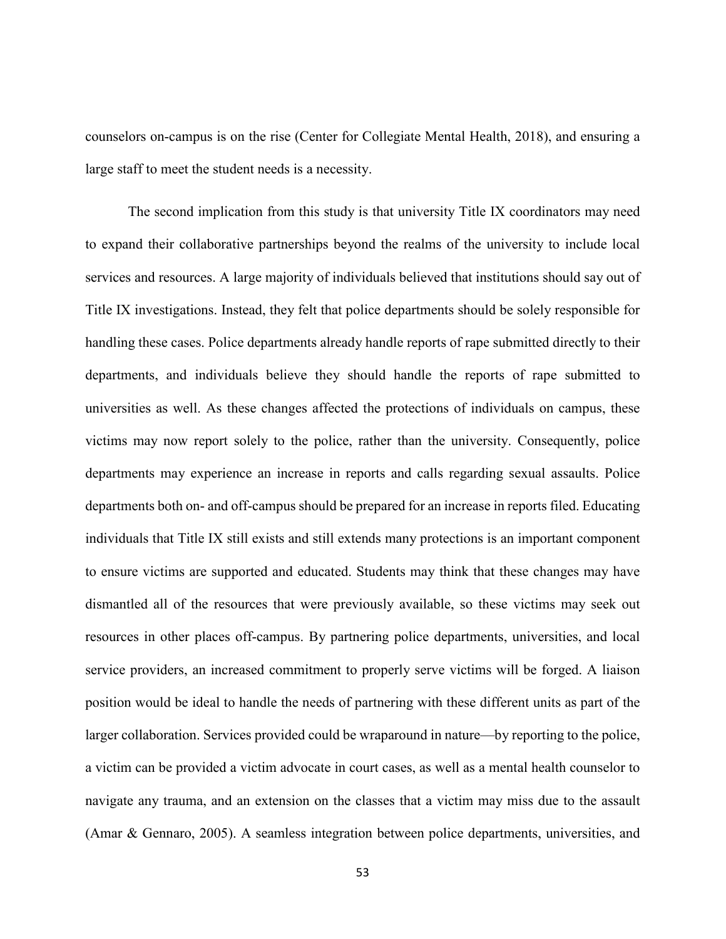counselors on-campus is on the rise (Center for Collegiate Mental Health, 2018), and ensuring a large staff to meet the student needs is a necessity.

The second implication from this study is that university Title IX coordinators may need to expand their collaborative partnerships beyond the realms of the university to include local services and resources. A large majority of individuals believed that institutions should say out of Title IX investigations. Instead, they felt that police departments should be solely responsible for handling these cases. Police departments already handle reports of rape submitted directly to their departments, and individuals believe they should handle the reports of rape submitted to universities as well. As these changes affected the protections of individuals on campus, these victims may now report solely to the police, rather than the university. Consequently, police departments may experience an increase in reports and calls regarding sexual assaults. Police departments both on- and off-campus should be prepared for an increase in reports filed. Educating individuals that Title IX still exists and still extends many protections is an important component to ensure victims are supported and educated. Students may think that these changes may have dismantled all of the resources that were previously available, so these victims may seek out resources in other places off-campus. By partnering police departments, universities, and local service providers, an increased commitment to properly serve victims will be forged. A liaison position would be ideal to handle the needs of partnering with these different units as part of the larger collaboration. Services provided could be wraparound in nature—by reporting to the police, a victim can be provided a victim advocate in court cases, as well as a mental health counselor to navigate any trauma, and an extension on the classes that a victim may miss due to the assault (Amar & Gennaro, 2005). A seamless integration between police departments, universities, and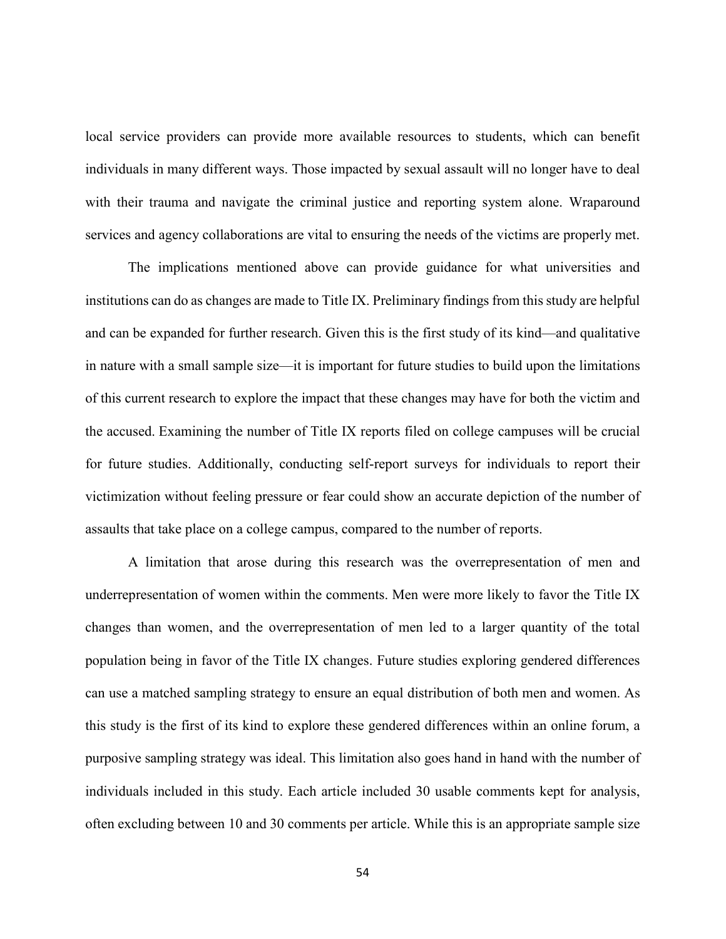local service providers can provide more available resources to students, which can benefit individuals in many different ways. Those impacted by sexual assault will no longer have to deal with their trauma and navigate the criminal justice and reporting system alone. Wraparound services and agency collaborations are vital to ensuring the needs of the victims are properly met.

The implications mentioned above can provide guidance for what universities and institutions can do as changes are made to Title IX. Preliminary findings from this study are helpful and can be expanded for further research. Given this is the first study of its kind—and qualitative in nature with a small sample size—it is important for future studies to build upon the limitations of this current research to explore the impact that these changes may have for both the victim and the accused. Examining the number of Title IX reports filed on college campuses will be crucial for future studies. Additionally, conducting self-report surveys for individuals to report their victimization without feeling pressure or fear could show an accurate depiction of the number of assaults that take place on a college campus, compared to the number of reports.

A limitation that arose during this research was the overrepresentation of men and underrepresentation of women within the comments. Men were more likely to favor the Title IX changes than women, and the overrepresentation of men led to a larger quantity of the total population being in favor of the Title IX changes. Future studies exploring gendered differences can use a matched sampling strategy to ensure an equal distribution of both men and women. As this study is the first of its kind to explore these gendered differences within an online forum, a purposive sampling strategy was ideal. This limitation also goes hand in hand with the number of individuals included in this study. Each article included 30 usable comments kept for analysis, often excluding between 10 and 30 comments per article. While this is an appropriate sample size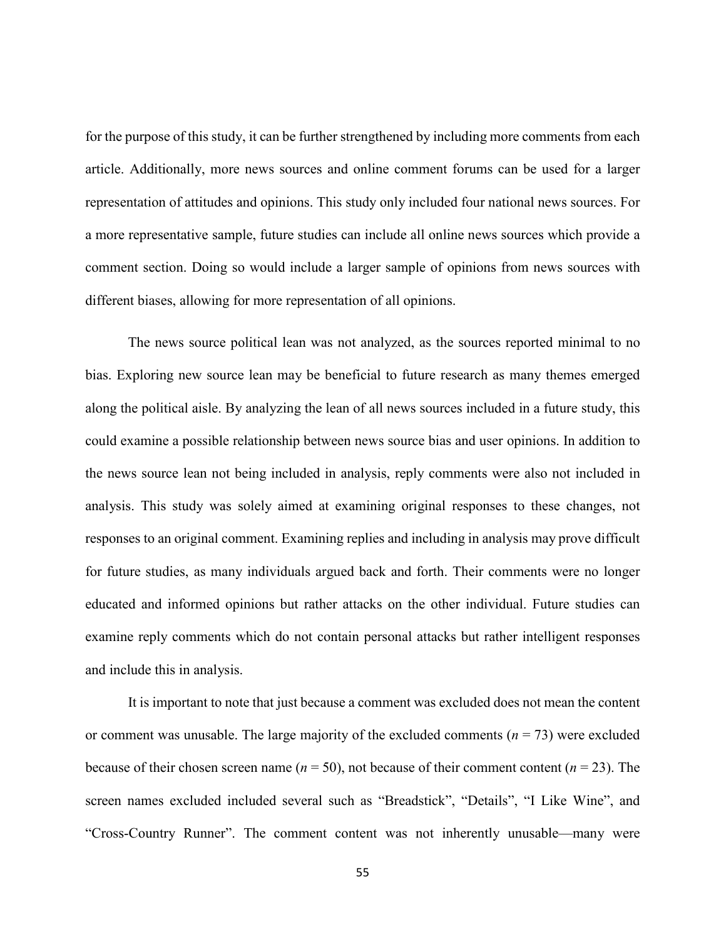for the purpose of this study, it can be further strengthened by including more comments from each article. Additionally, more news sources and online comment forums can be used for a larger representation of attitudes and opinions. This study only included four national news sources. For a more representative sample, future studies can include all online news sources which provide a comment section. Doing so would include a larger sample of opinions from news sources with different biases, allowing for more representation of all opinions.

The news source political lean was not analyzed, as the sources reported minimal to no bias. Exploring new source lean may be beneficial to future research as many themes emerged along the political aisle. By analyzing the lean of all news sources included in a future study, this could examine a possible relationship between news source bias and user opinions. In addition to the news source lean not being included in analysis, reply comments were also not included in analysis. This study was solely aimed at examining original responses to these changes, not responses to an original comment. Examining replies and including in analysis may prove difficult for future studies, as many individuals argued back and forth. Their comments were no longer educated and informed opinions but rather attacks on the other individual. Future studies can examine reply comments which do not contain personal attacks but rather intelligent responses and include this in analysis.

It is important to note that just because a comment was excluded does not mean the content or comment was unusable. The large majority of the excluded comments  $(n = 73)$  were excluded because of their chosen screen name ( $n = 50$ ), not because of their comment content ( $n = 23$ ). The screen names excluded included several such as "Breadstick", "Details", "I Like Wine", and "Cross-Country Runner". The comment content was not inherently unusable—many were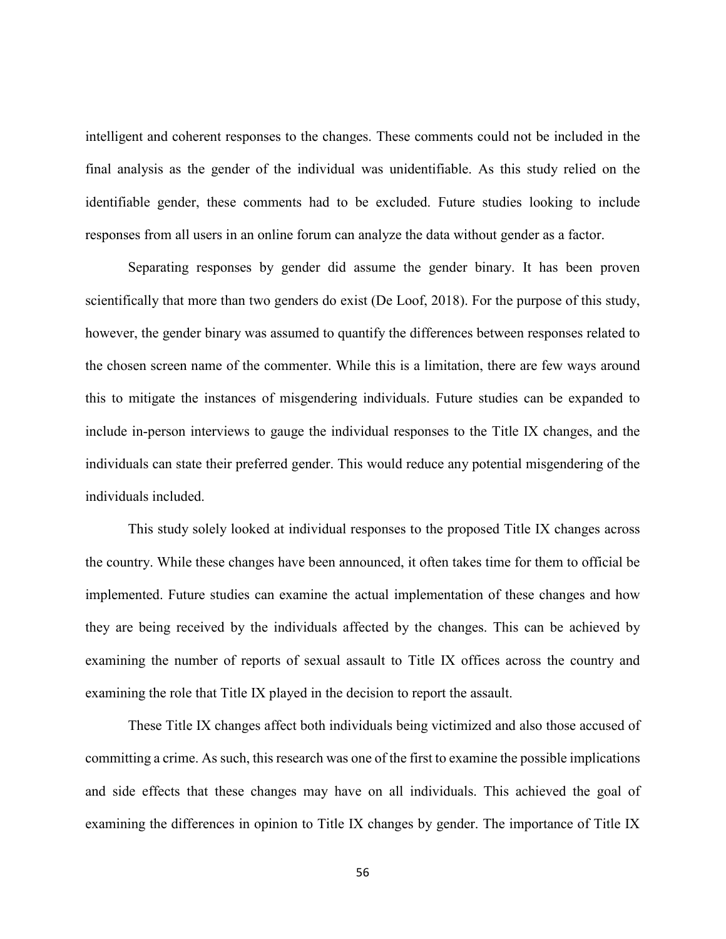intelligent and coherent responses to the changes. These comments could not be included in the final analysis as the gender of the individual was unidentifiable. As this study relied on the identifiable gender, these comments had to be excluded. Future studies looking to include responses from all users in an online forum can analyze the data without gender as a factor.

Separating responses by gender did assume the gender binary. It has been proven scientifically that more than two genders do exist (De Loof, 2018). For the purpose of this study, however, the gender binary was assumed to quantify the differences between responses related to the chosen screen name of the commenter. While this is a limitation, there are few ways around this to mitigate the instances of misgendering individuals. Future studies can be expanded to include in-person interviews to gauge the individual responses to the Title IX changes, and the individuals can state their preferred gender. This would reduce any potential misgendering of the individuals included.

This study solely looked at individual responses to the proposed Title IX changes across the country. While these changes have been announced, it often takes time for them to official be implemented. Future studies can examine the actual implementation of these changes and how they are being received by the individuals affected by the changes. This can be achieved by examining the number of reports of sexual assault to Title IX offices across the country and examining the role that Title IX played in the decision to report the assault.

These Title IX changes affect both individuals being victimized and also those accused of committing a crime. As such, this research was one of the first to examine the possible implications and side effects that these changes may have on all individuals. This achieved the goal of examining the differences in opinion to Title IX changes by gender. The importance of Title IX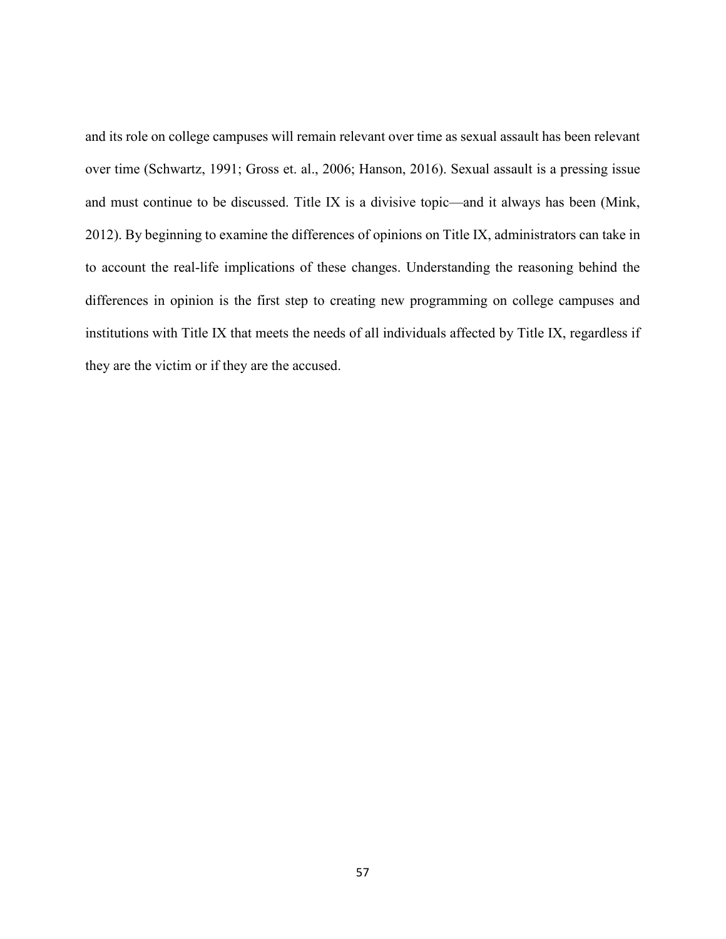and its role on college campuses will remain relevant over time as sexual assault has been relevant over time (Schwartz, 1991; Gross et. al., 2006; Hanson, 2016). Sexual assault is a pressing issue and must continue to be discussed. Title IX is a divisive topic—and it always has been (Mink, 2012). By beginning to examine the differences of opinions on Title IX, administrators can take in to account the real-life implications of these changes. Understanding the reasoning behind the differences in opinion is the first step to creating new programming on college campuses and institutions with Title IX that meets the needs of all individuals affected by Title IX, regardless if they are the victim or if they are the accused.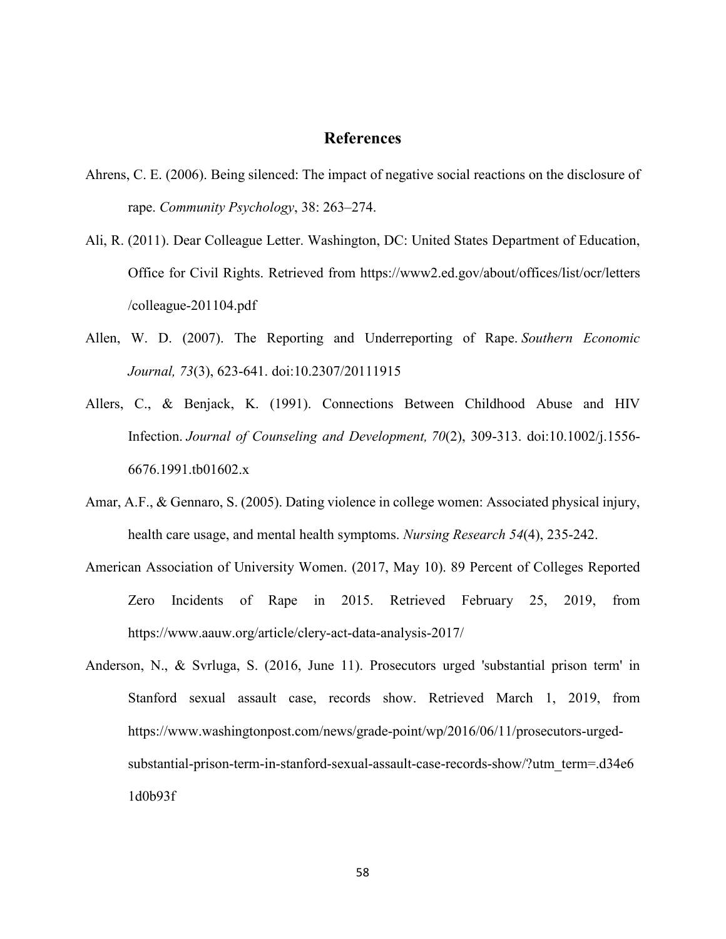## **References**

- Ahrens, C. E. (2006). Being silenced: The impact of negative social reactions on the disclosure of rape. *Community Psychology*, 38: 263–274.
- Ali, R. (2011). Dear Colleague Letter. Washington, DC: United States Department of Education, Office for Civil Rights. Retrieved from<https://www2.ed.gov/about/offices/list/ocr/letters> /colleague-201104.pdf
- Allen, W. D. (2007). The Reporting and Underreporting of Rape. *Southern Economic Journal, 73*(3), 623-641. doi:10.2307/20111915
- Allers, C., & Benjack, K. (1991). Connections Between Childhood Abuse and HIV Infection. *Journal of Counseling and Development, 70*(2), 309-313. doi:10.1002/j.1556- 6676.1991.tb01602.x
- Amar, A.F., & Gennaro, S. (2005). Dating violence in college women: Associated physical injury, health care usage, and mental health symptoms. *Nursing Research 54*(4), 235-242.
- American Association of University Women. (2017, May 10). 89 Percent of Colleges Reported Zero Incidents of Rape in 2015. Retrieved February 25, 2019, from https://www.aauw.org/article/clery-act-data-analysis-2017/
- Anderson, N., & Svrluga, S. (2016, June 11). Prosecutors urged 'substantial prison term' in Stanford sexual assault case, records show. Retrieved March 1, 2019, from https://www.washingtonpost.com/news/grade-point/wp/2016/06/11/prosecutors-urgedsubstantial-prison-term-in-stanford-sexual-assault-case-records-show/?utm\_term=.d34e6 1d0b93f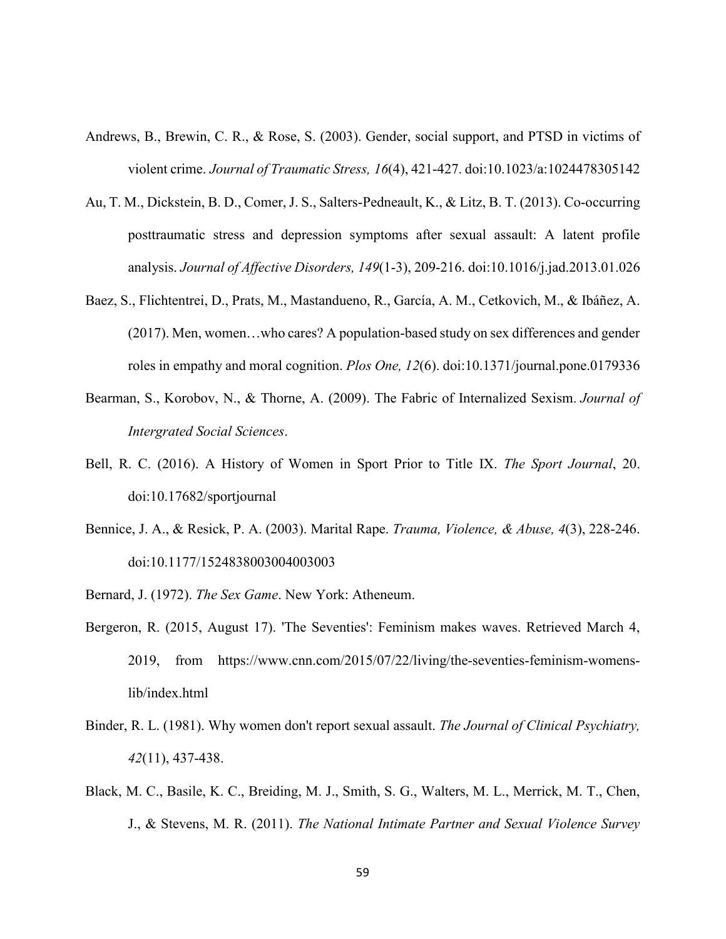- Andrews, B., Brewin, C. R., & Rose, S. (2003). Gender, social support, and PTSD in victims of violent crime. *Journal of Traumatic Stress, 16*(4), 421-427. doi:10.1023/a:1024478305142
- Au, T. M., Dickstein, B. D., Comer, J. S., Salters-Pedneault, K., & Litz, B. T. (2013). Co-occurring posttraumatic stress and depression symptoms after sexual assault: A latent profile analysis. *Journal of Affective Disorders, 149*(1-3), 209-216. doi:10.1016/j.jad.2013.01.026
- Baez, S., Flichtentrei, D., Prats, M., Mastandueno, R., García, A. M., Cetkovich, M., & Ibáñez, A. (2017). Men, women…who cares? A population-based study on sex differences and gender roles in empathy and moral cognition. *Plos One, 12*(6). doi:10.1371/journal.pone.0179336
- Bearman, S., Korobov, N., & Thorne, A. (2009). The Fabric of Internalized Sexism. *Journal of Intergrated Social Sciences*.
- Bell, R. C. (2016). A History of Women in Sport Prior to Title IX. *The Sport Journal*, 20. doi:10.17682/sportjournal
- Bennice, J. A., & Resick, P. A. (2003). Marital Rape. *Trauma, Violence, & Abuse, 4*(3), 228-246. doi:10.1177/1524838003004003003
- Bernard, J. (1972). *The Sex Game*. New York: Atheneum.
- Bergeron, R. (2015, August 17). 'The Seventies': Feminism makes waves. Retrieved March 4, 2019, from https://www.cnn.com/2015/07/22/living/the-seventies-feminism-womenslib/index.html
- Binder, R. L. (1981). Why women don't report sexual assault. *The Journal of Clinical Psychiatry, 42*(11), 437-438.
- Black, M. C., Basile, K. C., Breiding, M. J., Smith, S. G., Walters, M. L., Merrick, M. T., Chen, J., & Stevens, M. R. (2011). *The National Intimate Partner and Sexual Violence Survey*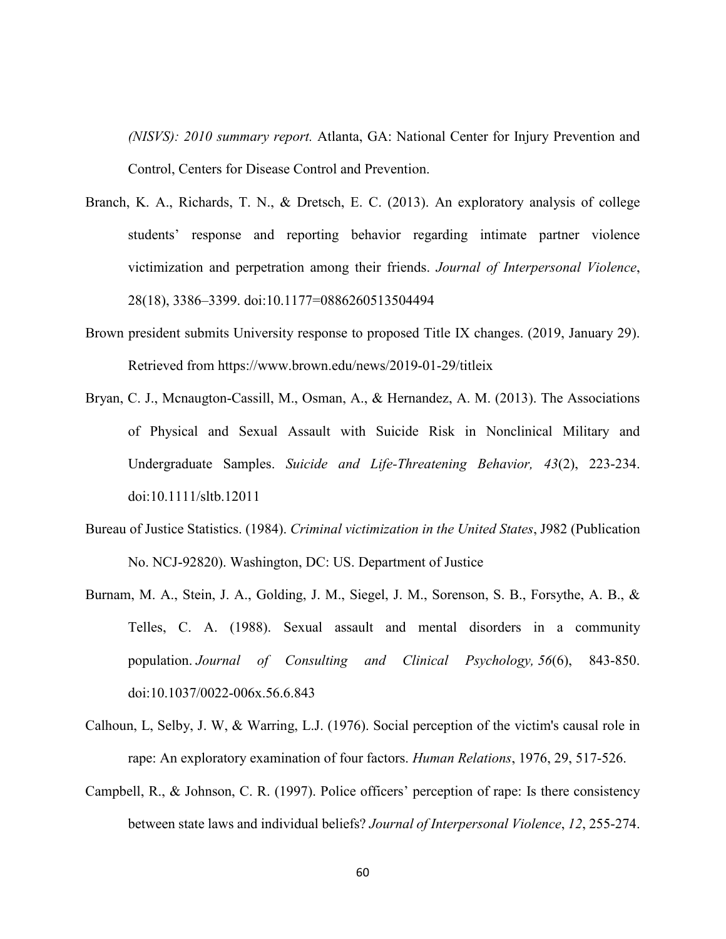*(NISVS): 2010 summary report.* Atlanta, GA: National Center for Injury Prevention and Control, Centers for Disease Control and Prevention.

- Branch, K. A., Richards, T. N., & Dretsch, E. C. (2013). An exploratory analysis of college students' response and reporting behavior regarding intimate partner violence victimization and perpetration among their friends. *Journal of Interpersonal Violence*, 28(18), 3386–3399. doi:10.1177=0886260513504494
- Brown president submits University response to proposed Title IX changes. (2019, January 29). Retrieved from https://www.brown.edu/news/2019-01-29/titleix
- Bryan, C. J., Mcnaugton-Cassill, M., Osman, A., & Hernandez, A. M. (2013). The Associations of Physical and Sexual Assault with Suicide Risk in Nonclinical Military and Undergraduate Samples. *Suicide and Life-Threatening Behavior, 43*(2), 223-234. doi:10.1111/sltb.12011
- Bureau of Justice Statistics. (1984). *Criminal victimization in the United States*, J982 (Publication No. NCJ-92820). Washington, DC: US. Department of Justice
- Burnam, M. A., Stein, J. A., Golding, J. M., Siegel, J. M., Sorenson, S. B., Forsythe, A. B., & Telles, C. A. (1988). Sexual assault and mental disorders in a community population. *Journal of Consulting and Clinical Psychology, 56*(6), 843-850. doi:10.1037/0022-006x.56.6.843
- Calhoun, L, Selby, J. W, & Warring, L.J. (1976). Social perception of the victim's causal role in rape: An exploratory examination of four factors. *Human Relations*, 1976, 29, 517-526.
- Campbell, R., & Johnson, C. R. (1997). Police officers' perception of rape: Is there consistency between state laws and individual beliefs? *Journal of Interpersonal Violence*, *12*, 255-274.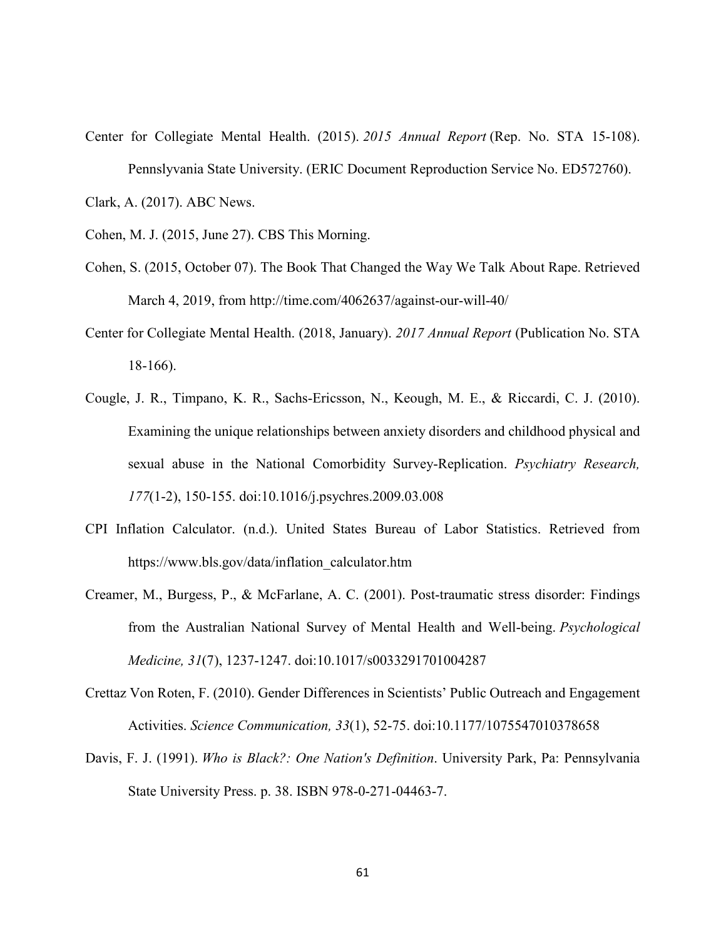- Center for Collegiate Mental Health. (2015). *2015 Annual Report* (Rep. No. STA 15-108). Pennslyvania State University. (ERIC Document Reproduction Service No. ED572760). Clark, A. (2017). ABC News.
- Cohen, M. J. (2015, June 27). CBS This Morning.
- Cohen, S. (2015, October 07). The Book That Changed the Way We Talk About Rape. Retrieved March 4, 2019, from<http://time.com/4062637/against-our-will-40/>
- Center for Collegiate Mental Health. (2018, January). *2017 Annual Report* (Publication No. STA 18-166).
- Cougle, J. R., Timpano, K. R., Sachs-Ericsson, N., Keough, M. E., & Riccardi, C. J. (2010). Examining the unique relationships between anxiety disorders and childhood physical and sexual abuse in the National Comorbidity Survey-Replication. *Psychiatry Research, 177*(1-2), 150-155. doi:10.1016/j.psychres.2009.03.008
- CPI Inflation Calculator. (n.d.). United States Bureau of Labor Statistics. Retrieved from [https://www.bls.gov/data/inflation\\_calculator.htm](https://www.bls.gov/data/inflation_calculator.htm)
- Creamer, M., Burgess, P., & McFarlane, A. C. (2001). Post-traumatic stress disorder: Findings from the Australian National Survey of Mental Health and Well-being. *Psychological Medicine, 31*(7), 1237-1247. doi:10.1017/s0033291701004287
- Crettaz Von Roten, F. (2010). Gender Differences in Scientists' Public Outreach and Engagement Activities. *Science Communication, 33*(1), 52-75. doi:10.1177/1075547010378658
- Davis, F. J. (1991). *Who is Black?: One Nation's Definition*. University Park, Pa: Pennsylvania State University Press. p. 38. ISBN 978-0-271-04463-7.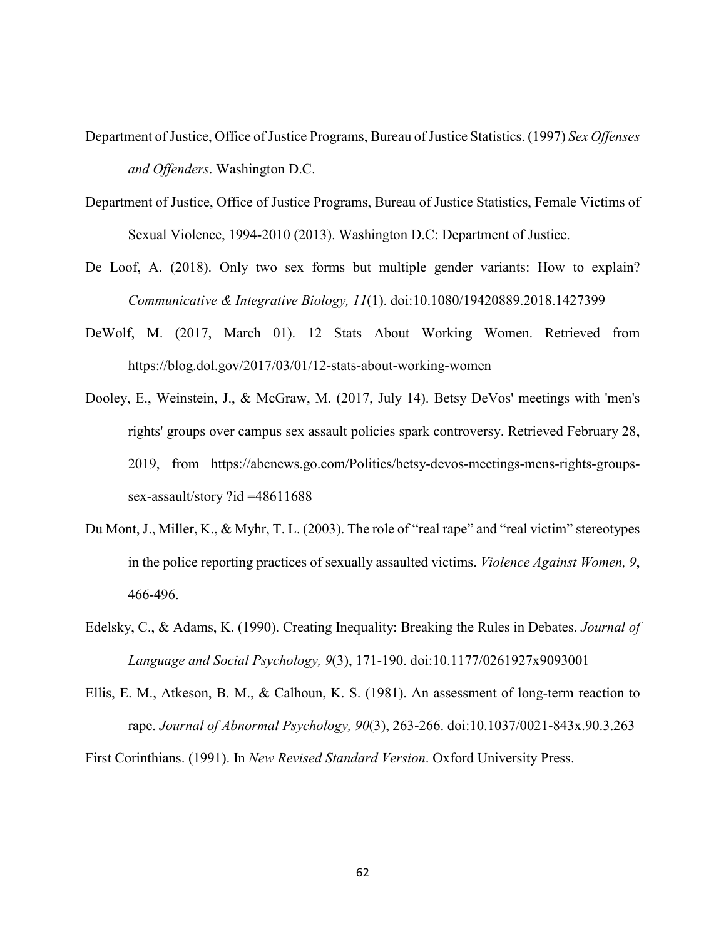- Department of Justice, Office of Justice Programs, Bureau of Justice Statistics. (1997) *Sex Offenses and Offenders*. Washington D.C.
- Department of Justice, Office of Justice Programs, Bureau of Justice Statistics, Female Victims of Sexual Violence, 1994-2010 (2013). Washington D.C: Department of Justice.
- De Loof, A. (2018). Only two sex forms but multiple gender variants: How to explain? *Communicative & Integrative Biology, 11*(1). doi:10.1080/19420889.2018.1427399
- DeWolf, M. (2017, March 01). 12 Stats About Working Women. Retrieved from https://blog.dol.gov/2017/03/01/12-stats-about-working-women
- Dooley, E., Weinstein, J., & McGraw, M. (2017, July 14). Betsy DeVos' meetings with 'men's rights' groups over campus sex assault policies spark controversy. Retrieved February 28, 2019, from https://abcnews.go.com/Politics/betsy-devos-meetings-mens-rights-groupssex-assault/story ?id =48611688
- Du Mont, J., Miller, K., & Myhr, T. L. (2003). The role of "real rape" and "real victim" stereotypes in the police reporting practices of sexually assaulted victims. *Violence Against Women, 9*, 466-496.
- Edelsky, C., & Adams, K. (1990). Creating Inequality: Breaking the Rules in Debates. *Journal of Language and Social Psychology, 9*(3), 171-190. doi:10.1177/0261927x9093001
- Ellis, E. M., Atkeson, B. M., & Calhoun, K. S. (1981). An assessment of long-term reaction to rape. *Journal of Abnormal Psychology, 90*(3), 263-266. doi:10.1037/0021-843x.90.3.263

First Corinthians. (1991). In *New Revised Standard Version*. Oxford University Press.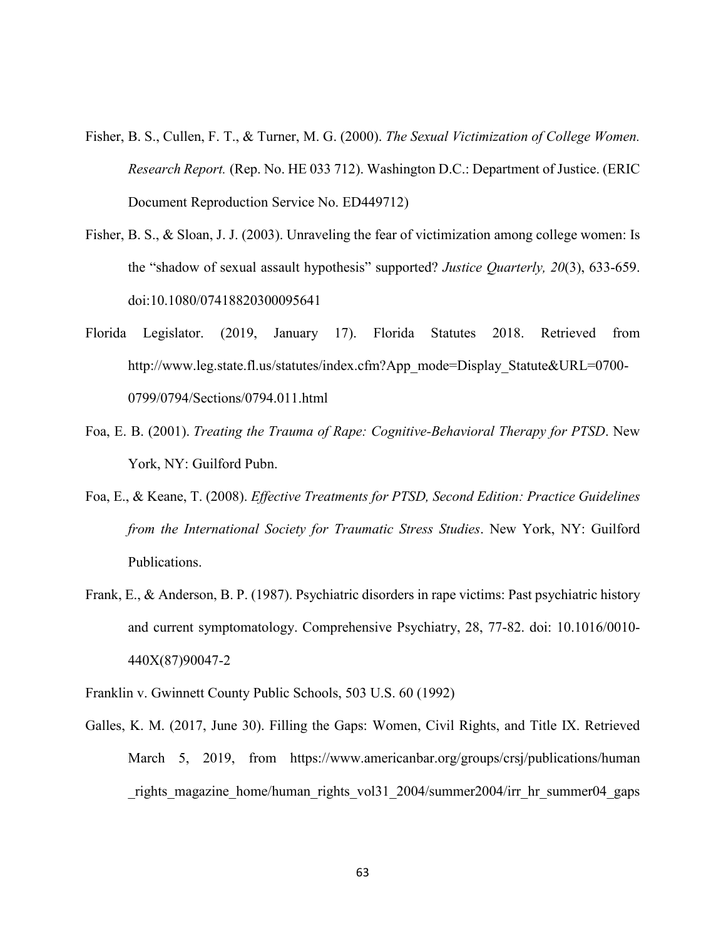- Fisher, B. S., Cullen, F. T., & Turner, M. G. (2000). *The Sexual Victimization of College Women. Research Report.* (Rep. No. HE 033 712). Washington D.C.: Department of Justice. (ERIC Document Reproduction Service No. ED449712)
- Fisher, B. S., & Sloan, J. J. (2003). Unraveling the fear of victimization among college women: Is the "shadow of sexual assault hypothesis" supported? *Justice Quarterly, 20*(3), 633-659. doi:10.1080/07418820300095641
- Florida Legislator. (2019, January 17). Florida Statutes 2018. Retrieved from http://www.leg.state.fl.us/statutes/index.cfm?App\_mode=Display\_Statute&URL=0700-0799/0794/Sections/0794.011.html
- Foa, E. B. (2001). *Treating the Trauma of Rape: Cognitive-Behavioral Therapy for PTSD*. New York, NY: Guilford Pubn.
- Foa, E., & Keane, T. (2008). *Effective Treatments for PTSD, Second Edition: Practice Guidelines from the International Society for Traumatic Stress Studies*. New York, NY: Guilford Publications.
- Frank, E., & Anderson, B. P. (1987). Psychiatric disorders in rape victims: Past psychiatric history and current symptomatology. Comprehensive Psychiatry, 28, 77-82. doi: 10.1016/0010- 440X(87)90047-2
- Franklin v. Gwinnett County Public Schools, 503 U.S. 60 (1992)
- Galles, K. M. (2017, June 30). Filling the Gaps: Women, Civil Rights, and Title IX. Retrieved March 5, 2019, from https://www.americanbar.org/groups/crsj/publications/human rights magazine home/human rights vol<sup>31</sup> 2004/summer2004/irr hr summer04 gaps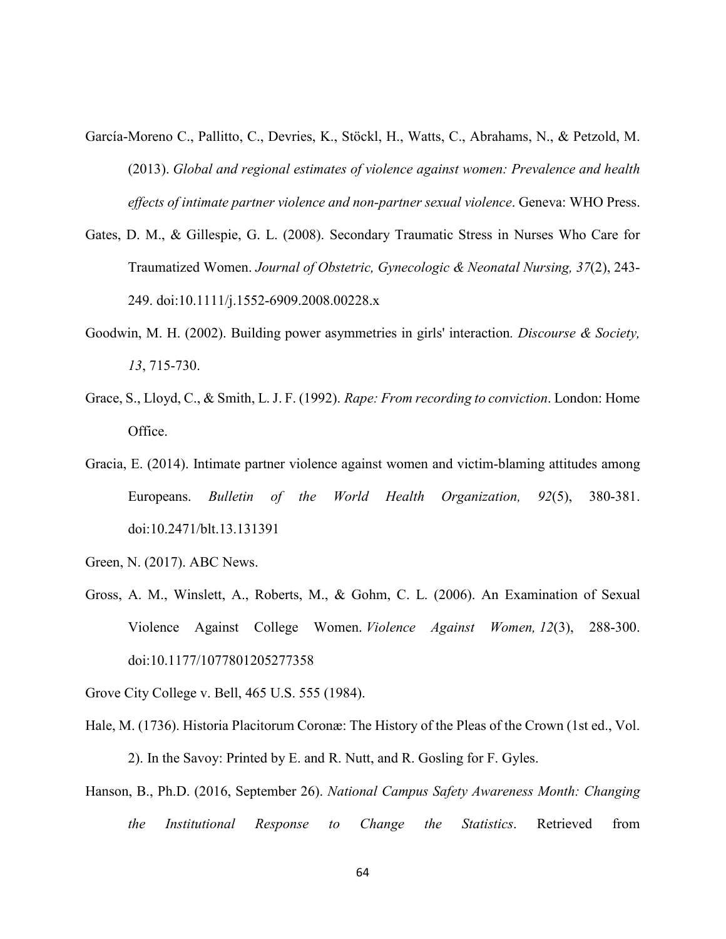- García-Moreno C., Pallitto, C., Devries, K., Stöckl, H., Watts, C., Abrahams, N., & Petzold, M. (2013). *Global and regional estimates of violence against women: Prevalence and health effects of intimate partner violence and non-partner sexual violence*. Geneva: WHO Press.
- Gates, D. M., & Gillespie, G. L. (2008). Secondary Traumatic Stress in Nurses Who Care for Traumatized Women. *Journal of Obstetric, Gynecologic & Neonatal Nursing, 37*(2), 243- 249. doi:10.1111/j.1552-6909.2008.00228.x
- Goodwin, M. H. (2002). Building power asymmetries in girls' interaction*. Discourse & Society, 13*, 715-730.
- Grace, S., Lloyd, C., & Smith, L. J. F. (1992). *Rape: From recording to conviction*. London: Home Office.
- Gracia, E. (2014). Intimate partner violence against women and victim-blaming attitudes among Europeans. *Bulletin of the World Health Organization, 92*(5), 380-381. doi:10.2471/blt.13.131391
- Green, N. (2017). ABC News.
- Gross, A. M., Winslett, A., Roberts, M., & Gohm, C. L. (2006). An Examination of Sexual Violence Against College Women. *Violence Against Women, 12*(3), 288-300. doi:10.1177/1077801205277358

Grove City College v. Bell, 465 U.S. 555 (1984).

- Hale, M. (1736). Historia Placitorum Coronæ: The History of the Pleas of the Crown (1st ed., Vol. 2). In the Savoy: Printed by E. and R. Nutt, and R. Gosling for F. Gyles.
- Hanson, B., Ph.D. (2016, September 26). *National Campus Safety Awareness Month: Changing the Institutional Response to Change the Statistics*. Retrieved from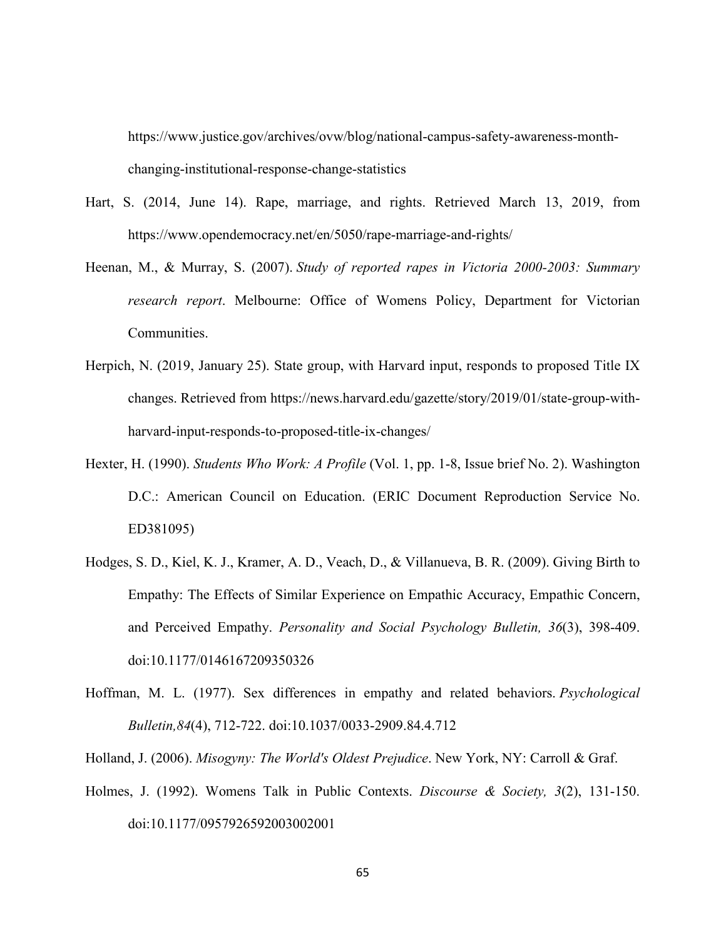https://www.justice.gov/archives/ovw/blog/national-campus-safety-awareness-monthchanging-institutional-response-change-statistics

- Hart, S. (2014, June 14). Rape, marriage, and rights. Retrieved March 13, 2019, from https://www.opendemocracy.net/en/5050/rape-marriage-and-rights/
- Heenan, M., & Murray, S. (2007). *Study of reported rapes in Victoria 2000-2003: Summary research report*. Melbourne: Office of Womens Policy, Department for Victorian Communities.
- Herpich, N. (2019, January 25). State group, with Harvard input, responds to proposed Title IX changes. Retrieved from [https://news.harvard.edu/gazette/story/2019/01/state-group-with](https://news.harvard.edu/gazette/story/2019/01/state-group-with-)harvard-input-responds-to-proposed-title-ix-changes/
- Hexter, H. (1990). *Students Who Work: A Profile* (Vol. 1, pp. 1-8, Issue brief No. 2). Washington D.C.: American Council on Education. (ERIC Document Reproduction Service No. ED381095)
- Hodges, S. D., Kiel, K. J., Kramer, A. D., Veach, D., & Villanueva, B. R. (2009). Giving Birth to Empathy: The Effects of Similar Experience on Empathic Accuracy, Empathic Concern, and Perceived Empathy. *Personality and Social Psychology Bulletin, 36*(3), 398-409. doi:10.1177/0146167209350326
- Hoffman, M. L. (1977). Sex differences in empathy and related behaviors. *Psychological Bulletin,84*(4), 712-722. doi:10.1037/0033-2909.84.4.712
- Holland, J. (2006). *Misogyny: The World's Oldest Prejudice*. New York, NY: Carroll & Graf.
- Holmes, J. (1992). Womens Talk in Public Contexts. *Discourse & Society, 3*(2), 131-150. doi:10.1177/0957926592003002001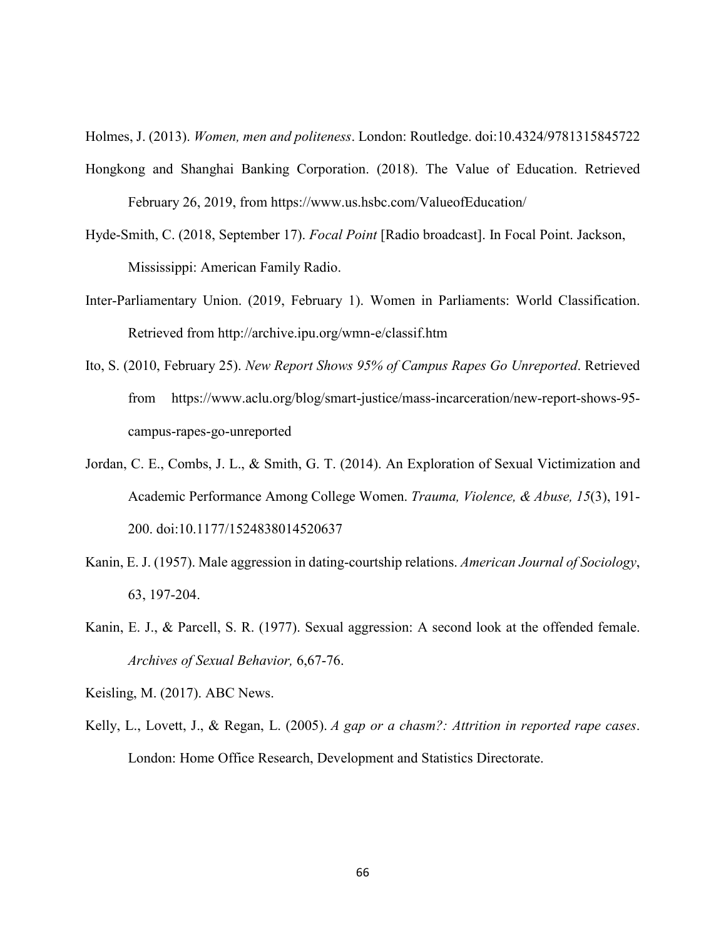Holmes, J. (2013). *Women, men and politeness*. London: Routledge. doi:10.4324/9781315845722

- Hongkong and Shanghai Banking Corporation. (2018). The Value of Education. Retrieved February 26, 2019, from https://www.us.hsbc.com/ValueofEducation/
- Hyde-Smith, C. (2018, September 17). *Focal Point* [Radio broadcast]. In Focal Point. Jackson, Mississippi: American Family Radio.
- Inter-Parliamentary Union. (2019, February 1). Women in Parliaments: World Classification. Retrieved from http://archive.ipu.org/wmn-e/classif.htm
- Ito, S. (2010, February 25). *New Report Shows 95% of Campus Rapes Go Unreported*. Retrieved from https://www.aclu.org/blog/smart-justice/mass-incarceration/new-report-shows-95 campus-rapes-go-unreported
- Jordan, C. E., Combs, J. L., & Smith, G. T. (2014). An Exploration of Sexual Victimization and Academic Performance Among College Women. *Trauma, Violence, & Abuse, 15*(3), 191- 200. doi:10.1177/1524838014520637
- Kanin, E. J. (1957). Male aggression in dating-courtship relations. *American Journal of Sociology*, 63, 197-204.
- Kanin, E. J., & Parcell, S. R. (1977). Sexual aggression: A second look at the offended female. *Archives of Sexual Behavior,* 6,67-76.
- Keisling, M. (2017). ABC News.
- Kelly, L., Lovett, J., & Regan, L. (2005). *A gap or a chasm?: Attrition in reported rape cases*. London: Home Office Research, Development and Statistics Directorate.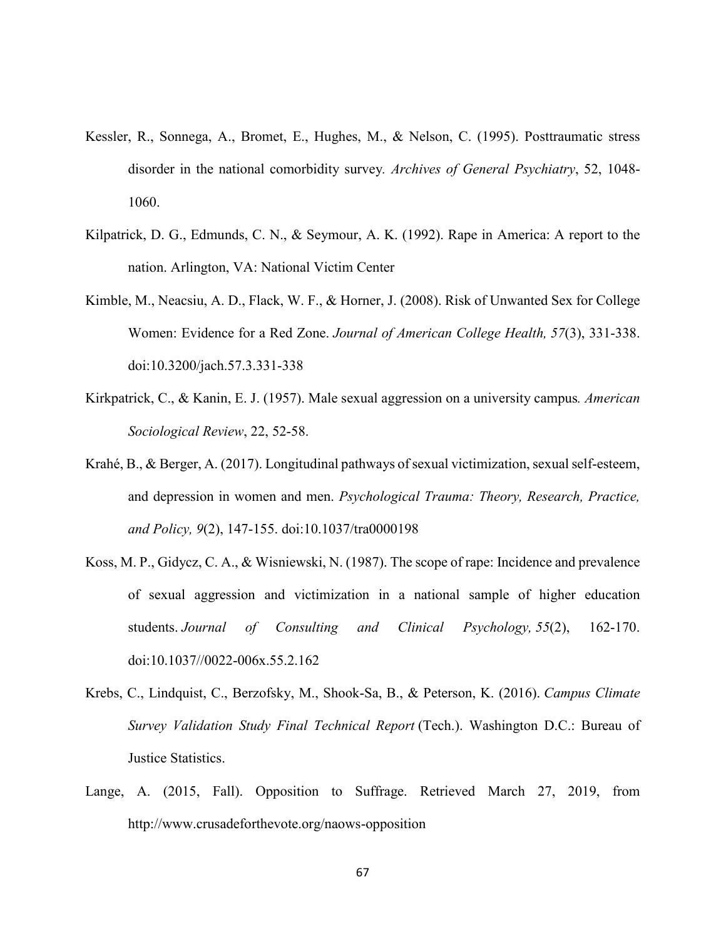- Kessler, R., Sonnega, A., Bromet, E., Hughes, M., & Nelson, C. (1995). Posttraumatic stress disorder in the national comorbidity survey*. Archives of General Psychiatry*, 52, 1048- 1060.
- Kilpatrick, D. G., Edmunds, C. N., & Seymour, A. K. (1992). Rape in America: A report to the nation. Arlington, VA: National Victim Center
- Kimble, M., Neacsiu, A. D., Flack, W. F., & Horner, J. (2008). Risk of Unwanted Sex for College Women: Evidence for a Red Zone. *Journal of American College Health, 57*(3), 331-338. doi:10.3200/jach.57.3.331-338
- Kirkpatrick, C., & Kanin, E. J. (1957). Male sexual aggression on a university campus*. American Sociological Review*, 22, 52-58.
- Krahé, B., & Berger, A. (2017). Longitudinal pathways of sexual victimization, sexual self-esteem, and depression in women and men. *Psychological Trauma: Theory, Research, Practice, and Policy, 9*(2), 147-155. doi:10.1037/tra0000198
- Koss, M. P., Gidycz, C. A., & Wisniewski, N. (1987). The scope of rape: Incidence and prevalence of sexual aggression and victimization in a national sample of higher education students. *Journal of Consulting and Clinical Psychology, 55*(2), 162-170. doi:10.1037//0022-006x.55.2.162
- Krebs, C., Lindquist, C., Berzofsky, M., Shook-Sa, B., & Peterson, K. (2016). *Campus Climate Survey Validation Study Final Technical Report* (Tech.). Washington D.C.: Bureau of Justice Statistics.
- Lange, A. (2015, Fall). Opposition to Suffrage. Retrieved March 27, 2019, from http://www.crusadeforthevote.org/naows-opposition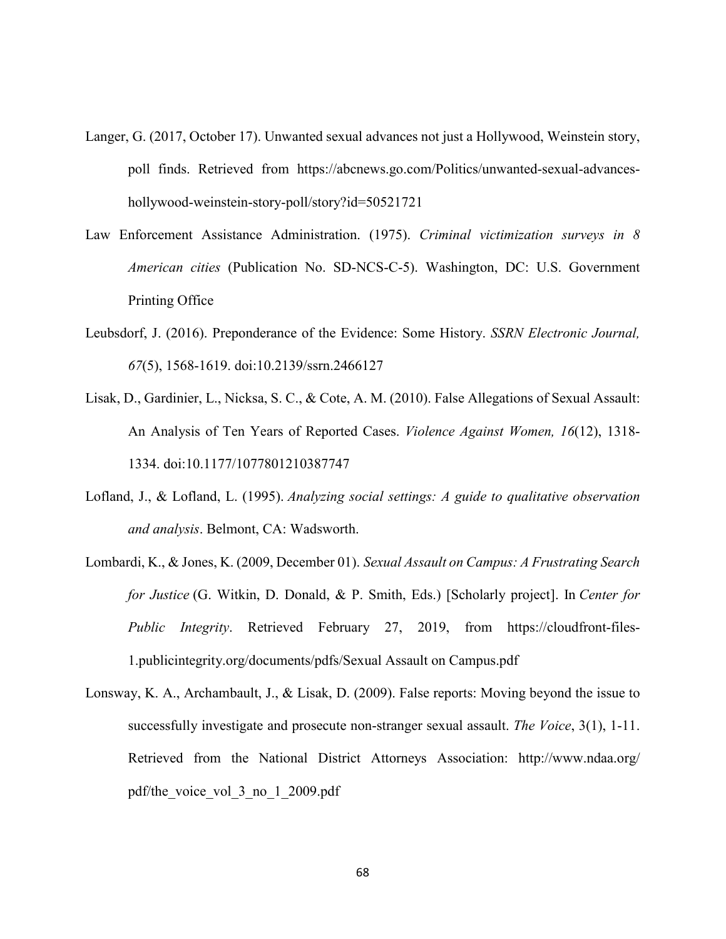- Langer, G. (2017, October 17). Unwanted sexual advances not just a Hollywood, Weinstein story, poll finds. Retrieved from https://abcnews.go.com/Politics/unwanted-sexual-advanceshollywood-weinstein-story-poll/story?id=50521721
- Law Enforcement Assistance Administration. (1975). *Criminal victimization surveys in 8 American cities* (Publication No. SD-NCS-C-5). Washington, DC: U.S. Government Printing Office
- Leubsdorf, J. (2016). Preponderance of the Evidence: Some History. *SSRN Electronic Journal, 67*(5), 1568-1619. doi:10.2139/ssrn.2466127
- Lisak, D., Gardinier, L., Nicksa, S. C., & Cote, A. M. (2010). False Allegations of Sexual Assault: An Analysis of Ten Years of Reported Cases. *Violence Against Women, 16*(12), 1318- 1334. doi:10.1177/1077801210387747
- Lofland, J., & Lofland, L. (1995). *Analyzing social settings: A guide to qualitative observation and analysis*. Belmont, CA: Wadsworth.
- Lombardi, K., & Jones, K. (2009, December 01). *Sexual Assault on Campus: A Frustrating Search for Justice* (G. Witkin, D. Donald, & P. Smith, Eds.) [Scholarly project]. In *Center for Public Integrity*. Retrieved February 27, 2019, from https://cloudfront-files-1.publicintegrity.org/documents/pdfs/Sexual Assault on Campus.pdf
- Lonsway, K. A., Archambault, J., & Lisak, D. (2009). False reports: Moving beyond the issue to successfully investigate and prosecute non-stranger sexual assault. *The Voice*, 3(1), 1-11. Retrieved from the National District Attorneys Association: http://www.ndaa.org/ pdf/the\_voice\_vol\_3\_no\_1\_2009.pdf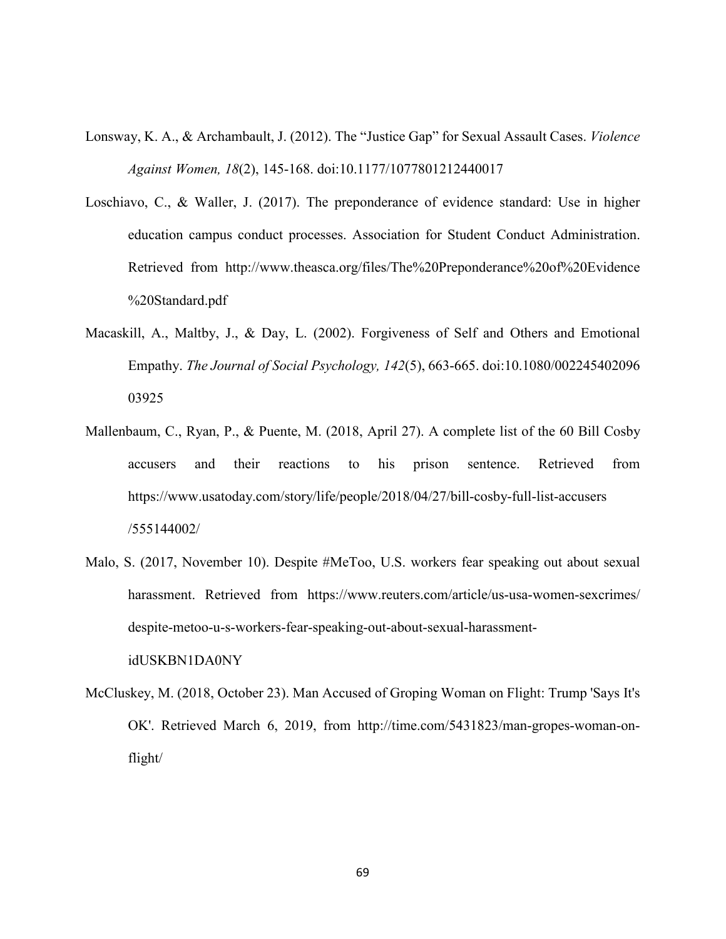- Lonsway, K. A., & Archambault, J. (2012). The "Justice Gap" for Sexual Assault Cases. *Violence Against Women, 18*(2), 145-168. doi:10.1177/1077801212440017
- Loschiavo, C., & Waller, J. (2017). The preponderance of evidence standard: Use in higher education campus conduct processes. Association for Student Conduct Administration. Retrieved from http://www.theasca.org/files/The%20Preponderance%20of%20Evidence %20Standard.pdf
- Macaskill, A., Maltby, J., & Day, L. (2002). Forgiveness of Self and Others and Emotional Empathy. *The Journal of Social Psychology, 142*(5), 663-665. doi:10.1080/002245402096 03925
- Mallenbaum, C., Ryan, P., & Puente, M. (2018, April 27). A complete list of the 60 Bill Cosby accusers and their reactions to his prison sentence. Retrieved from https://www.usatoday.com/story/life/people/2018/04/27/bill-cosby-full-list-accusers /555144002/
- Malo, S. (2017, November 10). Despite #MeToo, U.S. workers fear speaking out about sexual harassment. Retrieved from https://www.reuters.com/article/us-usa-women-sexcrimes/ despite-metoo-u-s-workers-fear-speaking-out-about-sexual-harassmentidUSKBN1DA0NY
- McCluskey, M. (2018, October 23). Man Accused of Groping Woman on Flight: Trump 'Says It's OK'. Retrieved March 6, 2019, from http://time.com/5431823/man-gropes-woman-onflight/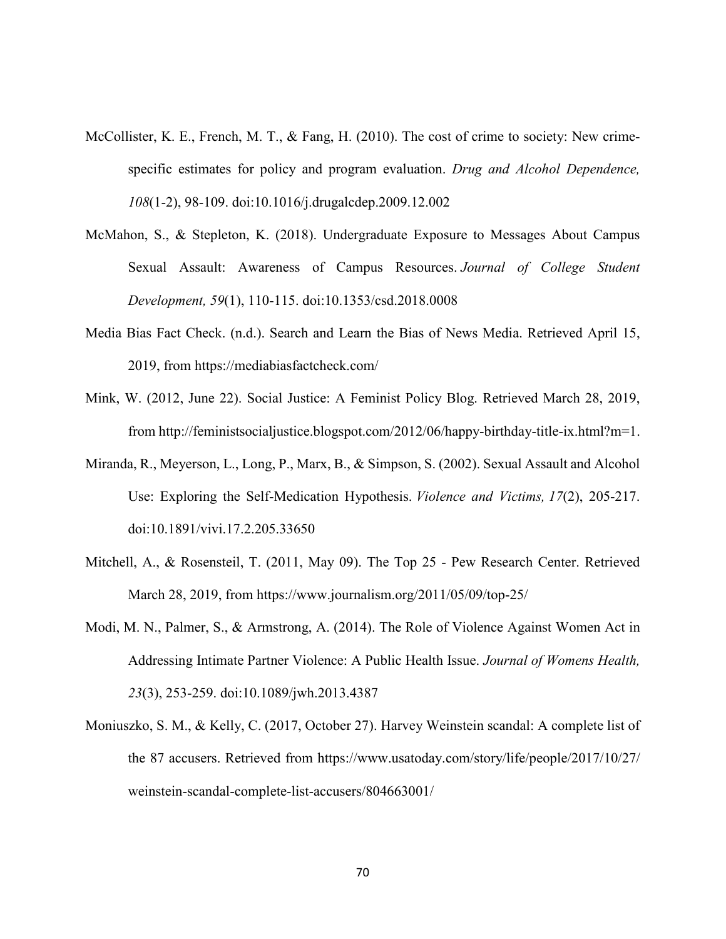- McCollister, K. E., French, M. T., & Fang, H. (2010). The cost of crime to society: New crimespecific estimates for policy and program evaluation. *Drug and Alcohol Dependence, 108*(1-2), 98-109. doi:10.1016/j.drugalcdep.2009.12.002
- McMahon, S., & Stepleton, K. (2018). Undergraduate Exposure to Messages About Campus Sexual Assault: Awareness of Campus Resources. *Journal of College Student Development, 59*(1), 110-115. doi:10.1353/csd.2018.0008
- Media Bias Fact Check. (n.d.). Search and Learn the Bias of News Media. Retrieved April 15, 2019, from https://mediabiasfactcheck.com/
- Mink, W. (2012, June 22). Social Justice: A Feminist Policy Blog. Retrieved March 28, 2019, from http://feministsocialjustice.blogspot.com/2012/06/happy-birthday-title-ix.html?m=1.
- Miranda, R., Meyerson, L., Long, P., Marx, B., & Simpson, S. (2002). Sexual Assault and Alcohol Use: Exploring the Self-Medication Hypothesis. *Violence and Victims, 17*(2), 205-217. doi:10.1891/vivi.17.2.205.33650
- Mitchell, A., & Rosensteil, T. (2011, May 09). The Top 25 Pew Research Center. Retrieved March 28, 2019, from<https://www.journalism.org/2011/05/09/top-25/>
- Modi, M. N., Palmer, S., & Armstrong, A. (2014). The Role of Violence Against Women Act in Addressing Intimate Partner Violence: A Public Health Issue. *Journal of Womens Health, 23*(3), 253-259. doi:10.1089/jwh.2013.4387
- Moniuszko, S. M., & Kelly, C. (2017, October 27). Harvey Weinstein scandal: A complete list of the 87 accusers. Retrieved from https://www.usatoday.com/story/life/people/2017/10/27/ weinstein-scandal-complete-list-accusers/804663001/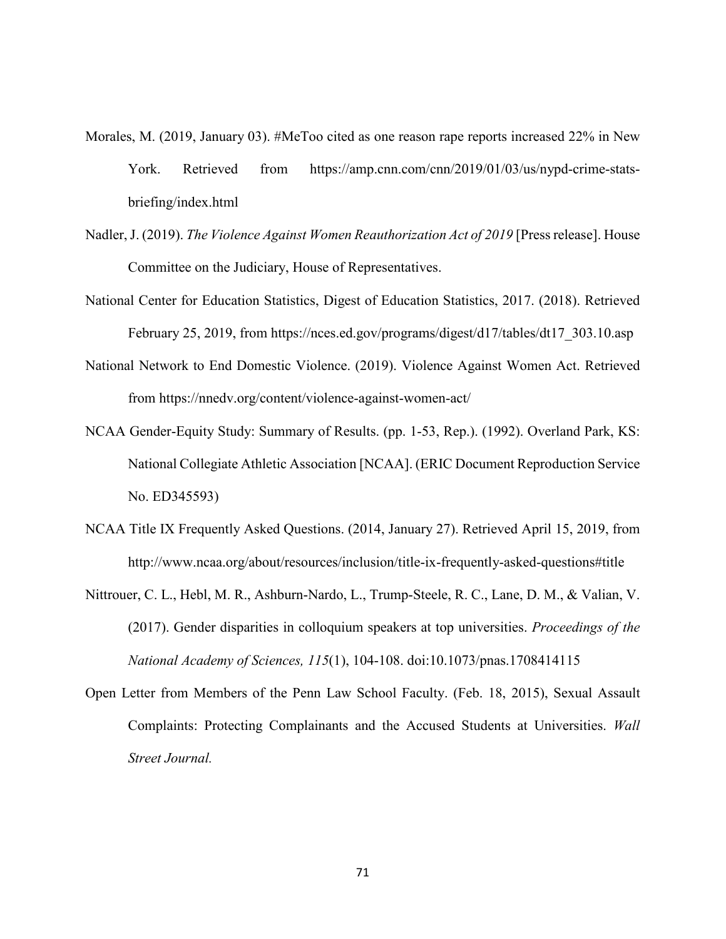- Morales, M. (2019, January 03). #MeToo cited as one reason rape reports increased 22% in New York. Retrieved from https://amp.cnn.com/cnn/2019/01/03/us/nypd-crime-statsbriefing/index.html
- Nadler, J. (2019). *The Violence Against Women Reauthorization Act of 2019* [Press release]. House Committee on the Judiciary, House of Representatives.
- National Center for Education Statistics, Digest of Education Statistics, 2017. (2018). Retrieved February 25, 2019, from [https://nces.ed.gov/programs/digest/d17/tables/dt17\\_303.10.asp](https://nces.ed.gov/programs/digest/d17/tables/dt17_303.10.asp)
- National Network to End Domestic Violence. (2019). Violence Against Women Act. Retrieved from https://nnedv.org/content/violence-against-women-act/
- NCAA Gender-Equity Study: Summary of Results. (pp. 1-53, Rep.). (1992). Overland Park, KS: National Collegiate Athletic Association [NCAA]. (ERIC Document Reproduction Service No. ED345593)
- NCAA Title IX Frequently Asked Questions. (2014, January 27). Retrieved April 15, 2019, from <http://www.ncaa.org/about/resources/inclusion/title-ix-frequently-asked-questions#title>
- Nittrouer, C. L., Hebl, M. R., Ashburn-Nardo, L., Trump-Steele, R. C., Lane, D. M., & Valian, V. (2017). Gender disparities in colloquium speakers at top universities. *Proceedings of the National Academy of Sciences, 115*(1), 104-108. doi:10.1073/pnas.1708414115
- Open Letter from Members of the Penn Law School Faculty. (Feb. 18, 2015), Sexual Assault Complaints: Protecting Complainants and the Accused Students at Universities. *Wall Street Journal.*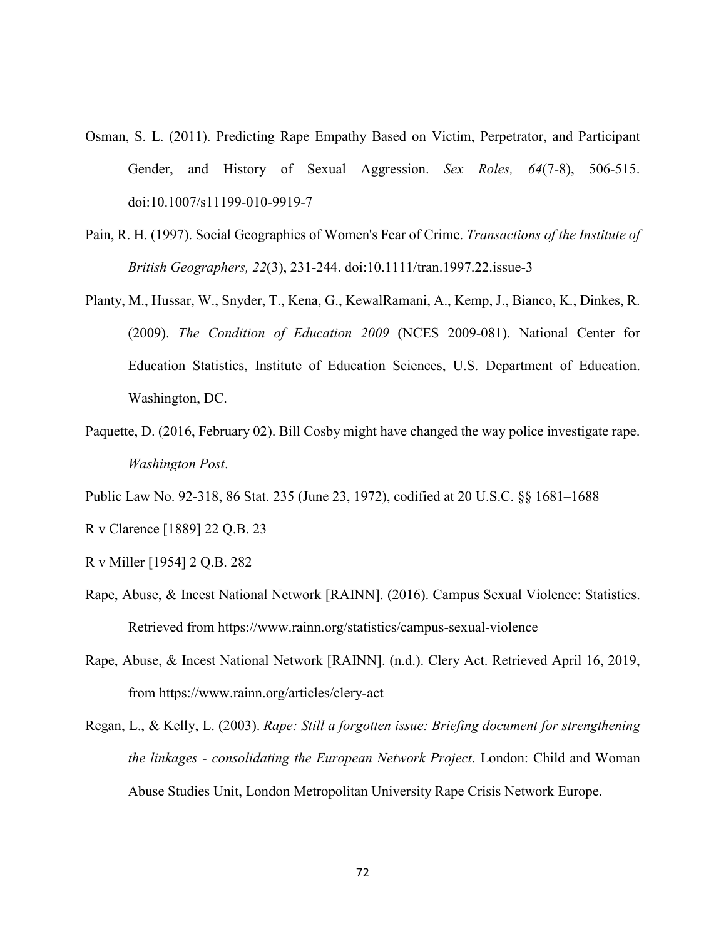- Osman, S. L. (2011). Predicting Rape Empathy Based on Victim, Perpetrator, and Participant Gender, and History of Sexual Aggression. *Sex Roles, 64*(7-8), 506-515. doi:10.1007/s11199-010-9919-7
- Pain, R. H. (1997). Social Geographies of Women's Fear of Crime. *Transactions of the Institute of British Geographers, 22*(3), 231-244. doi:10.1111/tran.1997.22.issue-3
- Planty, M., Hussar, W., Snyder, T., Kena, G., KewalRamani, A., Kemp, J., Bianco, K., Dinkes, R. (2009). *The Condition of Education 2009* (NCES 2009-081). National Center for Education Statistics, Institute of Education Sciences, U.S. Department of Education. Washington, DC.
- Paquette, D. (2016, February 02). Bill Cosby might have changed the way police investigate rape. *Washington Post*.
- Public Law No. 92-318, 86 Stat. 235 (June 23, 1972), codified at 20 U.S.C. §§ 1681–1688
- R v Clarence [1889] 22 Q.B. 23
- R v Miller [1954] 2 Q.B. 282
- Rape, Abuse, & Incest National Network [RAINN]. (2016). Campus Sexual Violence: Statistics. Retrieved from<https://www.rainn.org/statistics/campus-sexual-violence>
- Rape, Abuse, & Incest National Network [RAINN]. (n.d.). Clery Act. Retrieved April 16, 2019, from https://www.rainn.org/articles/clery-act
- Regan, L., & Kelly, L. (2003). *Rape: Still a forgotten issue: Briefing document for strengthening the linkages - consolidating the European Network Project*. London: Child and Woman Abuse Studies Unit, London Metropolitan University Rape Crisis Network Europe.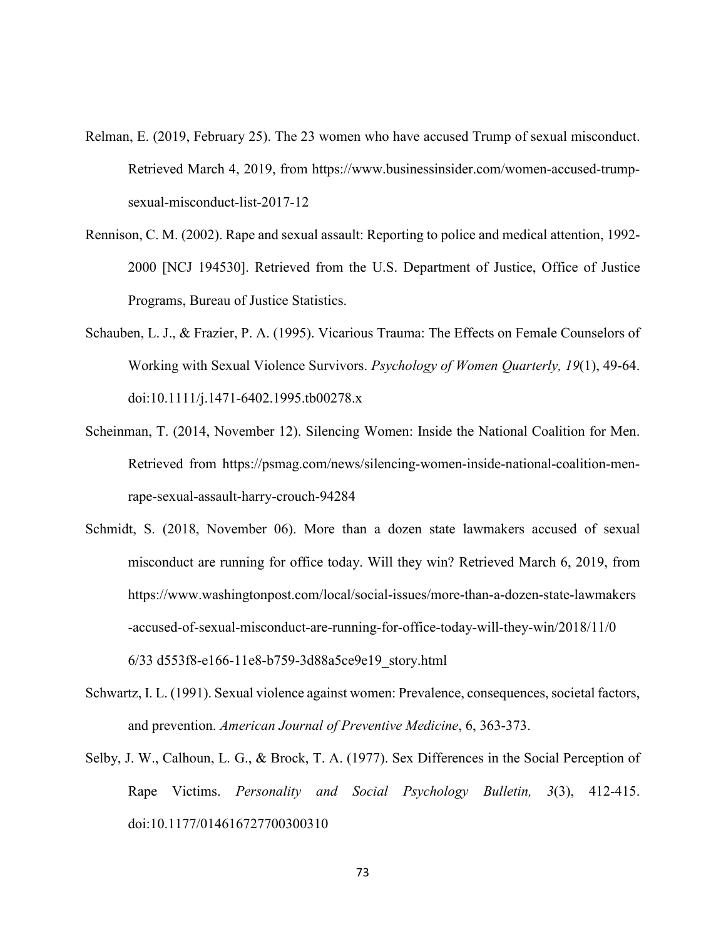- Relman, E. (2019, February 25). The 23 women who have accused Trump of sexual misconduct. Retrieved March 4, 2019, from https://www.businessinsider.com/women-accused-trumpsexual-misconduct-list-2017-12
- Rennison, C. M. (2002). Rape and sexual assault: Reporting to police and medical attention, 1992- 2000 [NCJ 194530]. Retrieved from the U.S. Department of Justice, Office of Justice Programs, Bureau of Justice Statistics.
- Schauben, L. J., & Frazier, P. A. (1995). Vicarious Trauma: The Effects on Female Counselors of Working with Sexual Violence Survivors. *Psychology of Women Quarterly, 19*(1), 49-64. doi:10.1111/j.1471-6402.1995.tb00278.x
- Scheinman, T. (2014, November 12). Silencing Women: Inside the National Coalition for Men. Retrieved from https://psmag.com/news/silencing-women-inside-national-coalition-menrape-sexual-assault-harry-crouch-94284
- Schmidt, S. (2018, November 06). More than a dozen state lawmakers accused of sexual misconduct are running for office today. Will they win? Retrieved March 6, 2019, from https://www.washingtonpost.com/local/social-issues/more-than-a-dozen-state-lawmakers -accused-of-sexual-misconduct-are-running-for-office-today-will-they-win/2018/11/0 6/33 d553f8-e166-11e8-b759-3d88a5ce9e19\_story.html
- Schwartz, I. L. (1991). Sexual violence against women: Prevalence, consequences, societal factors, and prevention. *American Journal of Preventive Medicine*, 6, 363-373.
- Selby, J. W., Calhoun, L. G., & Brock, T. A. (1977). Sex Differences in the Social Perception of Rape Victims. *Personality and Social Psychology Bulletin, 3*(3), 412-415. doi:10.1177/014616727700300310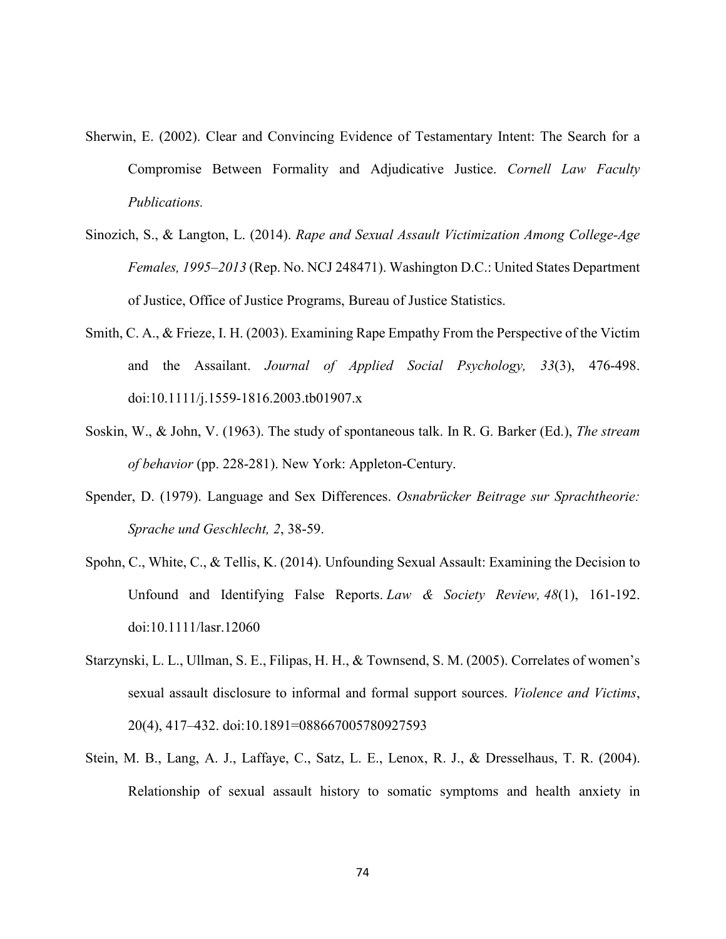- Sherwin, E. (2002). Clear and Convincing Evidence of Testamentary Intent: The Search for a Compromise Between Formality and Adjudicative Justice. *Cornell Law Faculty Publications.*
- Sinozich, S., & Langton, L. (2014). *Rape and Sexual Assault Victimization Among College-Age Females, 1995–2013* (Rep. No. NCJ 248471). Washington D.C.: United States Department of Justice, Office of Justice Programs, Bureau of Justice Statistics.
- Smith, C. A., & Frieze, I. H. (2003). Examining Rape Empathy From the Perspective of the Victim and the Assailant. *Journal of Applied Social Psychology, 33*(3), 476-498. doi:10.1111/j.1559-1816.2003.tb01907.x
- Soskin, W., & John, V. (1963). The study of spontaneous talk. In R. G. Barker (Ed.), *The stream of behavior* (pp. 228-281). New York: Appleton-Century.
- Spender, D. (1979). Language and Sex Differences. *Osnabrücker Beitrage sur Sprachtheorie: Sprache und Geschlecht, 2*, 38-59.
- Spohn, C., White, C., & Tellis, K. (2014). Unfounding Sexual Assault: Examining the Decision to Unfound and Identifying False Reports. *Law & Society Review, 48*(1), 161-192. doi:10.1111/lasr.12060
- Starzynski, L. L., Ullman, S. E., Filipas, H. H., & Townsend, S. M. (2005). Correlates of women's sexual assault disclosure to informal and formal support sources. *Violence and Victims*, 20(4), 417–432. doi:10.1891=088667005780927593
- Stein, M. B., Lang, A. J., Laffaye, C., Satz, L. E., Lenox, R. J., & Dresselhaus, T. R. (2004). Relationship of sexual assault history to somatic symptoms and health anxiety in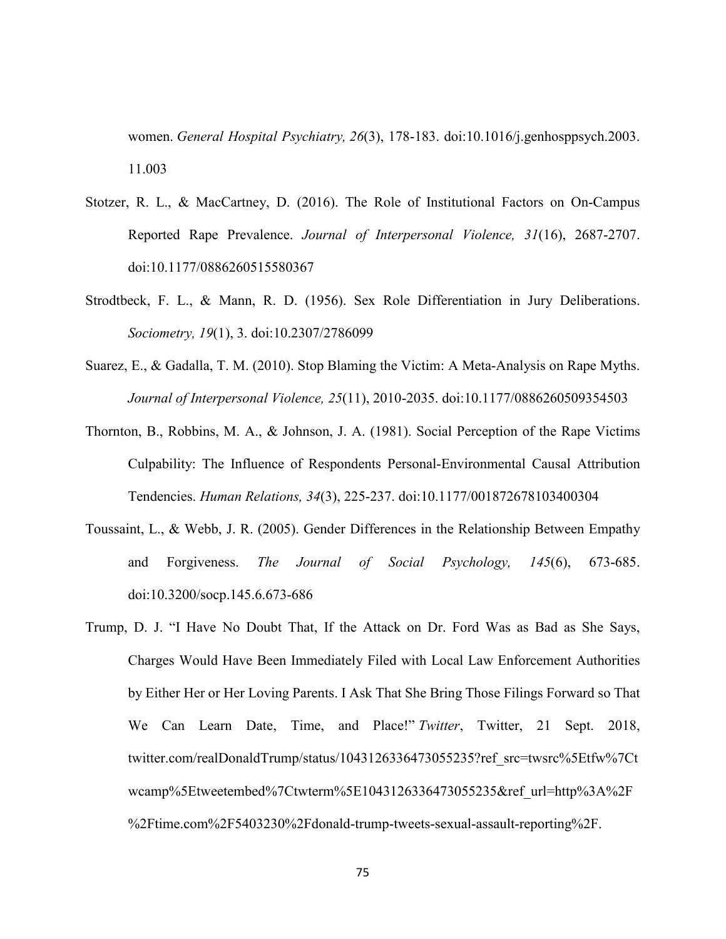women. *General Hospital Psychiatry, 26*(3), 178-183. doi:10.1016/j.genhosppsych.2003. 11.003

- Stotzer, R. L., & MacCartney, D. (2016). The Role of Institutional Factors on On-Campus Reported Rape Prevalence. *Journal of Interpersonal Violence, 31*(16), 2687-2707. doi:10.1177/0886260515580367
- Strodtbeck, F. L., & Mann, R. D. (1956). Sex Role Differentiation in Jury Deliberations. *Sociometry, 19*(1), 3. doi:10.2307/2786099
- Suarez, E., & Gadalla, T. M. (2010). Stop Blaming the Victim: A Meta-Analysis on Rape Myths. *Journal of Interpersonal Violence, 25*(11), 2010-2035. doi:10.1177/0886260509354503
- Thornton, B., Robbins, M. A., & Johnson, J. A. (1981). Social Perception of the Rape Victims Culpability: The Influence of Respondents Personal-Environmental Causal Attribution Tendencies. *Human Relations, 34*(3), 225-237. doi:10.1177/001872678103400304
- Toussaint, L., & Webb, J. R. (2005). Gender Differences in the Relationship Between Empathy and Forgiveness. *The Journal of Social Psychology, 145*(6), 673-685. doi:10.3200/socp.145.6.673-686
- Trump, D. J. "I Have No Doubt That, If the Attack on Dr. Ford Was as Bad as She Says, Charges Would Have Been Immediately Filed with Local Law Enforcement Authorities by Either Her or Her Loving Parents. I Ask That She Bring Those Filings Forward so That We Can Learn Date, Time, and Place!" *Twitter*, Twitter, 21 Sept. 2018, twitter.com/realDonaldTrump/status/1043126336473055235?ref\_src=twsrc%5Etfw%7Ct wcamp%5Etweetembed%7Ctwterm%5E1043126336473055235&ref\_url=http%3A%2F %2Ftime.com%2F5403230%2Fdonald-trump-tweets-sexual-assault-reporting%2F.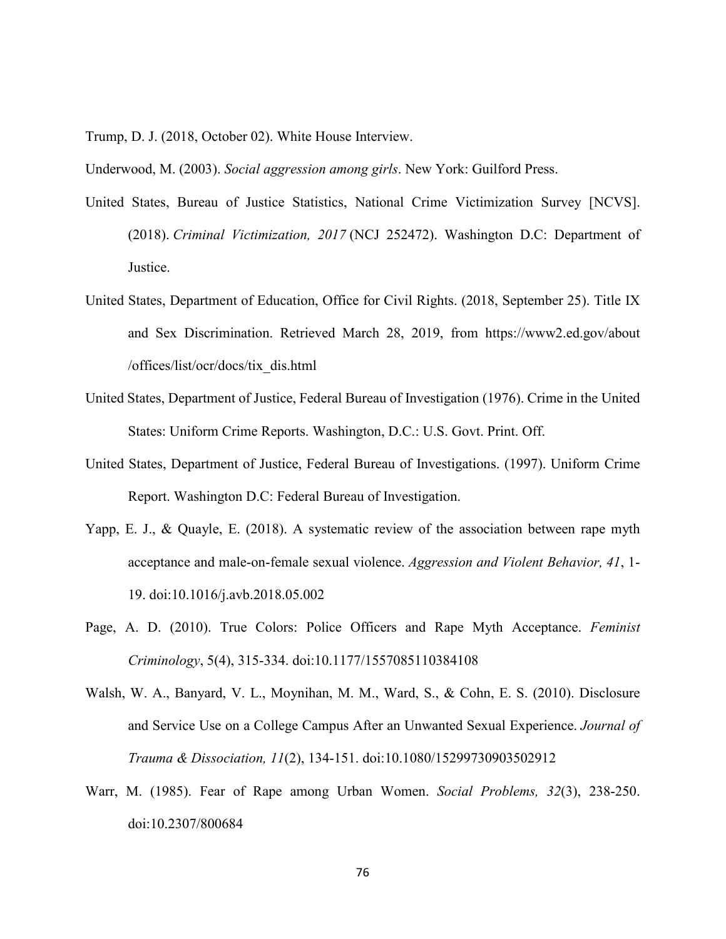Trump, D. J. (2018, October 02). White House Interview.

Underwood, M. (2003). *Social aggression among girls*. New York: Guilford Press.

- United States, Bureau of Justice Statistics, National Crime Victimization Survey [NCVS]. (2018). *Criminal Victimization, 2017* (NCJ 252472). Washington D.C: Department of Justice.
- United States, Department of Education, Office for Civil Rights. (2018, September 25). Title IX and Sex Discrimination. Retrieved March 28, 2019, from https://www2.ed.gov/about /offices/list/ocr/docs/tix\_dis.html
- United States, Department of Justice, Federal Bureau of Investigation (1976). Crime in the United States: Uniform Crime Reports. Washington, D.C.: U.S. Govt. Print. Off.
- United States, Department of Justice, Federal Bureau of Investigations. (1997). Uniform Crime Report. Washington D.C: Federal Bureau of Investigation.
- Yapp, E. J., & Quayle, E. (2018). A systematic review of the association between rape myth acceptance and male-on-female sexual violence. *Aggression and Violent Behavior, 41*, 1- 19. doi:10.1016/j.avb.2018.05.002
- Page, A. D. (2010). True Colors: Police Officers and Rape Myth Acceptance. *Feminist Criminology*, 5(4), 315-334. doi:10.1177/1557085110384108
- Walsh, W. A., Banyard, V. L., Moynihan, M. M., Ward, S., & Cohn, E. S. (2010). Disclosure and Service Use on a College Campus After an Unwanted Sexual Experience. *Journal of Trauma & Dissociation, 11*(2), 134-151. doi:10.1080/15299730903502912
- Warr, M. (1985). Fear of Rape among Urban Women. *Social Problems, 32*(3), 238-250. doi:10.2307/800684